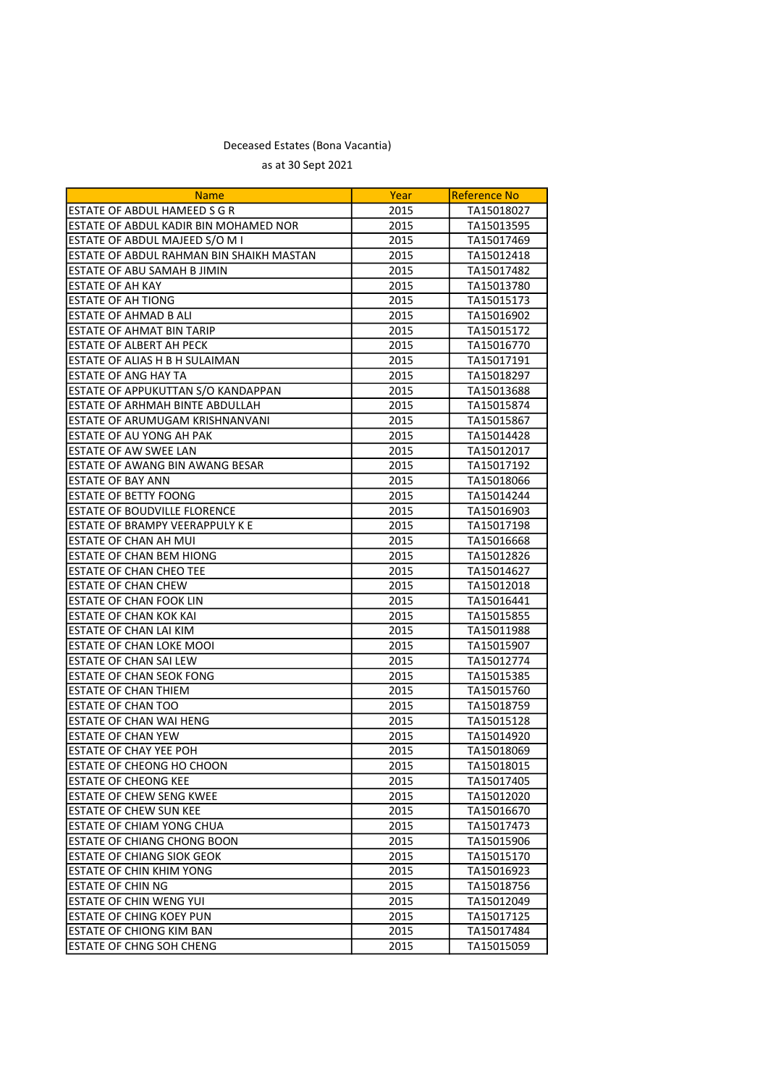## Deceased Estates (Bona Vacantia) as at 30 Sept 2021

| <b>Name</b>                              | Year | <b>Reference No</b> |
|------------------------------------------|------|---------------------|
| ESTATE OF ABDUL HAMEED S G R             | 2015 | TA15018027          |
| ESTATE OF ABDUL KADIR BIN MOHAMED NOR    | 2015 | TA15013595          |
| ESTATE OF ABDUL MAJEED S/O M I           | 2015 | TA15017469          |
| ESTATE OF ABDUL RAHMAN BIN SHAIKH MASTAN | 2015 | TA15012418          |
| ESTATE OF ABU SAMAH B JIMIN              | 2015 | TA15017482          |
| ESTATE OF AH KAY                         | 2015 | TA15013780          |
| <b>ESTATE OF AH TIONG</b>                | 2015 | TA15015173          |
| <b>ESTATE OF AHMAD B ALI</b>             | 2015 | TA15016902          |
| <b>ESTATE OF AHMAT BIN TARIP</b>         | 2015 | TA15015172          |
| ESTATE OF ALBERT AH PECK                 | 2015 | TA15016770          |
| ESTATE OF ALIAS H B H SULAIMAN           | 2015 | TA15017191          |
| <b>ESTATE OF ANG HAY TA</b>              | 2015 | TA15018297          |
| ESTATE OF APPUKUTTAN S/O KANDAPPAN       | 2015 | TA15013688          |
| ESTATE OF ARHMAH BINTE ABDULLAH          | 2015 | TA15015874          |
| ESTATE OF ARUMUGAM KRISHNANVANI          | 2015 | TA15015867          |
| ESTATE OF AU YONG AH PAK                 | 2015 | TA15014428          |
| ESTATE OF AW SWEE LAN                    | 2015 | TA15012017          |
| ESTATE OF AWANG BIN AWANG BESAR          | 2015 | TA15017192          |
| <b>ESTATE OF BAY ANN</b>                 | 2015 | TA15018066          |
| <b>ESTATE OF BETTY FOONG</b>             | 2015 | TA15014244          |
| ESTATE OF BOUDVILLE FLORENCE             | 2015 | TA15016903          |
| ESTATE OF BRAMPY VEERAPPULY K E          | 2015 | TA15017198          |
| ESTATE OF CHAN AH MUI                    | 2015 | TA15016668          |
| <b>ESTATE OF CHAN BEM HIONG</b>          | 2015 | TA15012826          |
| ESTATE OF CHAN CHEO TEE                  | 2015 | TA15014627          |
| <b>ESTATE OF CHAN CHEW</b>               | 2015 | TA15012018          |
| <b>ESTATE OF CHAN FOOK LIN</b>           | 2015 | TA15016441          |
| <b>ESTATE OF CHAN KOK KAI</b>            | 2015 | TA15015855          |
| ESTATE OF CHAN LAI KIM                   | 2015 | TA15011988          |
| <b>ESTATE OF CHAN LOKE MOOI</b>          | 2015 | TA15015907          |
| ESTATE OF CHAN SAI LEW                   | 2015 | TA15012774          |
| ESTATE OF CHAN SEOK FONG                 | 2015 | TA15015385          |
| ESTATE OF CHAN THIEM                     | 2015 | TA15015760          |
| <b>ESTATE OF CHAN TOO</b>                | 2015 | TA15018759          |
| ESTATE OF CHAN WAI HENG                  | 2015 | TA15015128          |
| ESTATE OF CHAN YEW                       | 2015 | TA15014920          |
| ESTATE OF CHAY YEE POH                   | 2015 | TA15018069          |
| ESTATE OF CHEONG HO CHOON                | 2015 | TA15018015          |
| <b>ESTATE OF CHEONG KEE</b>              | 2015 | TA15017405          |
| ESTATE OF CHEW SENG KWEE                 | 2015 | TA15012020          |
| ESTATE OF CHEW SUN KEE                   | 2015 | TA15016670          |
| ESTATE OF CHIAM YONG CHUA                | 2015 | TA15017473          |
| ESTATE OF CHIANG CHONG BOON              | 2015 | TA15015906          |
| ESTATE OF CHIANG SIOK GEOK               | 2015 | TA15015170          |
| <b>ESTATE OF CHIN KHIM YONG</b>          | 2015 | TA15016923          |
| <b>ESTATE OF CHIN NG</b>                 | 2015 | TA15018756          |
| ESTATE OF CHIN WENG YUI                  | 2015 | TA15012049          |
| ESTATE OF CHING KOEY PUN                 | 2015 | TA15017125          |
| ESTATE OF CHIONG KIM BAN                 | 2015 | TA15017484          |
| ESTATE OF CHNG SOH CHENG                 | 2015 | TA15015059          |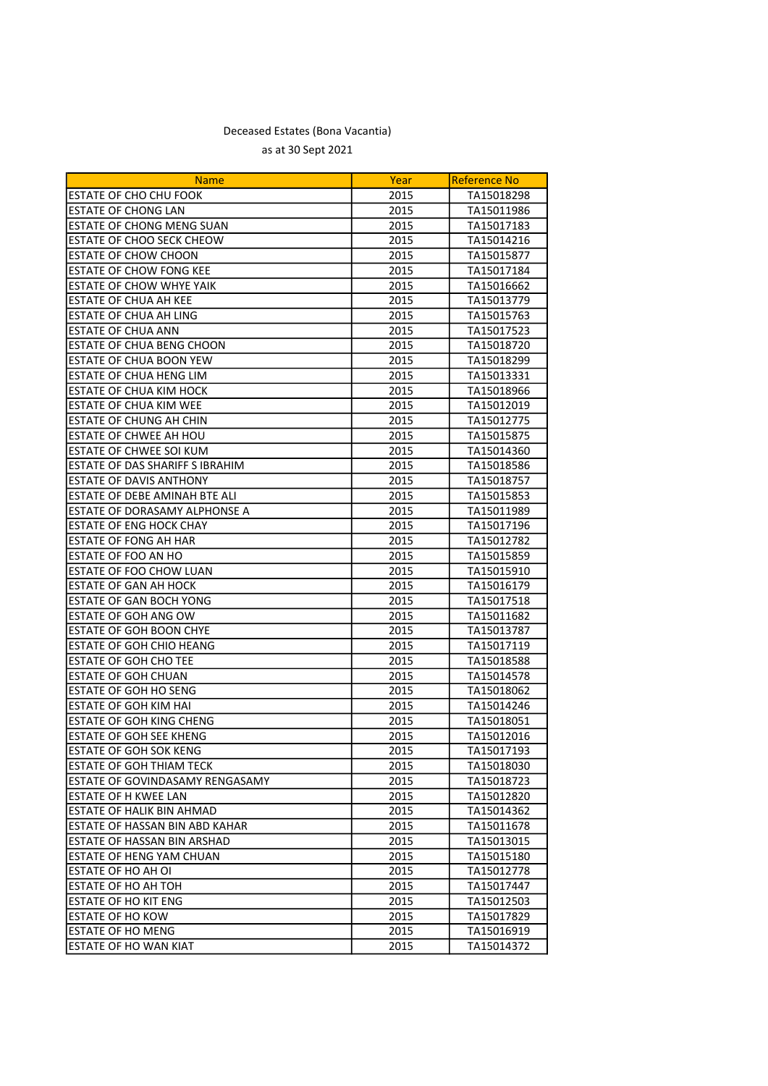| <b>Name</b>                            | Year | Reference No |
|----------------------------------------|------|--------------|
| <b>ESTATE OF CHO CHU FOOK</b>          | 2015 | TA15018298   |
| ESTATE OF CHONG LAN                    | 2015 | TA15011986   |
| ESTATE OF CHONG MENG SUAN              | 2015 | TA15017183   |
| ESTATE OF CHOO SECK CHEOW              | 2015 | TA15014216   |
| <b>ESTATE OF CHOW CHOON</b>            | 2015 | TA15015877   |
| ESTATE OF CHOW FONG KEE                | 2015 | TA15017184   |
| <b>ESTATE OF CHOW WHYE YAIK</b>        | 2015 | TA15016662   |
| ESTATE OF CHUA AH KEE                  | 2015 | TA15013779   |
| <b>ESTATE OF CHUA AH LING</b>          | 2015 | TA15015763   |
| <b>ESTATE OF CHUA ANN</b>              | 2015 | TA15017523   |
| <b>ESTATE OF CHUA BENG CHOON</b>       | 2015 | TA15018720   |
| ESTATE OF CHUA BOON YEW                | 2015 | TA15018299   |
| ESTATE OF CHUA HENG LIM                | 2015 | TA15013331   |
| ESTATE OF CHUA KIM HOCK                | 2015 | TA15018966   |
| ESTATE OF CHUA KIM WEE                 | 2015 | TA15012019   |
| ESTATE OF CHUNG AH CHIN                | 2015 | TA15012775   |
| ESTATE OF CHWEE AH HOU                 | 2015 | TA15015875   |
| <b>ESTATE OF CHWEE SOI KUM</b>         | 2015 | TA15014360   |
| ESTATE OF DAS SHARIFF S IBRAHIM        | 2015 | TA15018586   |
| ESTATE OF DAVIS ANTHONY                | 2015 | TA15018757   |
| ESTATE OF DEBE AMINAH BTE ALI          | 2015 | TA15015853   |
| ESTATE OF DORASAMY ALPHONSE A          | 2015 | TA15011989   |
| ESTATE OF ENG HOCK CHAY                | 2015 | TA15017196   |
| <b>ESTATE OF FONG AH HAR</b>           | 2015 | TA15012782   |
| ESTATE OF FOO AN HO                    | 2015 | TA15015859   |
| ESTATE OF FOO CHOW LUAN                | 2015 | TA15015910   |
| <b>ESTATE OF GAN AH HOCK</b>           | 2015 | TA15016179   |
| <b>ESTATE OF GAN BOCH YONG</b>         | 2015 | TA15017518   |
| ESTATE OF GOH ANG OW                   | 2015 | TA15011682   |
| ESTATE OF GOH BOON CHYE                | 2015 | TA15013787   |
| ESTATE OF GOH CHIO HEANG               | 2015 | TA15017119   |
| <b>ESTATE OF GOH CHO TEE</b>           | 2015 | TA15018588   |
| <b>ESTATE OF GOH CHUAN</b>             | 2015 | TA15014578   |
| ESTATE OF GOH HO SENG                  | 2015 | TA15018062   |
| ESTATE OF GOH KIM HAI                  | 2015 | TA15014246   |
| ESTATE OF GOH KING CHENG               | 2015 | TA15018051   |
| <b>ESTATE OF GOH SEE KHENG</b>         | 2015 | TA15012016   |
| <b>ESTATE OF GOH SOK KENG</b>          | 2015 | TA15017193   |
| <b>ESTATE OF GOH THIAM TECK</b>        | 2015 | TA15018030   |
| <b>ESTATE OF GOVINDASAMY RENGASAMY</b> | 2015 | TA15018723   |
| ESTATE OF H KWEE LAN                   | 2015 | TA15012820   |
| <b>ESTATE OF HALIK BIN AHMAD</b>       | 2015 | TA15014362   |
| ESTATE OF HASSAN BIN ABD KAHAR         | 2015 | TA15011678   |
| ESTATE OF HASSAN BIN ARSHAD            | 2015 | TA15013015   |
| ESTATE OF HENG YAM CHUAN               | 2015 | TA15015180   |
| ESTATE OF HO AH OI                     | 2015 | TA15012778   |
| <b>ESTATE OF HO AH TOH</b>             | 2015 | TA15017447   |
| ESTATE OF HO KIT ENG                   | 2015 | TA15012503   |
| <b>ESTATE OF HO KOW</b>                | 2015 | TA15017829   |
| ESTATE OF HO MENG                      | 2015 | TA15016919   |
| <b>ESTATE OF HO WAN KIAT</b>           | 2015 | TA15014372   |
|                                        |      |              |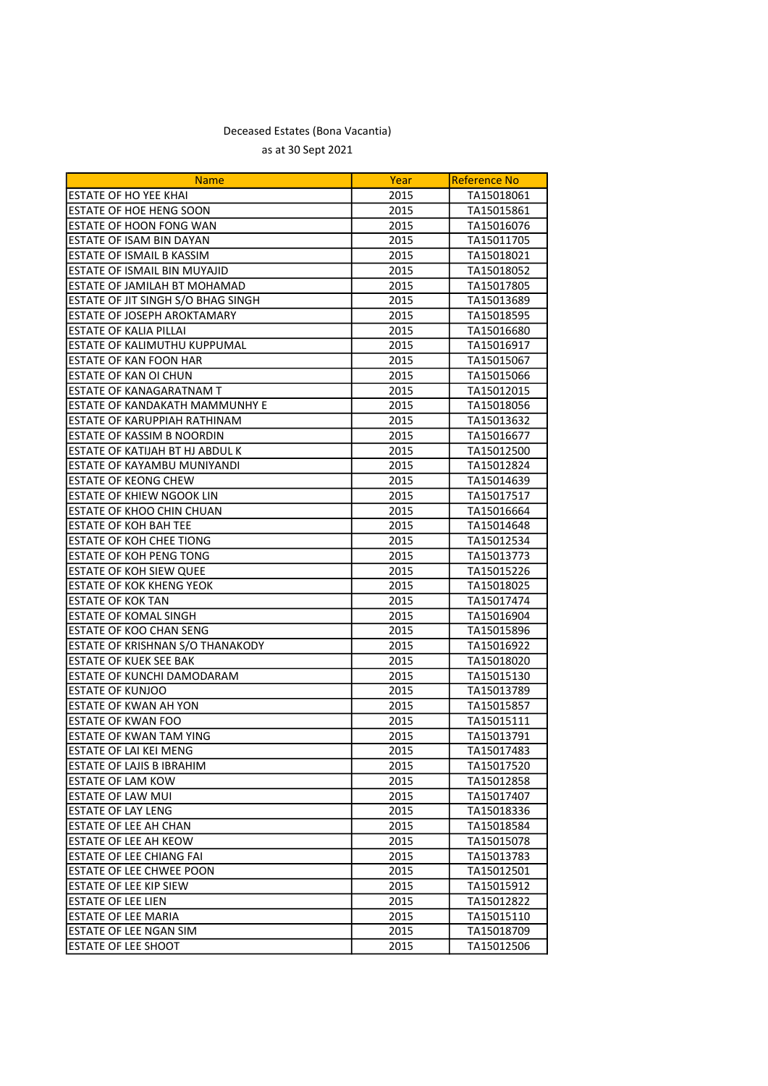| <b>Name</b>                        | Year | <b>Reference No</b> |
|------------------------------------|------|---------------------|
| ESTATE OF HO YEE KHAI              | 2015 | TA15018061          |
| ESTATE OF HOE HENG SOON            | 2015 | TA15015861          |
| ESTATE OF HOON FONG WAN            | 2015 | TA15016076          |
| ESTATE OF ISAM BIN DAYAN           | 2015 | TA15011705          |
| <b>ESTATE OF ISMAIL B KASSIM</b>   | 2015 | TA15018021          |
| ESTATE OF ISMAIL BIN MUYAJID       | 2015 | TA15018052          |
| ESTATE OF JAMILAH BT MOHAMAD       | 2015 | TA15017805          |
| ESTATE OF JIT SINGH S/O BHAG SINGH | 2015 | TA15013689          |
| ESTATE OF JOSEPH AROKTAMARY        | 2015 | TA15018595          |
| <b>ESTATE OF KALIA PILLAI</b>      | 2015 | TA15016680          |
| ESTATE OF KALIMUTHU KUPPUMAL       | 2015 | TA15016917          |
| <b>ESTATE OF KAN FOON HAR</b>      | 2015 | TA15015067          |
| ESTATE OF KAN OI CHUN              | 2015 | TA15015066          |
| ESTATE OF KANAGARATNAM T           | 2015 | TA15012015          |
| ESTATE OF KANDAKATH MAMMUNHY E     | 2015 | TA15018056          |
| ESTATE OF KARUPPIAH RATHINAM       | 2015 | TA15013632          |
| ESTATE OF KASSIM B NOORDIN         | 2015 | TA15016677          |
| ESTATE OF KATIJAH BT HJ ABDUL K    | 2015 | TA15012500          |
| ESTATE OF KAYAMBU MUNIYANDI        | 2015 | TA15012824          |
| <b>ESTATE OF KEONG CHEW</b>        | 2015 | TA15014639          |
| <b>ESTATE OF KHIEW NGOOK LIN</b>   | 2015 | TA15017517          |
| ESTATE OF KHOO CHIN CHUAN          | 2015 | TA15016664          |
| <b>ESTATE OF KOH BAH TEE</b>       | 2015 | TA15014648          |
| <b>ESTATE OF KOH CHEE TIONG</b>    | 2015 | TA15012534          |
| <b>ESTATE OF KOH PENG TONG</b>     | 2015 | TA15013773          |
| ESTATE OF KOH SIEW QUEE            | 2015 | TA15015226          |
| ESTATE OF KOK KHENG YEOK           | 2015 | TA15018025          |
| <b>ESTATE OF KOK TAN</b>           | 2015 | TA15017474          |
| <b>ESTATE OF KOMAL SINGH</b>       | 2015 | TA15016904          |
| ESTATE OF KOO CHAN SENG            | 2015 | TA15015896          |
| ESTATE OF KRISHNAN S/O THANAKODY   | 2015 | TA15016922          |
| <b>ESTATE OF KUEK SEE BAK</b>      | 2015 | TA15018020          |
| ESTATE OF KUNCHI DAMODARAM         | 2015 | TA15015130          |
| <b>ESTATE OF KUNJOO</b>            | 2015 | TA15013789          |
| ESTATE OF KWAN AH YON              | 2015 | TA15015857          |
| <b>ESTATE OF KWAN FOO</b>          | 2015 | TA15015111          |
| <b>ESTATE OF KWAN TAM YING</b>     | 2015 | TA15013791          |
| ESTATE OF LAI KEI MENG             | 2015 | TA15017483          |
| <b>ESTATE OF LAJIS B IBRAHIM</b>   | 2015 | TA15017520          |
| <b>ESTATE OF LAM KOW</b>           | 2015 | TA15012858          |
| <b>ESTATE OF LAW MUI</b>           | 2015 | TA15017407          |
| <b>ESTATE OF LAY LENG</b>          | 2015 | TA15018336          |
| ESTATE OF LEE AH CHAN              | 2015 | TA15018584          |
| ESTATE OF LEE AH KEOW              | 2015 | TA15015078          |
| <b>ESTATE OF LEE CHIANG FAI</b>    | 2015 | TA15013783          |
| <b>ESTATE OF LEE CHWEE POON</b>    | 2015 | TA15012501          |
| <b>ESTATE OF LEE KIP SIEW</b>      | 2015 | TA15015912          |
| <b>ESTATE OF LEE LIEN</b>          | 2015 | TA15012822          |
| ESTATE OF LEE MARIA                | 2015 | TA15015110          |
| <b>ESTATE OF LEE NGAN SIM</b>      | 2015 | TA15018709          |
| <b>ESTATE OF LEE SHOOT</b>         | 2015 | TA15012506          |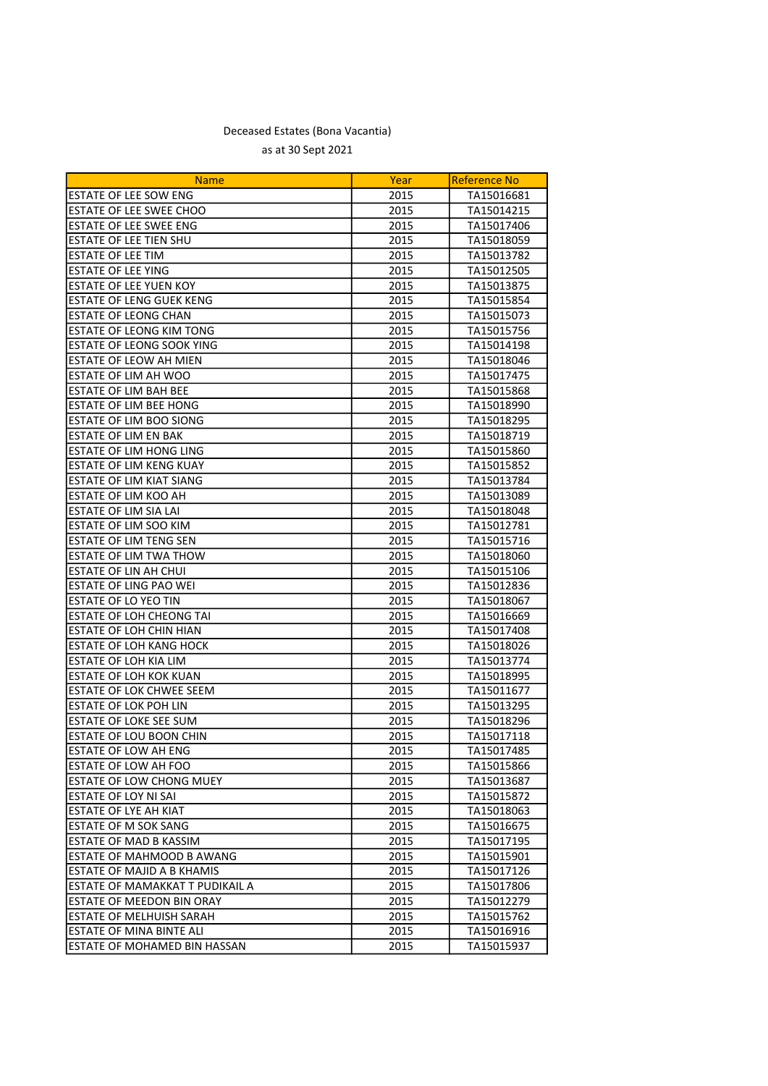| ESTATE OF LEE SOW ENG<br>2015<br>TA15016681<br>ESTATE OF LEE SWEE CHOO<br>2015<br>TA15014215<br>ESTATE OF LEE SWEE ENG<br>2015<br>TA15017406<br><b>ESTATE OF LEE TIEN SHU</b><br>2015<br>TA15018059<br><b>ESTATE OF LEE TIM</b><br>2015<br>TA15013782<br><b>ESTATE OF LEE YING</b><br>2015<br>TA15012505<br>ESTATE OF LEE YUEN KOY<br>2015<br>TA15013875<br><b>ESTATE OF LENG GUEK KENG</b><br>2015<br>TA15015854<br>ESTATE OF LEONG CHAN<br>2015<br>TA15015073<br><b>ESTATE OF LEONG KIM TONG</b><br>2015<br>TA15015756<br>ESTATE OF LEONG SOOK YING<br>2015<br>TA15014198<br><b>ESTATE OF LEOW AH MIEN</b><br>2015<br>TA15018046<br><b>ESTATE OF LIM AH WOO</b><br>TA15017475<br>2015<br><b>ESTATE OF LIM BAH BEE</b><br>2015<br>TA15015868<br><b>ESTATE OF LIM BEE HONG</b><br>2015<br>TA15018990<br>ESTATE OF LIM BOO SIONG<br>2015<br>TA15018295<br>ESTATE OF LIM EN BAK<br>2015<br>TA15018719<br>ESTATE OF LIM HONG LING<br>2015<br>TA15015860<br>ESTATE OF LIM KENG KUAY<br>2015<br>TA15015852<br>ESTATE OF LIM KIAT SIANG<br>2015<br>TA15013784<br><b>ESTATE OF LIM KOO AH</b><br>2015<br>TA15013089<br>ESTATE OF LIM SIA LAI<br>2015<br>TA15018048<br><b>ESTATE OF LIM SOO KIM</b><br>2015<br>TA15012781<br><b>ESTATE OF LIM TENG SEN</b><br>2015<br>TA15015716<br><b>ESTATE OF LIM TWA THOW</b><br>2015<br>TA15018060<br>ESTATE OF LIN AH CHUI<br>2015<br>TA15015106<br>ESTATE OF LING PAO WEI<br>2015<br>TA15012836<br>ESTATE OF LO YEO TIN<br>2015<br>TA15018067<br><b>ESTATE OF LOH CHEONG TAI</b><br>2015<br>TA15016669<br><b>ESTATE OF LOH CHIN HIAN</b><br>2015<br>TA15017408<br><b>ESTATE OF LOH KANG HOCK</b><br>2015<br>TA15018026<br>ESTATE OF LOH KIA LIM<br>2015<br>TA15013774<br>ESTATE OF LOH KOK KUAN<br>2015<br>TA15018995<br>ESTATE OF LOK CHWEE SEEM<br>2015<br>TA15011677<br>ESTATE OF LOK POH LIN<br>2015<br>TA15013295<br>ESTATE OF LOKE SEE SUM<br>2015<br>TA15018296<br>ESTATE OF LOU BOON CHIN<br>TA15017118<br>2015<br><b>ESTATE OF LOW AH ENG</b><br>2015<br>TA15017485<br><b>ESTATE OF LOW AH FOO</b><br>2015<br>TA15015866<br><b>ESTATE OF LOW CHONG MUEY</b><br>2015<br>TA15013687<br>IESTATE OF LOY NI SAI<br>2015<br>TA15015872<br><b>ESTATE OF LYE AH KIAT</b><br>2015<br>TA15018063<br>ESTATE OF M SOK SANG<br>2015<br>TA15016675<br><b>ESTATE OF MAD B KASSIM</b><br>2015<br>TA15017195<br><b>ESTATE OF MAHMOOD B AWANG</b><br>2015<br>TA15015901<br><b>LESTATE OF MAJID A B KHAMIS</b><br>2015<br>TA15017126<br>IESTATE OF MAMAKKAT T PUDIKAIL A<br>2015<br>TA15017806<br><b>ESTATE OF MEEDON BIN ORAY</b><br>2015<br>TA15012279<br>ESTATE OF MELHUISH SARAH<br>2015<br>TA15015762<br>IESTATE OF MINA BINTE ALI<br>2015<br>TA15016916<br>IESTATE OF MOHAMED BIN HASSAN<br>2015<br>TA15015937 | <b>Name</b> | Year | <b>Reference No</b> |
|-------------------------------------------------------------------------------------------------------------------------------------------------------------------------------------------------------------------------------------------------------------------------------------------------------------------------------------------------------------------------------------------------------------------------------------------------------------------------------------------------------------------------------------------------------------------------------------------------------------------------------------------------------------------------------------------------------------------------------------------------------------------------------------------------------------------------------------------------------------------------------------------------------------------------------------------------------------------------------------------------------------------------------------------------------------------------------------------------------------------------------------------------------------------------------------------------------------------------------------------------------------------------------------------------------------------------------------------------------------------------------------------------------------------------------------------------------------------------------------------------------------------------------------------------------------------------------------------------------------------------------------------------------------------------------------------------------------------------------------------------------------------------------------------------------------------------------------------------------------------------------------------------------------------------------------------------------------------------------------------------------------------------------------------------------------------------------------------------------------------------------------------------------------------------------------------------------------------------------------------------------------------------------------------------------------------------------------------------------------------------------------------------------------------------------------------------------------------------------------------------------------------------------------------------------------------------------------------------------------------------------------------------------------------------------------------------------------------------------------------|-------------|------|---------------------|
|                                                                                                                                                                                                                                                                                                                                                                                                                                                                                                                                                                                                                                                                                                                                                                                                                                                                                                                                                                                                                                                                                                                                                                                                                                                                                                                                                                                                                                                                                                                                                                                                                                                                                                                                                                                                                                                                                                                                                                                                                                                                                                                                                                                                                                                                                                                                                                                                                                                                                                                                                                                                                                                                                                                                           |             |      |                     |
|                                                                                                                                                                                                                                                                                                                                                                                                                                                                                                                                                                                                                                                                                                                                                                                                                                                                                                                                                                                                                                                                                                                                                                                                                                                                                                                                                                                                                                                                                                                                                                                                                                                                                                                                                                                                                                                                                                                                                                                                                                                                                                                                                                                                                                                                                                                                                                                                                                                                                                                                                                                                                                                                                                                                           |             |      |                     |
|                                                                                                                                                                                                                                                                                                                                                                                                                                                                                                                                                                                                                                                                                                                                                                                                                                                                                                                                                                                                                                                                                                                                                                                                                                                                                                                                                                                                                                                                                                                                                                                                                                                                                                                                                                                                                                                                                                                                                                                                                                                                                                                                                                                                                                                                                                                                                                                                                                                                                                                                                                                                                                                                                                                                           |             |      |                     |
|                                                                                                                                                                                                                                                                                                                                                                                                                                                                                                                                                                                                                                                                                                                                                                                                                                                                                                                                                                                                                                                                                                                                                                                                                                                                                                                                                                                                                                                                                                                                                                                                                                                                                                                                                                                                                                                                                                                                                                                                                                                                                                                                                                                                                                                                                                                                                                                                                                                                                                                                                                                                                                                                                                                                           |             |      |                     |
|                                                                                                                                                                                                                                                                                                                                                                                                                                                                                                                                                                                                                                                                                                                                                                                                                                                                                                                                                                                                                                                                                                                                                                                                                                                                                                                                                                                                                                                                                                                                                                                                                                                                                                                                                                                                                                                                                                                                                                                                                                                                                                                                                                                                                                                                                                                                                                                                                                                                                                                                                                                                                                                                                                                                           |             |      |                     |
|                                                                                                                                                                                                                                                                                                                                                                                                                                                                                                                                                                                                                                                                                                                                                                                                                                                                                                                                                                                                                                                                                                                                                                                                                                                                                                                                                                                                                                                                                                                                                                                                                                                                                                                                                                                                                                                                                                                                                                                                                                                                                                                                                                                                                                                                                                                                                                                                                                                                                                                                                                                                                                                                                                                                           |             |      |                     |
|                                                                                                                                                                                                                                                                                                                                                                                                                                                                                                                                                                                                                                                                                                                                                                                                                                                                                                                                                                                                                                                                                                                                                                                                                                                                                                                                                                                                                                                                                                                                                                                                                                                                                                                                                                                                                                                                                                                                                                                                                                                                                                                                                                                                                                                                                                                                                                                                                                                                                                                                                                                                                                                                                                                                           |             |      |                     |
|                                                                                                                                                                                                                                                                                                                                                                                                                                                                                                                                                                                                                                                                                                                                                                                                                                                                                                                                                                                                                                                                                                                                                                                                                                                                                                                                                                                                                                                                                                                                                                                                                                                                                                                                                                                                                                                                                                                                                                                                                                                                                                                                                                                                                                                                                                                                                                                                                                                                                                                                                                                                                                                                                                                                           |             |      |                     |
|                                                                                                                                                                                                                                                                                                                                                                                                                                                                                                                                                                                                                                                                                                                                                                                                                                                                                                                                                                                                                                                                                                                                                                                                                                                                                                                                                                                                                                                                                                                                                                                                                                                                                                                                                                                                                                                                                                                                                                                                                                                                                                                                                                                                                                                                                                                                                                                                                                                                                                                                                                                                                                                                                                                                           |             |      |                     |
|                                                                                                                                                                                                                                                                                                                                                                                                                                                                                                                                                                                                                                                                                                                                                                                                                                                                                                                                                                                                                                                                                                                                                                                                                                                                                                                                                                                                                                                                                                                                                                                                                                                                                                                                                                                                                                                                                                                                                                                                                                                                                                                                                                                                                                                                                                                                                                                                                                                                                                                                                                                                                                                                                                                                           |             |      |                     |
|                                                                                                                                                                                                                                                                                                                                                                                                                                                                                                                                                                                                                                                                                                                                                                                                                                                                                                                                                                                                                                                                                                                                                                                                                                                                                                                                                                                                                                                                                                                                                                                                                                                                                                                                                                                                                                                                                                                                                                                                                                                                                                                                                                                                                                                                                                                                                                                                                                                                                                                                                                                                                                                                                                                                           |             |      |                     |
|                                                                                                                                                                                                                                                                                                                                                                                                                                                                                                                                                                                                                                                                                                                                                                                                                                                                                                                                                                                                                                                                                                                                                                                                                                                                                                                                                                                                                                                                                                                                                                                                                                                                                                                                                                                                                                                                                                                                                                                                                                                                                                                                                                                                                                                                                                                                                                                                                                                                                                                                                                                                                                                                                                                                           |             |      |                     |
|                                                                                                                                                                                                                                                                                                                                                                                                                                                                                                                                                                                                                                                                                                                                                                                                                                                                                                                                                                                                                                                                                                                                                                                                                                                                                                                                                                                                                                                                                                                                                                                                                                                                                                                                                                                                                                                                                                                                                                                                                                                                                                                                                                                                                                                                                                                                                                                                                                                                                                                                                                                                                                                                                                                                           |             |      |                     |
|                                                                                                                                                                                                                                                                                                                                                                                                                                                                                                                                                                                                                                                                                                                                                                                                                                                                                                                                                                                                                                                                                                                                                                                                                                                                                                                                                                                                                                                                                                                                                                                                                                                                                                                                                                                                                                                                                                                                                                                                                                                                                                                                                                                                                                                                                                                                                                                                                                                                                                                                                                                                                                                                                                                                           |             |      |                     |
|                                                                                                                                                                                                                                                                                                                                                                                                                                                                                                                                                                                                                                                                                                                                                                                                                                                                                                                                                                                                                                                                                                                                                                                                                                                                                                                                                                                                                                                                                                                                                                                                                                                                                                                                                                                                                                                                                                                                                                                                                                                                                                                                                                                                                                                                                                                                                                                                                                                                                                                                                                                                                                                                                                                                           |             |      |                     |
|                                                                                                                                                                                                                                                                                                                                                                                                                                                                                                                                                                                                                                                                                                                                                                                                                                                                                                                                                                                                                                                                                                                                                                                                                                                                                                                                                                                                                                                                                                                                                                                                                                                                                                                                                                                                                                                                                                                                                                                                                                                                                                                                                                                                                                                                                                                                                                                                                                                                                                                                                                                                                                                                                                                                           |             |      |                     |
|                                                                                                                                                                                                                                                                                                                                                                                                                                                                                                                                                                                                                                                                                                                                                                                                                                                                                                                                                                                                                                                                                                                                                                                                                                                                                                                                                                                                                                                                                                                                                                                                                                                                                                                                                                                                                                                                                                                                                                                                                                                                                                                                                                                                                                                                                                                                                                                                                                                                                                                                                                                                                                                                                                                                           |             |      |                     |
|                                                                                                                                                                                                                                                                                                                                                                                                                                                                                                                                                                                                                                                                                                                                                                                                                                                                                                                                                                                                                                                                                                                                                                                                                                                                                                                                                                                                                                                                                                                                                                                                                                                                                                                                                                                                                                                                                                                                                                                                                                                                                                                                                                                                                                                                                                                                                                                                                                                                                                                                                                                                                                                                                                                                           |             |      |                     |
|                                                                                                                                                                                                                                                                                                                                                                                                                                                                                                                                                                                                                                                                                                                                                                                                                                                                                                                                                                                                                                                                                                                                                                                                                                                                                                                                                                                                                                                                                                                                                                                                                                                                                                                                                                                                                                                                                                                                                                                                                                                                                                                                                                                                                                                                                                                                                                                                                                                                                                                                                                                                                                                                                                                                           |             |      |                     |
|                                                                                                                                                                                                                                                                                                                                                                                                                                                                                                                                                                                                                                                                                                                                                                                                                                                                                                                                                                                                                                                                                                                                                                                                                                                                                                                                                                                                                                                                                                                                                                                                                                                                                                                                                                                                                                                                                                                                                                                                                                                                                                                                                                                                                                                                                                                                                                                                                                                                                                                                                                                                                                                                                                                                           |             |      |                     |
|                                                                                                                                                                                                                                                                                                                                                                                                                                                                                                                                                                                                                                                                                                                                                                                                                                                                                                                                                                                                                                                                                                                                                                                                                                                                                                                                                                                                                                                                                                                                                                                                                                                                                                                                                                                                                                                                                                                                                                                                                                                                                                                                                                                                                                                                                                                                                                                                                                                                                                                                                                                                                                                                                                                                           |             |      |                     |
|                                                                                                                                                                                                                                                                                                                                                                                                                                                                                                                                                                                                                                                                                                                                                                                                                                                                                                                                                                                                                                                                                                                                                                                                                                                                                                                                                                                                                                                                                                                                                                                                                                                                                                                                                                                                                                                                                                                                                                                                                                                                                                                                                                                                                                                                                                                                                                                                                                                                                                                                                                                                                                                                                                                                           |             |      |                     |
|                                                                                                                                                                                                                                                                                                                                                                                                                                                                                                                                                                                                                                                                                                                                                                                                                                                                                                                                                                                                                                                                                                                                                                                                                                                                                                                                                                                                                                                                                                                                                                                                                                                                                                                                                                                                                                                                                                                                                                                                                                                                                                                                                                                                                                                                                                                                                                                                                                                                                                                                                                                                                                                                                                                                           |             |      |                     |
|                                                                                                                                                                                                                                                                                                                                                                                                                                                                                                                                                                                                                                                                                                                                                                                                                                                                                                                                                                                                                                                                                                                                                                                                                                                                                                                                                                                                                                                                                                                                                                                                                                                                                                                                                                                                                                                                                                                                                                                                                                                                                                                                                                                                                                                                                                                                                                                                                                                                                                                                                                                                                                                                                                                                           |             |      |                     |
|                                                                                                                                                                                                                                                                                                                                                                                                                                                                                                                                                                                                                                                                                                                                                                                                                                                                                                                                                                                                                                                                                                                                                                                                                                                                                                                                                                                                                                                                                                                                                                                                                                                                                                                                                                                                                                                                                                                                                                                                                                                                                                                                                                                                                                                                                                                                                                                                                                                                                                                                                                                                                                                                                                                                           |             |      |                     |
|                                                                                                                                                                                                                                                                                                                                                                                                                                                                                                                                                                                                                                                                                                                                                                                                                                                                                                                                                                                                                                                                                                                                                                                                                                                                                                                                                                                                                                                                                                                                                                                                                                                                                                                                                                                                                                                                                                                                                                                                                                                                                                                                                                                                                                                                                                                                                                                                                                                                                                                                                                                                                                                                                                                                           |             |      |                     |
|                                                                                                                                                                                                                                                                                                                                                                                                                                                                                                                                                                                                                                                                                                                                                                                                                                                                                                                                                                                                                                                                                                                                                                                                                                                                                                                                                                                                                                                                                                                                                                                                                                                                                                                                                                                                                                                                                                                                                                                                                                                                                                                                                                                                                                                                                                                                                                                                                                                                                                                                                                                                                                                                                                                                           |             |      |                     |
|                                                                                                                                                                                                                                                                                                                                                                                                                                                                                                                                                                                                                                                                                                                                                                                                                                                                                                                                                                                                                                                                                                                                                                                                                                                                                                                                                                                                                                                                                                                                                                                                                                                                                                                                                                                                                                                                                                                                                                                                                                                                                                                                                                                                                                                                                                                                                                                                                                                                                                                                                                                                                                                                                                                                           |             |      |                     |
|                                                                                                                                                                                                                                                                                                                                                                                                                                                                                                                                                                                                                                                                                                                                                                                                                                                                                                                                                                                                                                                                                                                                                                                                                                                                                                                                                                                                                                                                                                                                                                                                                                                                                                                                                                                                                                                                                                                                                                                                                                                                                                                                                                                                                                                                                                                                                                                                                                                                                                                                                                                                                                                                                                                                           |             |      |                     |
|                                                                                                                                                                                                                                                                                                                                                                                                                                                                                                                                                                                                                                                                                                                                                                                                                                                                                                                                                                                                                                                                                                                                                                                                                                                                                                                                                                                                                                                                                                                                                                                                                                                                                                                                                                                                                                                                                                                                                                                                                                                                                                                                                                                                                                                                                                                                                                                                                                                                                                                                                                                                                                                                                                                                           |             |      |                     |
|                                                                                                                                                                                                                                                                                                                                                                                                                                                                                                                                                                                                                                                                                                                                                                                                                                                                                                                                                                                                                                                                                                                                                                                                                                                                                                                                                                                                                                                                                                                                                                                                                                                                                                                                                                                                                                                                                                                                                                                                                                                                                                                                                                                                                                                                                                                                                                                                                                                                                                                                                                                                                                                                                                                                           |             |      |                     |
|                                                                                                                                                                                                                                                                                                                                                                                                                                                                                                                                                                                                                                                                                                                                                                                                                                                                                                                                                                                                                                                                                                                                                                                                                                                                                                                                                                                                                                                                                                                                                                                                                                                                                                                                                                                                                                                                                                                                                                                                                                                                                                                                                                                                                                                                                                                                                                                                                                                                                                                                                                                                                                                                                                                                           |             |      |                     |
|                                                                                                                                                                                                                                                                                                                                                                                                                                                                                                                                                                                                                                                                                                                                                                                                                                                                                                                                                                                                                                                                                                                                                                                                                                                                                                                                                                                                                                                                                                                                                                                                                                                                                                                                                                                                                                                                                                                                                                                                                                                                                                                                                                                                                                                                                                                                                                                                                                                                                                                                                                                                                                                                                                                                           |             |      |                     |
|                                                                                                                                                                                                                                                                                                                                                                                                                                                                                                                                                                                                                                                                                                                                                                                                                                                                                                                                                                                                                                                                                                                                                                                                                                                                                                                                                                                                                                                                                                                                                                                                                                                                                                                                                                                                                                                                                                                                                                                                                                                                                                                                                                                                                                                                                                                                                                                                                                                                                                                                                                                                                                                                                                                                           |             |      |                     |
|                                                                                                                                                                                                                                                                                                                                                                                                                                                                                                                                                                                                                                                                                                                                                                                                                                                                                                                                                                                                                                                                                                                                                                                                                                                                                                                                                                                                                                                                                                                                                                                                                                                                                                                                                                                                                                                                                                                                                                                                                                                                                                                                                                                                                                                                                                                                                                                                                                                                                                                                                                                                                                                                                                                                           |             |      |                     |
|                                                                                                                                                                                                                                                                                                                                                                                                                                                                                                                                                                                                                                                                                                                                                                                                                                                                                                                                                                                                                                                                                                                                                                                                                                                                                                                                                                                                                                                                                                                                                                                                                                                                                                                                                                                                                                                                                                                                                                                                                                                                                                                                                                                                                                                                                                                                                                                                                                                                                                                                                                                                                                                                                                                                           |             |      |                     |
|                                                                                                                                                                                                                                                                                                                                                                                                                                                                                                                                                                                                                                                                                                                                                                                                                                                                                                                                                                                                                                                                                                                                                                                                                                                                                                                                                                                                                                                                                                                                                                                                                                                                                                                                                                                                                                                                                                                                                                                                                                                                                                                                                                                                                                                                                                                                                                                                                                                                                                                                                                                                                                                                                                                                           |             |      |                     |
|                                                                                                                                                                                                                                                                                                                                                                                                                                                                                                                                                                                                                                                                                                                                                                                                                                                                                                                                                                                                                                                                                                                                                                                                                                                                                                                                                                                                                                                                                                                                                                                                                                                                                                                                                                                                                                                                                                                                                                                                                                                                                                                                                                                                                                                                                                                                                                                                                                                                                                                                                                                                                                                                                                                                           |             |      |                     |
|                                                                                                                                                                                                                                                                                                                                                                                                                                                                                                                                                                                                                                                                                                                                                                                                                                                                                                                                                                                                                                                                                                                                                                                                                                                                                                                                                                                                                                                                                                                                                                                                                                                                                                                                                                                                                                                                                                                                                                                                                                                                                                                                                                                                                                                                                                                                                                                                                                                                                                                                                                                                                                                                                                                                           |             |      |                     |
|                                                                                                                                                                                                                                                                                                                                                                                                                                                                                                                                                                                                                                                                                                                                                                                                                                                                                                                                                                                                                                                                                                                                                                                                                                                                                                                                                                                                                                                                                                                                                                                                                                                                                                                                                                                                                                                                                                                                                                                                                                                                                                                                                                                                                                                                                                                                                                                                                                                                                                                                                                                                                                                                                                                                           |             |      |                     |
|                                                                                                                                                                                                                                                                                                                                                                                                                                                                                                                                                                                                                                                                                                                                                                                                                                                                                                                                                                                                                                                                                                                                                                                                                                                                                                                                                                                                                                                                                                                                                                                                                                                                                                                                                                                                                                                                                                                                                                                                                                                                                                                                                                                                                                                                                                                                                                                                                                                                                                                                                                                                                                                                                                                                           |             |      |                     |
|                                                                                                                                                                                                                                                                                                                                                                                                                                                                                                                                                                                                                                                                                                                                                                                                                                                                                                                                                                                                                                                                                                                                                                                                                                                                                                                                                                                                                                                                                                                                                                                                                                                                                                                                                                                                                                                                                                                                                                                                                                                                                                                                                                                                                                                                                                                                                                                                                                                                                                                                                                                                                                                                                                                                           |             |      |                     |
|                                                                                                                                                                                                                                                                                                                                                                                                                                                                                                                                                                                                                                                                                                                                                                                                                                                                                                                                                                                                                                                                                                                                                                                                                                                                                                                                                                                                                                                                                                                                                                                                                                                                                                                                                                                                                                                                                                                                                                                                                                                                                                                                                                                                                                                                                                                                                                                                                                                                                                                                                                                                                                                                                                                                           |             |      |                     |
|                                                                                                                                                                                                                                                                                                                                                                                                                                                                                                                                                                                                                                                                                                                                                                                                                                                                                                                                                                                                                                                                                                                                                                                                                                                                                                                                                                                                                                                                                                                                                                                                                                                                                                                                                                                                                                                                                                                                                                                                                                                                                                                                                                                                                                                                                                                                                                                                                                                                                                                                                                                                                                                                                                                                           |             |      |                     |
|                                                                                                                                                                                                                                                                                                                                                                                                                                                                                                                                                                                                                                                                                                                                                                                                                                                                                                                                                                                                                                                                                                                                                                                                                                                                                                                                                                                                                                                                                                                                                                                                                                                                                                                                                                                                                                                                                                                                                                                                                                                                                                                                                                                                                                                                                                                                                                                                                                                                                                                                                                                                                                                                                                                                           |             |      |                     |
|                                                                                                                                                                                                                                                                                                                                                                                                                                                                                                                                                                                                                                                                                                                                                                                                                                                                                                                                                                                                                                                                                                                                                                                                                                                                                                                                                                                                                                                                                                                                                                                                                                                                                                                                                                                                                                                                                                                                                                                                                                                                                                                                                                                                                                                                                                                                                                                                                                                                                                                                                                                                                                                                                                                                           |             |      |                     |
|                                                                                                                                                                                                                                                                                                                                                                                                                                                                                                                                                                                                                                                                                                                                                                                                                                                                                                                                                                                                                                                                                                                                                                                                                                                                                                                                                                                                                                                                                                                                                                                                                                                                                                                                                                                                                                                                                                                                                                                                                                                                                                                                                                                                                                                                                                                                                                                                                                                                                                                                                                                                                                                                                                                                           |             |      |                     |
|                                                                                                                                                                                                                                                                                                                                                                                                                                                                                                                                                                                                                                                                                                                                                                                                                                                                                                                                                                                                                                                                                                                                                                                                                                                                                                                                                                                                                                                                                                                                                                                                                                                                                                                                                                                                                                                                                                                                                                                                                                                                                                                                                                                                                                                                                                                                                                                                                                                                                                                                                                                                                                                                                                                                           |             |      |                     |
|                                                                                                                                                                                                                                                                                                                                                                                                                                                                                                                                                                                                                                                                                                                                                                                                                                                                                                                                                                                                                                                                                                                                                                                                                                                                                                                                                                                                                                                                                                                                                                                                                                                                                                                                                                                                                                                                                                                                                                                                                                                                                                                                                                                                                                                                                                                                                                                                                                                                                                                                                                                                                                                                                                                                           |             |      |                     |
|                                                                                                                                                                                                                                                                                                                                                                                                                                                                                                                                                                                                                                                                                                                                                                                                                                                                                                                                                                                                                                                                                                                                                                                                                                                                                                                                                                                                                                                                                                                                                                                                                                                                                                                                                                                                                                                                                                                                                                                                                                                                                                                                                                                                                                                                                                                                                                                                                                                                                                                                                                                                                                                                                                                                           |             |      |                     |
|                                                                                                                                                                                                                                                                                                                                                                                                                                                                                                                                                                                                                                                                                                                                                                                                                                                                                                                                                                                                                                                                                                                                                                                                                                                                                                                                                                                                                                                                                                                                                                                                                                                                                                                                                                                                                                                                                                                                                                                                                                                                                                                                                                                                                                                                                                                                                                                                                                                                                                                                                                                                                                                                                                                                           |             |      |                     |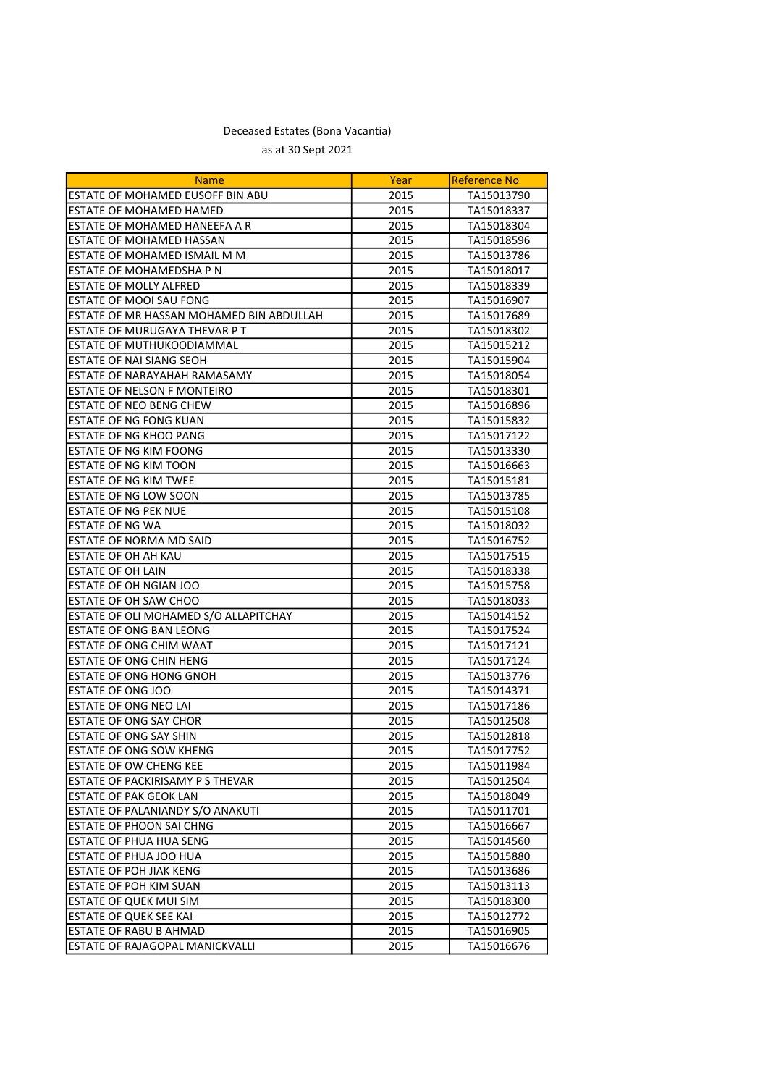| <b>Name</b>                                  | Year | <b>Reference No</b> |
|----------------------------------------------|------|---------------------|
| ESTATE OF MOHAMED EUSOFF BIN ABU             | 2015 | TA15013790          |
| ESTATE OF MOHAMED HAMED                      | 2015 | TA15018337          |
| IESTATE OF MOHAMED HANEEFA A R               | 2015 | TA15018304          |
| <b>LESTATE OF MOHAMED HASSAN</b>             | 2015 | TA15018596          |
| ESTATE OF MOHAMED ISMAIL M M                 | 2015 | TA15013786          |
| <b>ESTATE OF MOHAMEDSHA P N</b>              | 2015 | TA15018017          |
| <b>ESTATE OF MOLLY ALFRED</b>                | 2015 | TA15018339          |
| ESTATE OF MOOI SAU FONG                      | 2015 | TA15016907          |
| ESTATE OF MR HASSAN MOHAMED BIN ABDULLAH     | 2015 | TA15017689          |
| ESTATE OF MURUGAYA THEVAR P T                | 2015 | TA15018302          |
| <b>ESTATE OF MUTHUKOODIAMMAL</b>             | 2015 | TA15015212          |
| <b>ESTATE OF NAI SIANG SEOH</b>              | 2015 | TA15015904          |
| <b>ESTATE OF NARAYAHAH RAMASAMY</b>          | 2015 | TA15018054          |
| ESTATE OF NELSON F MONTEIRO                  | 2015 | TA15018301          |
| ESTATE OF NEO BENG CHEW                      | 2015 | TA15016896          |
| ESTATE OF NG FONG KUAN                       | 2015 | TA15015832          |
| ESTATE OF NG KHOO PANG                       | 2015 | TA15017122          |
| ESTATE OF NG KIM FOONG                       | 2015 | TA15013330          |
| <b>ESTATE OF NG KIM TOON</b>                 | 2015 | TA15016663          |
| <b>ESTATE OF NG KIM TWEE</b>                 | 2015 | TA15015181          |
| ESTATE OF NG LOW SOON                        | 2015 | TA15013785          |
| <b>ESTATE OF NG PEK NUE</b>                  | 2015 | TA15015108          |
| <b>ESTATE OF NG WA</b>                       | 2015 | TA15018032          |
| ESTATE OF NORMA MD SAID                      | 2015 | TA15016752          |
| <b>ESTATE OF OH AH KAU</b>                   | 2015 | TA15017515          |
| ESTATE OF OH LAIN                            | 2015 | TA15018338          |
| ESTATE OF OH NGIAN JOO                       | 2015 | TA15015758          |
| <b>ESTATE OF OH SAW CHOO</b>                 | 2015 | TA15018033          |
| <b>ESTATE OF OLI MOHAMED S/O ALLAPITCHAY</b> | 2015 | TA15014152          |
| <b>ESTATE OF ONG BAN LEONG</b>               | 2015 | TA15017524          |
| ESTATE OF ONG CHIM WAAT                      | 2015 | TA15017121          |
| ESTATE OF ONG CHIN HENG                      | 2015 | TA15017124          |
| ESTATE OF ONG HONG GNOH                      | 2015 | TA15013776          |
| ESTATE OF ONG JOO                            | 2015 | TA15014371          |
| <b>ESTATE OF ONG NEO LAI</b>                 | 2015 | TA15017186          |
| <b>LESTATE OF ONG SAY CHOR</b>               | 2015 | TA15012508          |
| <b>ESTATE OF ONG SAY SHIN</b>                | 2015 | TA15012818          |
| <b>ESTATE OF ONG SOW KHENG</b>               | 2015 | TA15017752          |
| IESTATE OF OW CHENG KEE                      | 2015 | TA15011984          |
| <b>ESTATE OF PACKIRISAMY P S THEVAR</b>      | 2015 | TA15012504          |
| <b>ESTATE OF PAK GEOK LAN</b>                | 2015 | TA15018049          |
| ESTATE OF PALANIANDY S/O ANAKUTI             | 2015 | TA15011701          |
| <b>ESTATE OF PHOON SAI CHNG</b>              | 2015 | TA15016667          |
| <b>ESTATE OF PHUA HUA SENG</b>               | 2015 | TA15014560          |
| ESTATE OF PHUA JOO HUA                       | 2015 | TA15015880          |
| <b>ESTATE OF POH JIAK KENG</b>               | 2015 | TA15013686          |
| ESTATE OF POH KIM SUAN                       | 2015 | TA15013113          |
| ESTATE OF QUEK MUI SIM                       | 2015 | TA15018300          |
| <b>ESTATE OF QUEK SEE KAI</b>                | 2015 | TA15012772          |
| <b>ESTATE OF RABU B AHMAD</b>                | 2015 | TA15016905          |
| <b>ESTATE OF RAJAGOPAL MANICKVALLI</b>       | 2015 | TA15016676          |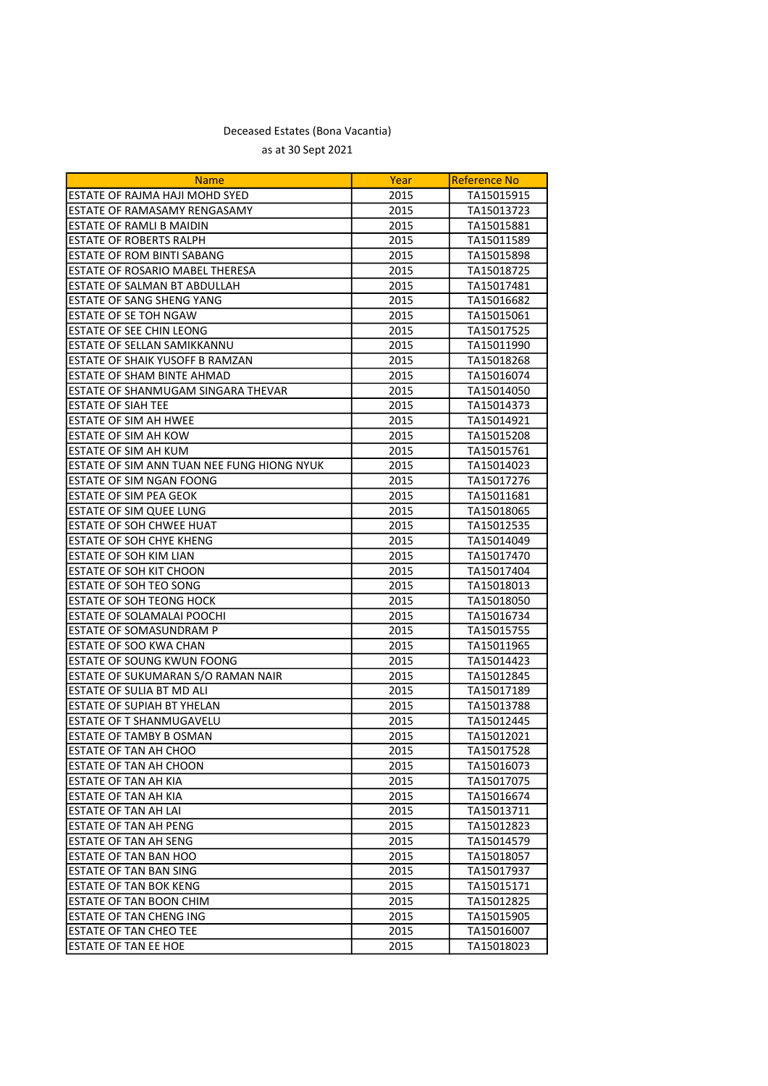| <b>Name</b>                                | Year | <b>Reference No</b> |
|--------------------------------------------|------|---------------------|
| ESTATE OF RAJMA HAJI MOHD SYED             | 2015 | TA15015915          |
| ESTATE OF RAMASAMY RENGASAMY               | 2015 | TA15013723          |
| ESTATE OF RAMLI B MAIDIN                   | 2015 | TA15015881          |
| ESTATE OF ROBERTS RALPH                    | 2015 | TA15011589          |
| ESTATE OF ROM BINTI SABANG                 | 2015 | TA15015898          |
|                                            |      |                     |
| ESTATE OF ROSARIO MABEL THERESA            | 2015 | TA15018725          |
| ESTATE OF SALMAN BT ABDULLAH               | 2015 | TA15017481          |
| ESTATE OF SANG SHENG YANG                  | 2015 | TA15016682          |
| ESTATE OF SE TOH NGAW                      | 2015 | TA15015061          |
| <b>ESTATE OF SEE CHIN LEONG</b>            | 2015 | TA15017525          |
| ESTATE OF SELLAN SAMIKKANNU                | 2015 | TA15011990          |
| ESTATE OF SHAIK YUSOFF B RAMZAN            | 2015 | TA15018268          |
| ESTATE OF SHAM BINTE AHMAD                 | 2015 | TA15016074          |
| ESTATE OF SHANMUGAM SINGARA THEVAR         | 2015 | TA15014050          |
| <b>ESTATE OF SIAH TEE</b>                  | 2015 | TA15014373          |
| <b>ESTATE OF SIM AH HWEE</b>               | 2015 | TA15014921          |
| <b>ESTATE OF SIM AH KOW</b>                | 2015 | TA15015208          |
| ESTATE OF SIM AH KUM                       | 2015 | TA15015761          |
| ESTATE OF SIM ANN TUAN NEE FUNG HIONG NYUK | 2015 | TA15014023          |
| <b>ESTATE OF SIM NGAN FOONG</b>            | 2015 | TA15017276          |
| ESTATE OF SIM PEA GEOK                     | 2015 | TA15011681          |
| ESTATE OF SIM QUEE LUNG                    | 2015 | TA15018065          |
| <b>ESTATE OF SOH CHWEE HUAT</b>            | 2015 | TA15012535          |
| <b>ESTATE OF SOH CHYE KHENG</b>            | 2015 | TA15014049          |
| ESTATE OF SOH KIM LIAN                     | 2015 | TA15017470          |
| ESTATE OF SOH KIT CHOON                    | 2015 | TA15017404          |
| ESTATE OF SOH TEO SONG                     | 2015 | TA15018013          |
| ESTATE OF SOH TEONG HOCK                   | 2015 | TA15018050          |
| ESTATE OF SOLAMALAI POOCHI                 | 2015 | TA15016734          |
| <b>ESTATE OF SOMASUNDRAM P</b>             | 2015 | TA15015755          |
| ESTATE OF SOO KWA CHAN                     | 2015 | TA15011965          |
| ESTATE OF SOUNG KWUN FOONG                 | 2015 | TA15014423          |
| ESTATE OF SUKUMARAN S/O RAMAN NAIR         | 2015 | TA15012845          |
| ESTATE OF SULIA BT MD ALI                  | 2015 | TA15017189          |
| ESTATE OF SUPIAH BT YHELAN                 | 2015 | TA15013788          |
| <b>ESTATE OF T SHANMUGAVELU</b>            | 2015 | TA15012445          |
| ESTATE OF TAMBY B OSMAN                    | 2015 | TA15012021          |
| <b>ESTATE OF TAN AH CHOO</b>               | 2015 | TA15017528          |
| ESTATE OF TAN AH CHOON                     | 2015 | TA15016073          |
| ESTATE OF TAN AH KIA                       | 2015 | TA15017075          |
| ESTATE OF TAN AH KIA                       | 2015 | TA15016674          |
| ESTATE OF TAN AH LAI                       | 2015 | TA15013711          |
| <b>ESTATE OF TAN AH PENG</b>               | 2015 | TA15012823          |
| ESTATE OF TAN AH SENG                      | 2015 | TA15014579          |
| ESTATE OF TAN BAN HOO                      | 2015 | TA15018057          |
| <b>ESTATE OF TAN BAN SING</b>              | 2015 | TA15017937          |
| <b>ESTATE OF TAN BOK KENG</b>              | 2015 | TA15015171          |
| ESTATE OF TAN BOON CHIM                    | 2015 | TA15012825          |
| <b>ESTATE OF TAN CHENG ING</b>             | 2015 | TA15015905          |
| <b>ESTATE OF TAN CHEO TEE</b>              | 2015 | TA15016007          |
| ESTATE OF TAN EE HOE                       | 2015 | TA15018023          |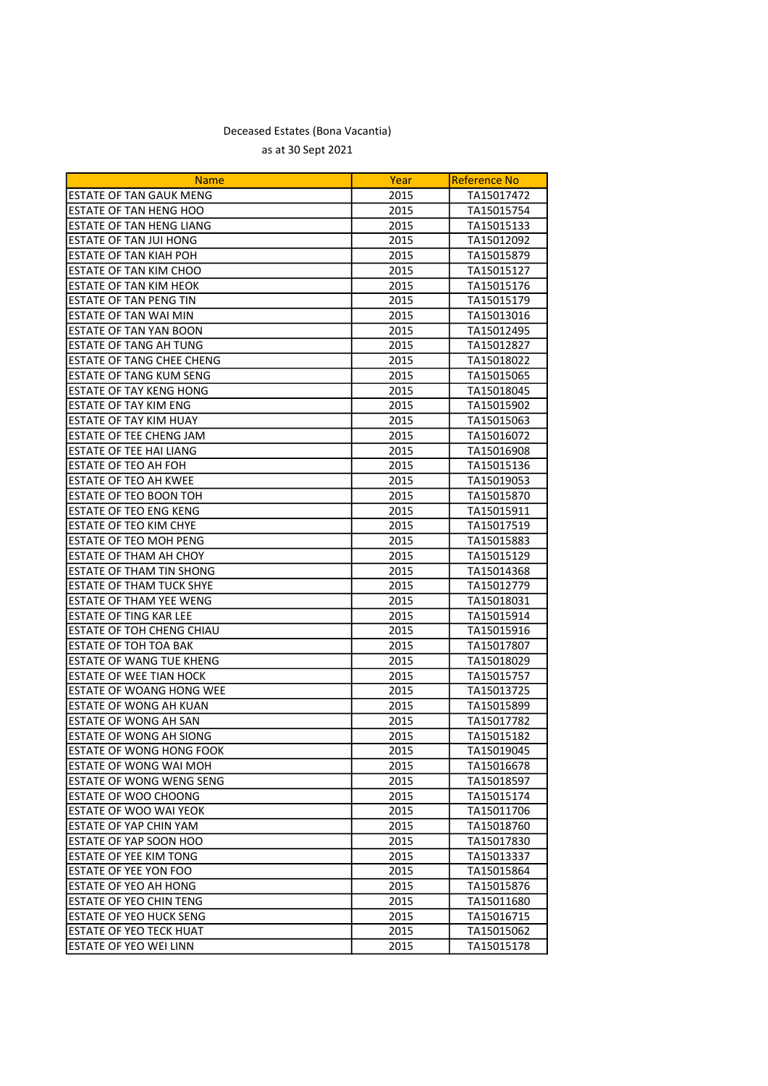| <b>Name</b>                      | Year | <b>Reference No</b> |
|----------------------------------|------|---------------------|
| <b>ESTATE OF TAN GAUK MENG</b>   | 2015 | TA15017472          |
| <b>ESTATE OF TAN HENG HOO</b>    | 2015 | TA15015754          |
| ESTATE OF TAN HENG LIANG         | 2015 | TA15015133          |
| ESTATE OF TAN JUI HONG           | 2015 | TA15012092          |
| <b>ESTATE OF TAN KIAH POH</b>    | 2015 | TA15015879          |
| ESTATE OF TAN KIM CHOO           | 2015 | TA15015127          |
| ESTATE OF TAN KIM HEOK           | 2015 | TA15015176          |
| <b>ESTATE OF TAN PENG TIN</b>    | 2015 | TA15015179          |
| ESTATE OF TAN WAI MIN            | 2015 | TA15013016          |
| <b>ESTATE OF TAN YAN BOON</b>    | 2015 | TA15012495          |
| <b>ESTATE OF TANG AH TUNG</b>    | 2015 | TA15012827          |
| <b>ESTATE OF TANG CHEE CHENG</b> | 2015 | TA15018022          |
| ESTATE OF TANG KUM SENG          | 2015 | TA15015065          |
| <b>ESTATE OF TAY KENG HONG</b>   | 2015 | TA15018045          |
| ESTATE OF TAY KIM ENG            | 2015 | TA15015902          |
| ESTATE OF TAY KIM HUAY           | 2015 | TA15015063          |
| ESTATE OF TEE CHENG JAM          | 2015 | TA15016072          |
| <b>ESTATE OF TEE HAI LIANG</b>   | 2015 | TA15016908          |
| ESTATE OF TEO AH FOH             | 2015 | TA15015136          |
| ESTATE OF TEO AH KWEE            | 2015 | TA15019053          |
| ESTATE OF TEO BOON TOH           | 2015 | TA15015870          |
| ESTATE OF TEO ENG KENG           | 2015 | TA15015911          |
| ESTATE OF TEO KIM CHYE           | 2015 | TA15017519          |
| <b>ESTATE OF TEO MOH PENG</b>    | 2015 | TA15015883          |
| ESTATE OF THAM AH CHOY           | 2015 | TA15015129          |
| ESTATE OF THAM TIN SHONG         | 2015 | TA15014368          |
| <b>ESTATE OF THAM TUCK SHYE</b>  | 2015 | TA15012779          |
| <b>ESTATE OF THAM YEE WENG</b>   | 2015 | TA15018031          |
| <b>ESTATE OF TING KAR LEE</b>    | 2015 | TA15015914          |
| ESTATE OF TOH CHENG CHIAU        | 2015 | TA15015916          |
| ESTATE OF TOH TOA BAK            | 2015 | TA15017807          |
| <b>ESTATE OF WANG TUE KHENG</b>  | 2015 | TA15018029          |
| ESTATE OF WEE TIAN HOCK          | 2015 | TA15015757          |
| ESTATE OF WOANG HONG WEE         | 2015 | TA15013725          |
| ESTATE OF WONG AH KUAN           | 2015 | TA15015899          |
| ESTATE OF WONG AH SAN            | 2015 | TA15017782          |
| ESTATE OF WONG AH SIONG          | 2015 | TA15015182          |
| ESTATE OF WONG HONG FOOK         | 2015 | TA15019045          |
| ESTATE OF WONG WAI MOH           | 2015 | TA15016678          |
| <b>ESTATE OF WONG WENG SENG</b>  | 2015 | TA15018597          |
| ESTATE OF WOO CHOONG             | 2015 | TA15015174          |
| <b>ESTATE OF WOO WAI YEOK</b>    | 2015 | TA15011706          |
| <b>ESTATE OF YAP CHIN YAM</b>    | 2015 | TA15018760          |
| ESTATE OF YAP SOON HOO           | 2015 | TA15017830          |
| ESTATE OF YEE KIM TONG           | 2015 | TA15013337          |
| ESTATE OF YEE YON FOO            | 2015 | TA15015864          |
| ESTATE OF YEO AH HONG            | 2015 | TA15015876          |
| <b>ESTATE OF YEO CHIN TENG</b>   | 2015 | TA15011680          |
| <b>ESTATE OF YEO HUCK SENG</b>   | 2015 | TA15016715          |
| <b>ESTATE OF YEO TECK HUAT</b>   | 2015 | TA15015062          |
| ESTATE OF YEO WEI LINN           | 2015 | TA15015178          |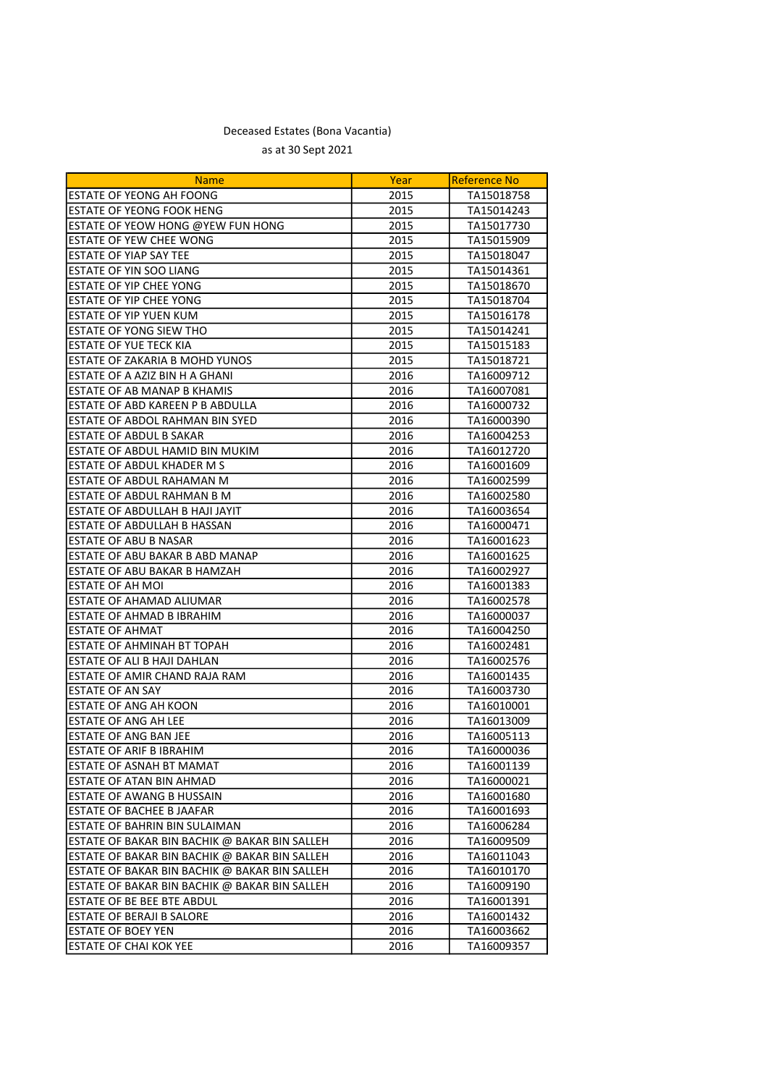| <b>Name</b>                                   | Year | <b>Reference No</b> |
|-----------------------------------------------|------|---------------------|
| ESTATE OF YEONG AH FOONG                      | 2015 | TA15018758          |
| ESTATE OF YEONG FOOK HENG                     | 2015 | TA15014243          |
| ESTATE OF YEOW HONG @YEW FUN HONG             | 2015 | TA15017730          |
| <b>ESTATE OF YEW CHEE WONG</b>                | 2015 | TA15015909          |
| ESTATE OF YIAP SAY TEE                        | 2015 | TA15018047          |
| ESTATE OF YIN SOO LIANG                       | 2015 | TA15014361          |
| ESTATE OF YIP CHEE YONG                       | 2015 | TA15018670          |
| <b>ESTATE OF YIP CHEE YONG</b>                | 2015 | TA15018704          |
| ESTATE OF YIP YUEN KUM                        | 2015 | TA15016178          |
| ESTATE OF YONG SIEW THO                       | 2015 | TA15014241          |
| <b>ESTATE OF YUE TECK KIA</b>                 | 2015 | TA15015183          |
| ESTATE OF ZAKARIA B MOHD YUNOS                | 2015 | TA15018721          |
| ESTATE OF A AZIZ BIN H A GHANI                | 2016 | TA16009712          |
| ESTATE OF AB MANAP B KHAMIS                   | 2016 | TA16007081          |
| ESTATE OF ABD KAREEN P B ABDULLA              | 2016 | TA16000732          |
| ESTATE OF ABDOL RAHMAN BIN SYED               | 2016 | TA16000390          |
| <b>ESTATE OF ABDUL B SAKAR</b>                | 2016 | TA16004253          |
| ESTATE OF ABDUL HAMID BIN MUKIM               | 2016 | TA16012720          |
| <b>ESTATE OF ABDUL KHADER M S</b>             | 2016 | TA16001609          |
| ESTATE OF ABDUL RAHAMAN M                     | 2016 | TA16002599          |
| ESTATE OF ABDUL RAHMAN B M                    | 2016 | TA16002580          |
| ESTATE OF ABDULLAH B HAJI JAYIT               | 2016 | TA16003654          |
| ESTATE OF ABDULLAH B HASSAN                   | 2016 | TA16000471          |
| <b>ESTATE OF ABU B NASAR</b>                  | 2016 | TA16001623          |
| ESTATE OF ABU BAKAR B ABD MANAP               | 2016 | TA16001625          |
| ESTATE OF ABU BAKAR B HAMZAH                  | 2016 | TA16002927          |
| ESTATE OF AH MOI                              | 2016 | TA16001383          |
| ESTATE OF AHAMAD ALIUMAR                      | 2016 | TA16002578          |
| ESTATE OF AHMAD B IBRAHIM                     | 2016 | TA16000037          |
| <b>ESTATE OF AHMAT</b>                        | 2016 | TA16004250          |
| ESTATE OF AHMINAH BT TOPAH                    | 2016 | TA16002481          |
| ESTATE OF ALI B HAJI DAHLAN                   | 2016 | TA16002576          |
| ESTATE OF AMIR CHAND RAJA RAM                 | 2016 | TA16001435          |
| <b>ESTATE OF AN SAY</b>                       | 2016 | TA16003730          |
| ESTATE OF ANG AH KOON                         | 2016 | TA16010001          |
| <b>ESTATE OF ANG AH LEE</b>                   | 2016 | TA16013009          |
| ESTATE OF ANG BAN JEE                         | 2016 | TA16005113          |
| <b>ESTATE OF ARIF B IBRAHIM</b>               | 2016 | TA16000036          |
| IESTATE OF ASNAH BT MAMAT                     | 2016 | TA16001139          |
| ESTATE OF ATAN BIN AHMAD                      | 2016 | TA16000021          |
| ESTATE OF AWANG B HUSSAIN                     | 2016 | TA16001680          |
| <b>ESTATE OF BACHEE B JAAFAR</b>              | 2016 | TA16001693          |
| ESTATE OF BAHRIN BIN SULAIMAN                 | 2016 | TA16006284          |
| ESTATE OF BAKAR BIN BACHIK @ BAKAR BIN SALLEH | 2016 | TA16009509          |
| ESTATE OF BAKAR BIN BACHIK @ BAKAR BIN SALLEH | 2016 | TA16011043          |
| ESTATE OF BAKAR BIN BACHIK @ BAKAR BIN SALLEH | 2016 | TA16010170          |
| ESTATE OF BAKAR BIN BACHIK @ BAKAR BIN SALLEH | 2016 | TA16009190          |
| <b>ESTATE OF BE BEE BTE ABDUL</b>             | 2016 | TA16001391          |
| <b>ESTATE OF BERAJI B SALORE</b>              | 2016 | TA16001432          |
| <b>ESTATE OF BOEY YEN</b>                     | 2016 | TA16003662          |
| <b>ESTATE OF CHAI KOK YEE</b>                 | 2016 | TA16009357          |
|                                               |      |                     |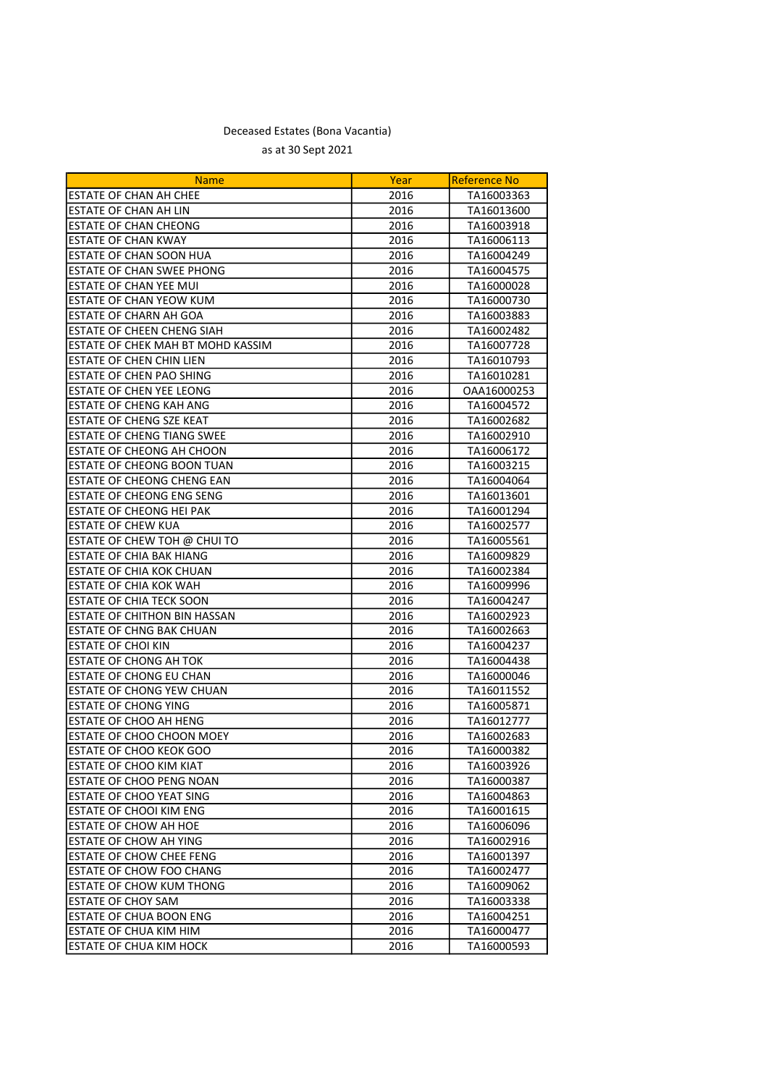| <b>Name</b>                         | Year | <b>Reference No</b> |
|-------------------------------------|------|---------------------|
| ESTATE OF CHAN AH CHEE              | 2016 | TA16003363          |
| ESTATE OF CHAN AH LIN               | 2016 | TA16013600          |
| ESTATE OF CHAN CHEONG               | 2016 | TA16003918          |
| <b>ESTATE OF CHAN KWAY</b>          | 2016 | TA16006113          |
| ESTATE OF CHAN SOON HUA             | 2016 | TA16004249          |
| <b>ESTATE OF CHAN SWEE PHONG</b>    | 2016 | TA16004575          |
| <b>ESTATE OF CHAN YEE MUI</b>       | 2016 | TA16000028          |
| ESTATE OF CHAN YEOW KUM             | 2016 | TA16000730          |
| <b>ESTATE OF CHARN AH GOA</b>       | 2016 | TA16003883          |
| <b>ESTATE OF CHEEN CHENG SIAH</b>   | 2016 | TA16002482          |
| ESTATE OF CHEK MAH BT MOHD KASSIM   | 2016 | TA16007728          |
| <b>ESTATE OF CHEN CHIN LIEN</b>     | 2016 | TA16010793          |
| ESTATE OF CHEN PAO SHING            | 2016 | TA16010281          |
| ESTATE OF CHEN YEE LEONG            | 2016 | OAA16000253         |
| ESTATE OF CHENG KAH ANG             | 2016 | TA16004572          |
| ESTATE OF CHENG SZE KEAT            | 2016 | TA16002682          |
| ESTATE OF CHENG TIANG SWEE          | 2016 | TA16002910          |
| ESTATE OF CHEONG AH CHOON           | 2016 | TA16006172          |
| ESTATE OF CHEONG BOON TUAN          | 2016 | TA16003215          |
| <b>ESTATE OF CHEONG CHENG EAN</b>   | 2016 | TA16004064          |
| <b>ESTATE OF CHEONG ENG SENG</b>    | 2016 | TA16013601          |
| ESTATE OF CHEONG HEI PAK            | 2016 | TA16001294          |
| <b>ESTATE OF CHEW KUA</b>           | 2016 | TA16002577          |
| ESTATE OF CHEW TOH @ CHUI TO        | 2016 | TA16005561          |
| <b>ESTATE OF CHIA BAK HIANG</b>     | 2016 | TA16009829          |
| ESTATE OF CHIA KOK CHUAN            | 2016 | TA16002384          |
| <b>ESTATE OF CHIA KOK WAH</b>       | 2016 | TA16009996          |
| <b>ESTATE OF CHIA TECK SOON</b>     | 2016 | TA16004247          |
| <b>ESTATE OF CHITHON BIN HASSAN</b> | 2016 | TA16002923          |
| ESTATE OF CHNG BAK CHUAN            | 2016 | TA16002663          |
| ESTATE OF CHOI KIN                  | 2016 | TA16004237          |
| ESTATE OF CHONG AH TOK              | 2016 | TA16004438          |
| ESTATE OF CHONG EU CHAN             | 2016 | TA16000046          |
| ESTATE OF CHONG YEW CHUAN           | 2016 | TA16011552          |
| <b>ESTATE OF CHONG YING</b>         | 2016 | TA16005871          |
| <b>ESTATE OF CHOO AH HENG</b>       | 2016 | TA16012777          |
| ESTATE OF CHOO CHOON MOEY           | 2016 | TA16002683          |
| <b>ESTATE OF CHOO KEOK GOO</b>      | 2016 | TA16000382          |
| ESTATE OF CHOO KIM KIAT             | 2016 | TA16003926          |
| <b>ESTATE OF CHOO PENG NOAN</b>     | 2016 | TA16000387          |
| ESTATE OF CHOO YEAT SING            | 2016 | TA16004863          |
| <b>ESTATE OF CHOOI KIM ENG</b>      | 2016 | TA16001615          |
| ESTATE OF CHOW AH HOE               | 2016 | TA16006096          |
| <b>ESTATE OF CHOW AH YING</b>       | 2016 | TA16002916          |
| <b>ESTATE OF CHOW CHEE FENG</b>     | 2016 | TA16001397          |
| <b>ESTATE OF CHOW FOO CHANG</b>     | 2016 | TA16002477          |
| <b>ESTATE OF CHOW KUM THONG</b>     | 2016 | TA16009062          |
| ESTATE OF CHOY SAM                  | 2016 | TA16003338          |
| ESTATE OF CHUA BOON ENG             | 2016 | TA16004251          |
| ESTATE OF CHUA KIM HIM              | 2016 | TA16000477          |
| ESTATE OF CHUA KIM HOCK             | 2016 | TA16000593          |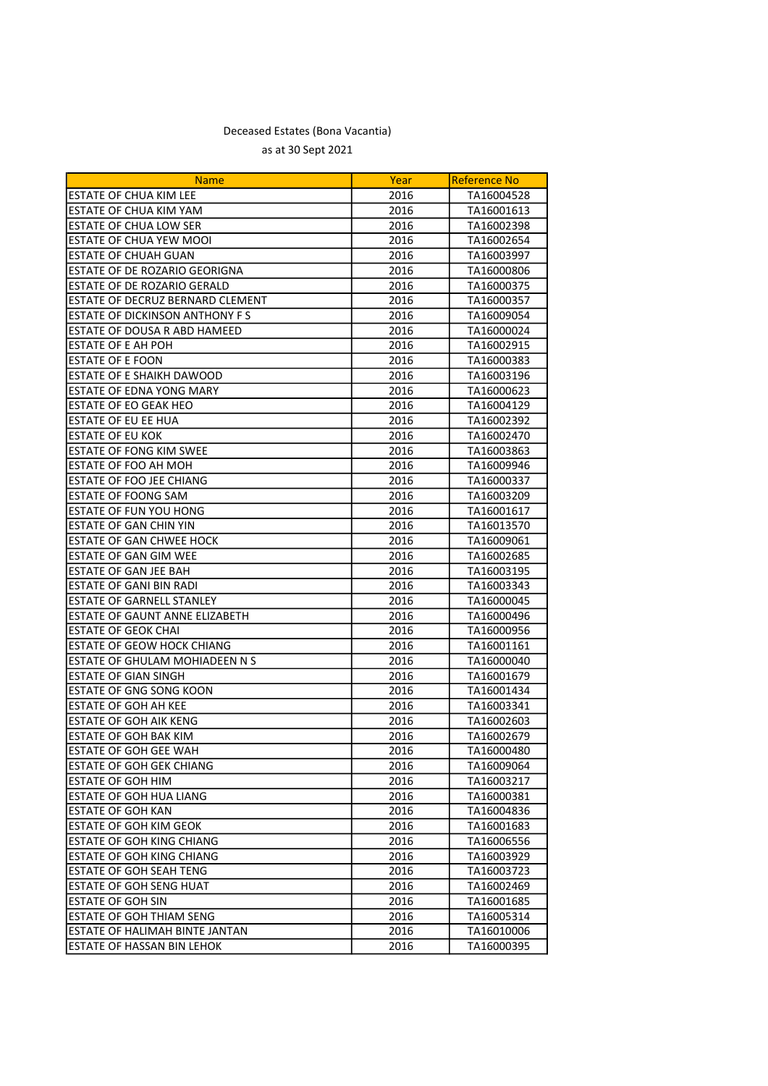| <b>Name</b>                           | Year | <b>Reference No</b> |
|---------------------------------------|------|---------------------|
| ESTATE OF CHUA KIM LEE                | 2016 | TA16004528          |
| ESTATE OF CHUA KIM YAM                | 2016 | TA16001613          |
| ESTATE OF CHUA LOW SER                | 2016 | TA16002398          |
| ESTATE OF CHUA YEW MOOI               | 2016 | TA16002654          |
| <b>ESTATE OF CHUAH GUAN</b>           | 2016 | TA16003997          |
| ESTATE OF DE ROZARIO GEORIGNA         | 2016 | TA16000806          |
| ESTATE OF DE ROZARIO GERALD           | 2016 | TA16000375          |
| ESTATE OF DECRUZ BERNARD CLEMENT      | 2016 | TA16000357          |
| ESTATE OF DICKINSON ANTHONY FS        | 2016 | TA16009054          |
| ESTATE OF DOUSA R ABD HAMEED          | 2016 | TA16000024          |
| ESTATE OF E AH POH                    | 2016 | TA16002915          |
| <b>ESTATE OF E FOON</b>               | 2016 | TA16000383          |
| ESTATE OF E SHAIKH DAWOOD             | 2016 | TA16003196          |
| ESTATE OF EDNA YONG MARY              | 2016 | TA16000623          |
| <b>ESTATE OF EO GEAK HEO</b>          | 2016 | TA16004129          |
| <b>ESTATE OF EU EE HUA</b>            | 2016 | TA16002392          |
| <b>ESTATE OF EU KOK</b>               | 2016 | TA16002470          |
| <b>ESTATE OF FONG KIM SWEE</b>        | 2016 | TA16003863          |
| ESTATE OF FOO AH MOH                  | 2016 | TA16009946          |
| ESTATE OF FOO JEE CHIANG              | 2016 | TA16000337          |
| ESTATE OF FOONG SAM                   | 2016 | TA16003209          |
| <b>ESTATE OF FUN YOU HONG</b>         | 2016 | TA16001617          |
| <b>ESTATE OF GAN CHIN YIN</b>         | 2016 | TA16013570          |
| ESTATE OF GAN CHWEE HOCK              | 2016 | TA16009061          |
| ESTATE OF GAN GIM WEE                 | 2016 | TA16002685          |
| ESTATE OF GAN JEE BAH                 | 2016 | TA16003195          |
| <b>ESTATE OF GANI BIN RADI</b>        | 2016 | TA16003343          |
| <b>ESTATE OF GARNELL STANLEY</b>      | 2016 | TA16000045          |
| ESTATE OF GAUNT ANNE ELIZABETH        | 2016 | TA16000496          |
| <b>ESTATE OF GEOK CHAI</b>            | 2016 | TA16000956          |
| ESTATE OF GEOW HOCK CHIANG            | 2016 | TA16001161          |
| ESTATE OF GHULAM MOHIADEEN N S        | 2016 | TA16000040          |
| <b>ESTATE OF GIAN SINGH</b>           | 2016 | TA16001679          |
| ESTATE OF GNG SONG KOON               | 2016 | TA16001434          |
| ESTATE OF GOH AH KEE                  | 2016 | TA16003341          |
| <b>ESTATE OF GOH AIK KENG</b>         | 2016 | TA16002603          |
| ESTATE OF GOH BAK KIM                 | 2016 | TA16002679          |
| ESTATE OF GOH GEE WAH                 | 2016 | TA16000480          |
| <b>ESTATE OF GOH GEK CHIANG</b>       | 2016 | TA16009064          |
| <b>ESTATE OF GOH HIM</b>              | 2016 | TA16003217          |
| ESTATE OF GOH HUA LIANG               | 2016 | TA16000381          |
| ESTATE OF GOH KAN                     | 2016 | TA16004836          |
| <b>ESTATE OF GOH KIM GEOK</b>         | 2016 | TA16001683          |
| <b>ESTATE OF GOH KING CHIANG</b>      | 2016 | TA16006556          |
| ESTATE OF GOH KING CHIANG             | 2016 | TA16003929          |
| <b>ESTATE OF GOH SEAH TENG</b>        | 2016 | TA16003723          |
| ESTATE OF GOH SENG HUAT               | 2016 | TA16002469          |
| <b>ESTATE OF GOH SIN</b>              | 2016 | TA16001685          |
| <b>ESTATE OF GOH THIAM SENG</b>       | 2016 | TA16005314          |
| <b>ESTATE OF HALIMAH BINTE JANTAN</b> | 2016 | TA16010006          |
| <b>ESTATE OF HASSAN BIN LEHOK</b>     | 2016 | TA16000395          |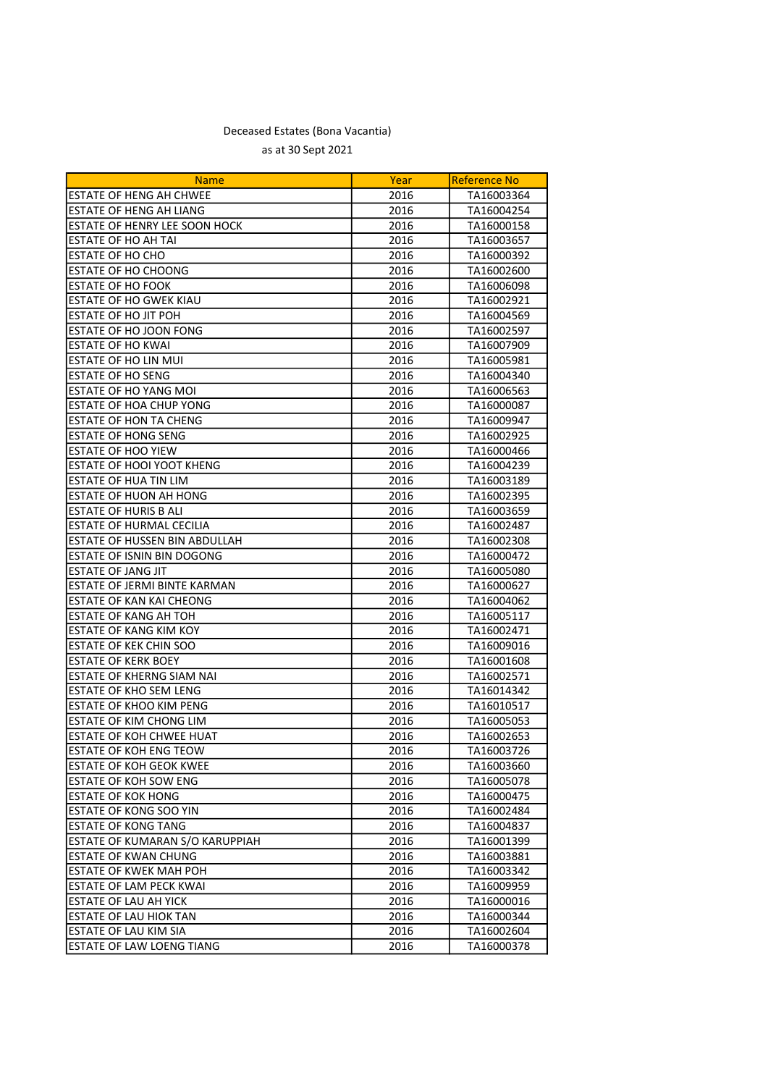| <b>Name</b>                                                   | Year              | <b>Reference No</b>      |
|---------------------------------------------------------------|-------------------|--------------------------|
| ESTATE OF HENG AH CHWEE                                       | 2016              | TA16003364               |
| ESTATE OF HENG AH LIANG                                       | 2016              | TA16004254               |
| ESTATE OF HENRY LEE SOON HOCK                                 | 2016              | TA16000158               |
| <b>ESTATE OF HO AH TAI</b>                                    | 2016              | TA16003657               |
| ESTATE OF HO CHO                                              | 2016              | TA16000392               |
| <b>ESTATE OF HO CHOONG</b>                                    | 2016              | TA16002600               |
| <b>ESTATE OF HO FOOK</b>                                      | 2016              | TA16006098               |
| ESTATE OF HO GWEK KIAU                                        | 2016              | TA16002921               |
| <b>ESTATE OF HO JIT POH</b>                                   | 2016              | TA16004569               |
| ESTATE OF HO JOON FONG                                        | 2016              | TA16002597               |
| <b>ESTATE OF HO KWAI</b>                                      | 2016              | TA16007909               |
| ESTATE OF HO LIN MUI                                          | 2016              | TA16005981               |
| <b>ESTATE OF HO SENG</b>                                      | 2016              | TA16004340               |
| ESTATE OF HO YANG MOI                                         | 2016              | TA16006563               |
| ESTATE OF HOA CHUP YONG                                       | 2016              | TA16000087               |
| ESTATE OF HON TA CHENG                                        | 2016              | TA16009947               |
| ESTATE OF HONG SENG                                           | 2016              | TA16002925               |
| ESTATE OF HOO YIEW                                            | 2016              | TA16000466               |
| ESTATE OF HOOI YOOT KHENG                                     | 2016              | TA16004239               |
| ESTATE OF HUA TIN LIM                                         | 2016              | TA16003189               |
| ESTATE OF HUON AH HONG                                        | 2016              | TA16002395               |
| ESTATE OF HURIS B ALI                                         | 2016              | TA16003659               |
| <b>ESTATE OF HURMAL CECILIA</b>                               | 2016              | TA16002487               |
| ESTATE OF HUSSEN BIN ABDULLAH                                 | 2016              | TA16002308               |
| ESTATE OF ISNIN BIN DOGONG                                    | 2016              | TA16000472               |
| ESTATE OF JANG JIT                                            | 2016              | TA16005080               |
| ESTATE OF JERMI BINTE KARMAN                                  | 2016              | TA16000627               |
| ESTATE OF KAN KAI CHEONG                                      | 2016              | TA16004062               |
| <b>ESTATE OF KANG AH TOH</b>                                  | 2016              | TA16005117               |
| ESTATE OF KANG KIM KOY                                        | 2016              | TA16002471               |
| <b>ESTATE OF KEK CHIN SOO</b>                                 | 2016              | TA16009016               |
| <b>ESTATE OF KERK BOEY</b>                                    | 2016              | TA16001608               |
| ESTATE OF KHERNG SIAM NAI                                     | 2016              | TA16002571               |
| ESTATE OF KHO SEM LENG                                        | 2016              | TA16014342               |
| <b>ESTATE OF KHOO KIM PENG</b>                                | 2016              | TA16010517               |
| ESTATE OF KIM CHONG LIM                                       | 2016              | TA16005053               |
| <b>ESTATE OF KOH CHWEE HUAT</b>                               | 2016              | TA16002653               |
| <b>ESTATE OF KOH ENG TEOW</b>                                 | $\overline{2016}$ | TA16003726               |
| <b>ESTATE OF KOH GEOK KWEE</b>                                | 2016              | TA16003660               |
| <b>ESTATE OF KOH SOW ENG</b>                                  | 2016              | TA16005078               |
| <b>ESTATE OF KOK HONG</b>                                     | 2016              |                          |
| ESTATE OF KONG SOO YIN                                        | 2016              | TA16000475<br>TA16002484 |
|                                                               |                   | TA16004837               |
| <b>ESTATE OF KONG TANG</b><br>ESTATE OF KUMARAN S/O KARUPPIAH | 2016              |                          |
|                                                               | 2016              | TA16001399               |
| ESTATE OF KWAN CHUNG                                          | 2016              | TA16003881               |
| <b>ESTATE OF KWEK MAH POH</b>                                 | 2016              | TA16003342               |
| <b>ESTATE OF LAM PECK KWAI</b>                                | 2016              | TA16009959               |
| <b>ESTATE OF LAU AH YICK</b>                                  | 2016              | TA16000016               |
| ESTATE OF LAU HIOK TAN                                        | 2016              | TA16000344               |
| ESTATE OF LAU KIM SIA                                         | 2016              | TA16002604               |
| ESTATE OF LAW LOENG TIANG                                     | 2016              | TA16000378               |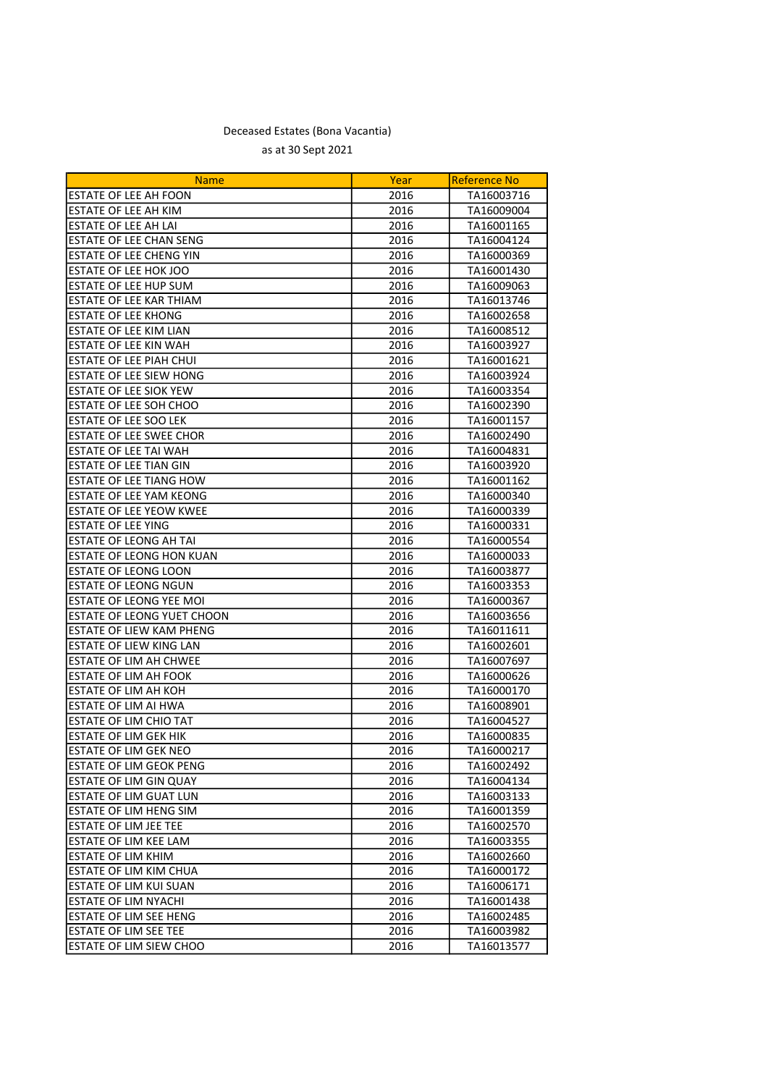| <b>Name</b>                       | Year | <b>Reference No</b> |
|-----------------------------------|------|---------------------|
| <b>ESTATE OF LEE AH FOON</b>      | 2016 | TA16003716          |
| <b>ESTATE OF LEE AH KIM</b>       | 2016 | TA16009004          |
| <b>ESTATE OF LEE AH LAI</b>       | 2016 | TA16001165          |
| <b>ESTATE OF LEE CHAN SENG</b>    | 2016 | TA16004124          |
| <b>ESTATE OF LEE CHENG YIN</b>    | 2016 | TA16000369          |
| ESTATE OF LEE HOK JOO             | 2016 | TA16001430          |
| <b>ESTATE OF LEE HUP SUM</b>      | 2016 | TA16009063          |
| ESTATE OF LEE KAR THIAM           | 2016 | TA16013746          |
| <b>ESTATE OF LEE KHONG</b>        | 2016 | TA16002658          |
| <b>ESTATE OF LEE KIM LIAN</b>     | 2016 | TA16008512          |
| <b>ESTATE OF LEE KIN WAH</b>      | 2016 | TA16003927          |
| <b>ESTATE OF LEE PIAH CHUI</b>    | 2016 | TA16001621          |
| <b>ESTATE OF LEE SIEW HONG</b>    | 2016 | TA16003924          |
| ESTATE OF LEE SIOK YEW            | 2016 | TA16003354          |
| ESTATE OF LEE SOH CHOO            | 2016 | TA16002390          |
| ESTATE OF LEE SOO LEK             | 2016 | TA16001157          |
| ESTATE OF LEE SWEE CHOR           | 2016 | TA16002490          |
| <b>ESTATE OF LEE TAI WAH</b>      | 2016 | TA16004831          |
| <b>ESTATE OF LEE TIAN GIN</b>     | 2016 | TA16003920          |
| <b>ESTATE OF LEE TIANG HOW</b>    | 2016 | TA16001162          |
| <b>ESTATE OF LEE YAM KEONG</b>    | 2016 | TA16000340          |
| <b>ESTATE OF LEE YEOW KWEE</b>    | 2016 | TA16000339          |
| <b>ESTATE OF LEE YING</b>         | 2016 | TA16000331          |
| <b>ESTATE OF LEONG AH TAI</b>     | 2016 | TA16000554          |
| ESTATE OF LEONG HON KUAN          | 2016 | TA16000033          |
| <b>ESTATE OF LEONG LOON</b>       | 2016 | TA16003877          |
| <b>ESTATE OF LEONG NGUN</b>       | 2016 | TA16003353          |
| <b>ESTATE OF LEONG YEE MOI</b>    | 2016 | TA16000367          |
| <b>ESTATE OF LEONG YUET CHOON</b> | 2016 | TA16003656          |
| ESTATE OF LIEW KAM PHENG          | 2016 | TA16011611          |
| ESTATE OF LIEW KING LAN           | 2016 | TA16002601          |
| ESTATE OF LIM AH CHWEE            | 2016 | TA16007697          |
| ESTATE OF LIM AH FOOK             | 2016 | TA16000626          |
| <b>ESTATE OF LIM AH KOH</b>       | 2016 | TA16000170          |
| <b>ESTATE OF LIM AI HWA</b>       | 2016 | TA16008901          |
| <b>ESTATE OF LIM CHIO TAT</b>     | 2016 | TA16004527          |
| <b>ESTATE OF LIM GEK HIK</b>      | 2016 | TA16000835          |
| ESTATE OF LIM GEK NEO             | 2016 | TA16000217          |
| <b>ESTATE OF LIM GEOK PENG</b>    | 2016 | TA16002492          |
| ESTATE OF LIM GIN QUAY            | 2016 | TA16004134          |
| <b>ESTATE OF LIM GUAT LUN</b>     | 2016 | TA16003133          |
| <b>ESTATE OF LIM HENG SIM</b>     | 2016 | TA16001359          |
| <b>ESTATE OF LIM JEE TEE</b>      | 2016 | TA16002570          |
| ESTATE OF LIM KEE LAM             | 2016 | TA16003355          |
| <b>ESTATE OF LIM KHIM</b>         | 2016 | TA16002660          |
| ESTATE OF LIM KIM CHUA            | 2016 | TA16000172          |
| ESTATE OF LIM KUI SUAN            | 2016 | TA16006171          |
| <b>ESTATE OF LIM NYACHI</b>       | 2016 | TA16001438          |
| ESTATE OF LIM SEE HENG            | 2016 | TA16002485          |
| ESTATE OF LIM SEE TEE             | 2016 | TA16003982          |
| <b>ESTATE OF LIM SIEW CHOO</b>    | 2016 | TA16013577          |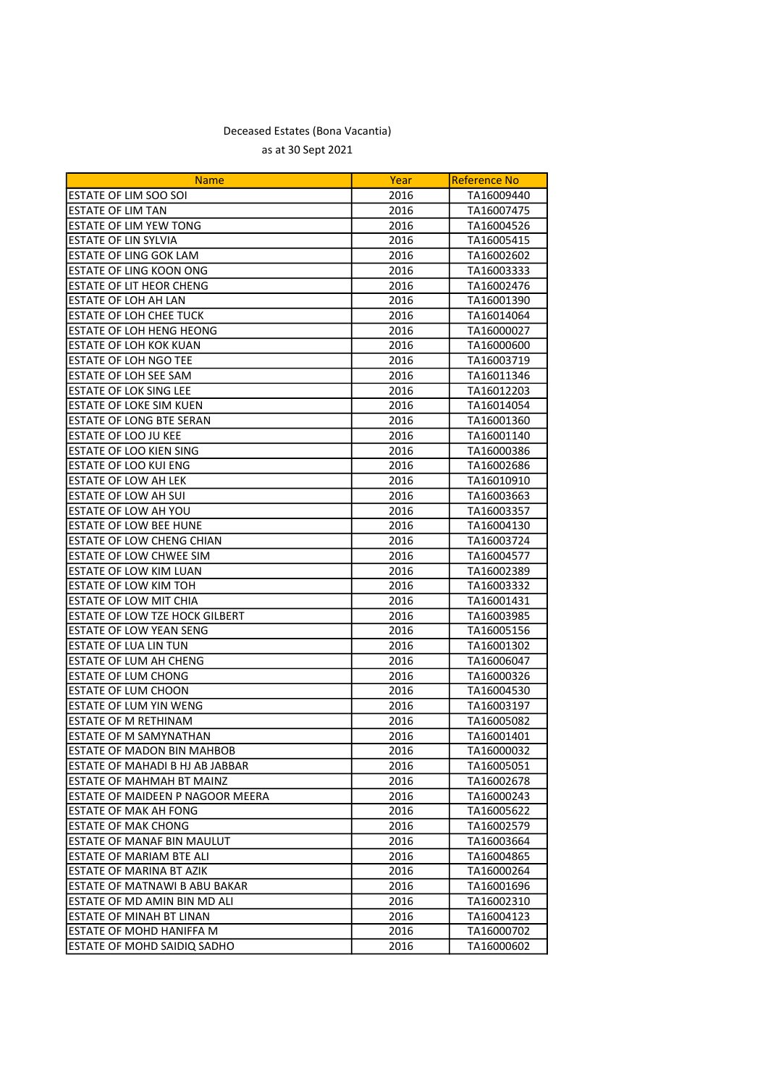| <b>Name</b>                       | Year | <b>Reference No</b> |
|-----------------------------------|------|---------------------|
| ESTATE OF LIM SOO SOI             | 2016 | TA16009440          |
| <b>ESTATE OF LIM TAN</b>          | 2016 | TA16007475          |
| <b>ESTATE OF LIM YEW TONG</b>     | 2016 | TA16004526          |
| <b>ESTATE OF LIN SYLVIA</b>       | 2016 | TA16005415          |
| <b>ESTATE OF LING GOK LAM</b>     | 2016 | TA16002602          |
| <b>ESTATE OF LING KOON ONG</b>    | 2016 | TA16003333          |
| <b>ESTATE OF LIT HEOR CHENG</b>   | 2016 | TA16002476          |
| ESTATE OF LOH AH LAN              | 2016 | TA16001390          |
| <b>ESTATE OF LOH CHEE TUCK</b>    | 2016 | TA16014064          |
| ESTATE OF LOH HENG HEONG          | 2016 | TA16000027          |
| <b>ESTATE OF LOH KOK KUAN</b>     | 2016 | TA16000600          |
| <b>ESTATE OF LOH NGO TEE</b>      | 2016 | TA16003719          |
| ESTATE OF LOH SEE SAM             | 2016 | TA16011346          |
| <b>ESTATE OF LOK SING LEE</b>     | 2016 | TA16012203          |
| ESTATE OF LOKE SIM KUEN           | 2016 | TA16014054          |
| ESTATE OF LONG BTE SERAN          | 2016 | TA16001360          |
| ESTATE OF LOO JU KEE              | 2016 | TA16001140          |
| ESTATE OF LOO KIEN SING           | 2016 | TA16000386          |
| ESTATE OF LOO KUI ENG             | 2016 | TA16002686          |
| <b>ESTATE OF LOW AH LEK</b>       | 2016 | TA16010910          |
| ESTATE OF LOW AH SUI              | 2016 | TA16003663          |
| ESTATE OF LOW AH YOU              | 2016 | TA16003357          |
| <b>ESTATE OF LOW BEE HUNE</b>     | 2016 | TA16004130          |
| ESTATE OF LOW CHENG CHIAN         | 2016 | TA16003724          |
| ESTATE OF LOW CHWEE SIM           | 2016 | TA16004577          |
| ESTATE OF LOW KIM LUAN            | 2016 | TA16002389          |
| ESTATE OF LOW KIM TOH             | 2016 | TA16003332          |
| ESTATE OF LOW MIT CHIA            | 2016 | TA16001431          |
| ESTATE OF LOW TZE HOCK GILBERT    | 2016 | TA16003985          |
| ESTATE OF LOW YEAN SENG           | 2016 | TA16005156          |
| ESTATE OF LUA LIN TUN             | 2016 | TA16001302          |
| ESTATE OF LUM AH CHENG            | 2016 | TA16006047          |
| <b>ESTATE OF LUM CHONG</b>        | 2016 | TA16000326          |
| <b>ESTATE OF LUM CHOON</b>        | 2016 | TA16004530          |
| ESTATE OF LUM YIN WENG            | 2016 | TA16003197          |
| <b>ESTATE OF M RETHINAM</b>       | 2016 | TA16005082          |
| ESTATE OF M SAMYNATHAN            | 2016 | TA16001401          |
| <b>ESTATE OF MADON BIN MAHBOB</b> | 2016 | TA16000032          |
| ESTATE OF MAHADI B HJ AB JABBAR   | 2016 | TA16005051          |
| <b>ESTATE OF MAHMAH BT MAINZ</b>  | 2016 | TA16002678          |
| ESTATE OF MAIDEEN P NAGOOR MEERA  | 2016 | TA16000243          |
| ESTATE OF MAK AH FONG             | 2016 | TA16005622          |
| <b>ESTATE OF MAK CHONG</b>        | 2016 | TA16002579          |
| ESTATE OF MANAF BIN MAULUT        | 2016 | TA16003664          |
| ESTATE OF MARIAM BTE ALI          | 2016 | TA16004865          |
| ESTATE OF MARINA BT AZIK          | 2016 | TA16000264          |
| ESTATE OF MATNAWI B ABU BAKAR     | 2016 | TA16001696          |
| ESTATE OF MD AMIN BIN MD ALI      | 2016 | TA16002310          |
| ESTATE OF MINAH BT LINAN          | 2016 | TA16004123          |
| ESTATE OF MOHD HANIFFA M          | 2016 | TA16000702          |
| ESTATE OF MOHD SAIDIQ SADHO       | 2016 | TA16000602          |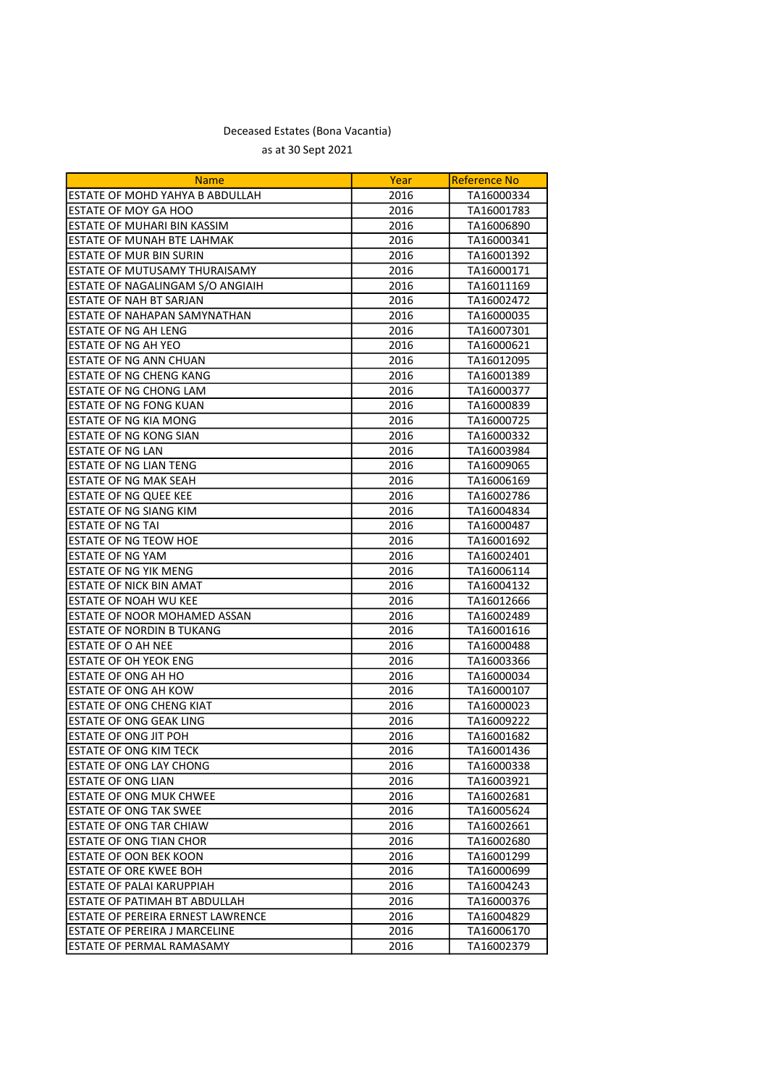| <b>Name</b>                       | Year | <b>Reference No</b> |
|-----------------------------------|------|---------------------|
| ESTATE OF MOHD YAHYA B ABDULLAH   | 2016 | TA16000334          |
| ESTATE OF MOY GA HOO              | 2016 | TA16001783          |
| ESTATE OF MUHARI BIN KASSIM       | 2016 | TA16006890          |
| ESTATE OF MUNAH BTE LAHMAK        | 2016 | TA16000341          |
| ESTATE OF MUR BIN SURIN           | 2016 | TA16001392          |
| ESTATE OF MUTUSAMY THURAISAMY     | 2016 | TA16000171          |
| ESTATE OF NAGALINGAM S/O ANGIAIH  | 2016 | TA16011169          |
| <b>ESTATE OF NAH BT SARJAN</b>    | 2016 | TA16002472          |
| ESTATE OF NAHAPAN SAMYNATHAN      | 2016 | TA16000035          |
| <b>ESTATE OF NG AH LENG</b>       | 2016 | TA16007301          |
| ESTATE OF NG AH YEO               | 2016 | TA16000621          |
| <b>ESTATE OF NG ANN CHUAN</b>     | 2016 | TA16012095          |
| <b>ESTATE OF NG CHENG KANG</b>    | 2016 | TA16001389          |
| ESTATE OF NG CHONG LAM            | 2016 | TA16000377          |
| ESTATE OF NG FONG KUAN            | 2016 | TA16000839          |
| ESTATE OF NG KIA MONG             | 2016 | TA16000725          |
| ESTATE OF NG KONG SIAN            | 2016 | TA16000332          |
| <b>ESTATE OF NG LAN</b>           | 2016 | TA16003984          |
| <b>ESTATE OF NG LIAN TENG</b>     | 2016 | TA16009065          |
| <b>ESTATE OF NG MAK SEAH</b>      | 2016 | TA16006169          |
| <b>ESTATE OF NG QUEE KEE</b>      | 2016 | TA16002786          |
| ESTATE OF NG SIANG KIM            | 2016 | TA16004834          |
| <b>ESTATE OF NG TAI</b>           | 2016 | TA16000487          |
| ESTATE OF NG TEOW HOE             | 2016 | TA16001692          |
| <b>ESTATE OF NG YAM</b>           | 2016 | TA16002401          |
| ESTATE OF NG YIK MENG             | 2016 | TA16006114          |
| <b>ESTATE OF NICK BIN AMAT</b>    | 2016 | TA16004132          |
| ESTATE OF NOAH WU KEE             | 2016 | TA16012666          |
| ESTATE OF NOOR MOHAMED ASSAN      | 2016 | TA16002489          |
| ESTATE OF NORDIN B TUKANG         | 2016 | TA16001616          |
| ESTATE OF O AH NEE                | 2016 | TA16000488          |
| ESTATE OF OH YEOK ENG             | 2016 | TA16003366          |
| ESTATE OF ONG AH HO               | 2016 | TA16000034          |
| ESTATE OF ONG AH KOW              | 2016 | TA16000107          |
| ESTATE OF ONG CHENG KIAT          | 2016 | TA16000023          |
| <b>ESTATE OF ONG GEAK LING</b>    | 2016 | TA16009222          |
| ESTATE OF ONG JIT POH             | 2016 | TA16001682          |
| <b>ESTATE OF ONG KIM TECK</b>     | 2016 | TA16001436          |
| ESTATE OF ONG LAY CHONG           | 2016 | TA16000338          |
| <b>ESTATE OF ONG LIAN</b>         | 2016 | TA16003921          |
| <b>ESTATE OF ONG MUK CHWEE</b>    | 2016 | TA16002681          |
| <b>ESTATE OF ONG TAK SWEE</b>     | 2016 | TA16005624          |
| ESTATE OF ONG TAR CHIAW           | 2016 | TA16002661          |
| <b>ESTATE OF ONG TIAN CHOR</b>    | 2016 | TA16002680          |
| ESTATE OF OON BEK KOON            | 2016 | TA16001299          |
| <b>ESTATE OF ORE KWEE BOH</b>     | 2016 | TA16000699          |
| ESTATE OF PALAI KARUPPIAH         | 2016 | TA16004243          |
| ESTATE OF PATIMAH BT ABDULLAH     | 2016 | TA16000376          |
| ESTATE OF PEREIRA ERNEST LAWRENCE | 2016 | TA16004829          |
| ESTATE OF PEREIRA J MARCELINE     | 2016 | TA16006170          |
| ESTATE OF PERMAL RAMASAMY         | 2016 | TA16002379          |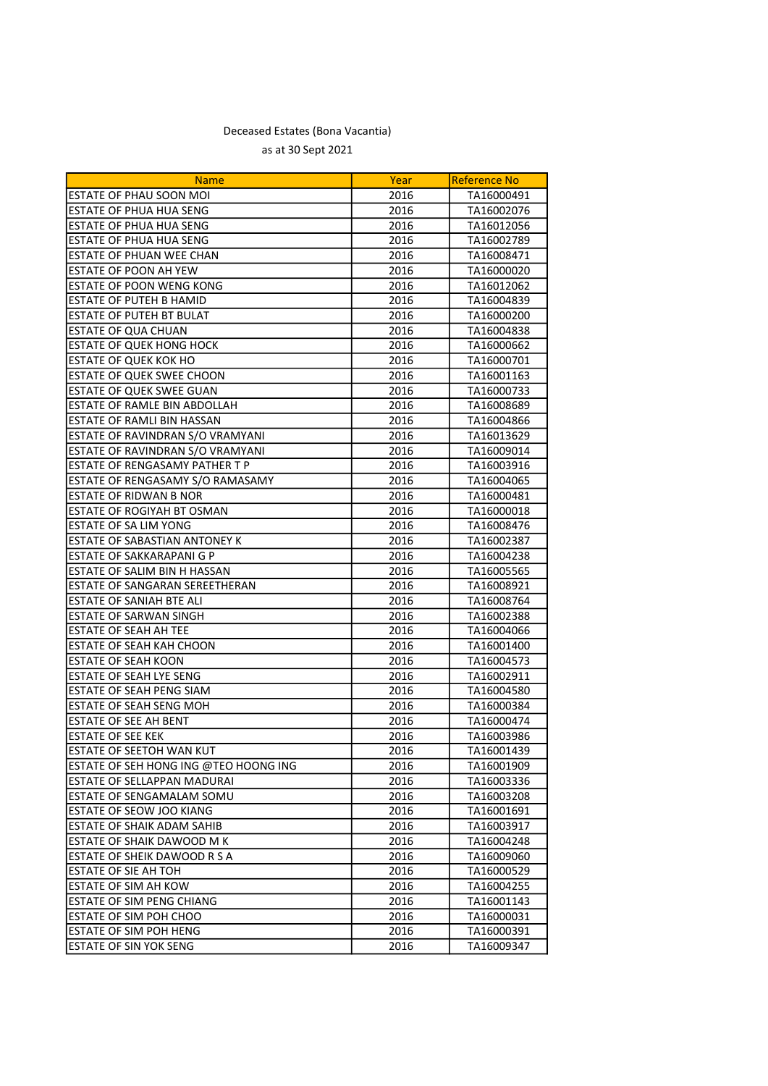| <b>Name</b>                           | Year | Reference No |
|---------------------------------------|------|--------------|
| <b>ESTATE OF PHAU SOON MOI</b>        | 2016 | TA16000491   |
| ESTATE OF PHUA HUA SENG               | 2016 | TA16002076   |
| <b>ESTATE OF PHUA HUA SENG</b>        | 2016 | TA16012056   |
| ESTATE OF PHUA HUA SENG               | 2016 | TA16002789   |
| ESTATE OF PHUAN WEE CHAN              | 2016 | TA16008471   |
| ESTATE OF POON AH YEW                 | 2016 | TA16000020   |
| <b>ESTATE OF POON WENG KONG</b>       | 2016 | TA16012062   |
| ESTATE OF PUTEH B HAMID               | 2016 | TA16004839   |
| <b>ESTATE OF PUTEH BT BULAT</b>       | 2016 | TA16000200   |
| <b>ESTATE OF QUA CHUAN</b>            | 2016 | TA16004838   |
| <b>ESTATE OF QUEK HONG HOCK</b>       | 2016 | TA16000662   |
| ESTATE OF QUEK KOK HO                 | 2016 | TA16000701   |
| ESTATE OF QUEK SWEE CHOON             | 2016 | TA16001163   |
| ESTATE OF QUEK SWEE GUAN              | 2016 | TA16000733   |
| ESTATE OF RAMLE BIN ABDOLLAH          | 2016 | TA16008689   |
| ESTATE OF RAMLI BIN HASSAN            | 2016 | TA16004866   |
| ESTATE OF RAVINDRAN S/O VRAMYANI      | 2016 | TA16013629   |
| ESTATE OF RAVINDRAN S/O VRAMYANI      | 2016 | TA16009014   |
| ESTATE OF RENGASAMY PATHER T P        | 2016 | TA16003916   |
| ESTATE OF RENGASAMY S/O RAMASAMY      | 2016 | TA16004065   |
| <b>ESTATE OF RIDWAN B NOR</b>         | 2016 | TA16000481   |
| <b>ESTATE OF ROGIYAH BT OSMAN</b>     | 2016 | TA16000018   |
| ESTATE OF SA LIM YONG                 | 2016 | TA16008476   |
| ESTATE OF SABASTIAN ANTONEY K         | 2016 | TA16002387   |
| ESTATE OF SAKKARAPANI G P             | 2016 | TA16004238   |
| ESTATE OF SALIM BIN H HASSAN          | 2016 | TA16005565   |
| ESTATE OF SANGARAN SEREETHERAN        | 2016 | TA16008921   |
| ESTATE OF SANIAH BTE ALI              | 2016 | TA16008764   |
| ESTATE OF SARWAN SINGH                | 2016 | TA16002388   |
| <b>ESTATE OF SEAH AH TEE</b>          | 2016 | TA16004066   |
| <b>ESTATE OF SEAH KAH CHOON</b>       | 2016 | TA16001400   |
| <b>ESTATE OF SEAH KOON</b>            | 2016 | TA16004573   |
| <b>ESTATE OF SEAH LYE SENG</b>        | 2016 | TA16002911   |
| ESTATE OF SEAH PENG SIAM              | 2016 | TA16004580   |
| ESTATE OF SEAH SENG MOH               | 2016 | TA16000384   |
| <b>ESTATE OF SEE AH BENT</b>          | 2016 | TA16000474   |
| ESTATE OF SEE KEK                     | 2016 | TA16003986   |
| ESTATE OF SEETOH WAN KUT              | 2016 | TA16001439   |
| ESTATE OF SEH HONG ING @TEO HOONG ING | 2016 | TA16001909   |
| <b>ESTATE OF SELLAPPAN MADURAI</b>    | 2016 | TA16003336   |
| <b>ESTATE OF SENGAMALAM SOMU</b>      | 2016 | TA16003208   |
| <b>ESTATE OF SEOW JOO KIANG</b>       | 2016 | TA16001691   |
| ESTATE OF SHAIK ADAM SAHIB            | 2016 | TA16003917   |
| ESTATE OF SHAIK DAWOOD M K            | 2016 | TA16004248   |
| ESTATE OF SHEIK DAWOOD R S A          | 2016 | TA16009060   |
| ESTATE OF SIE AH TOH                  | 2016 | TA16000529   |
| <b>ESTATE OF SIM AH KOW</b>           | 2016 | TA16004255   |
| <b>ESTATE OF SIM PENG CHIANG</b>      | 2016 | TA16001143   |
| <b>ESTATE OF SIM POH CHOO</b>         | 2016 | TA16000031   |
| ESTATE OF SIM POH HENG                | 2016 | TA16000391   |
| <b>ESTATE OF SIN YOK SENG</b>         | 2016 | TA16009347   |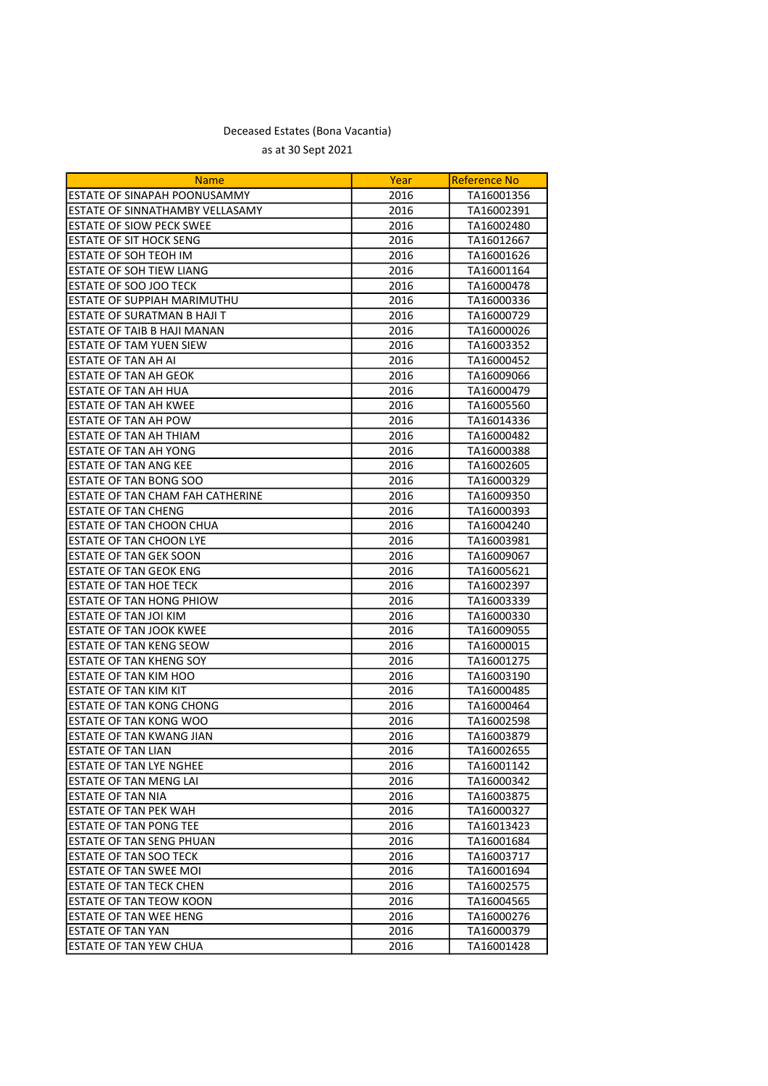| <b>Name</b>                        | Year | <b>Reference No</b> |
|------------------------------------|------|---------------------|
| ESTATE OF SINAPAH POONUSAMMY       | 2016 | TA16001356          |
| ESTATE OF SINNATHAMBY VELLASAMY    | 2016 | TA16002391          |
| <b>ESTATE OF SIOW PECK SWEE</b>    | 2016 | TA16002480          |
| <b>ESTATE OF SIT HOCK SENG</b>     | 2016 | TA16012667          |
| ESTATE OF SOH TEOH IM              | 2016 | TA16001626          |
| <b>ESTATE OF SOH TIEW LIANG</b>    | 2016 | TA16001164          |
| ESTATE OF SOO JOO TECK             | 2016 | TA16000478          |
| ESTATE OF SUPPIAH MARIMUTHU        | 2016 | TA16000336          |
| <b>ESTATE OF SURATMAN B HAJI T</b> | 2016 | TA16000729          |
| <b>ESTATE OF TAIB B HAJI MANAN</b> | 2016 | TA16000026          |
| ESTATE OF TAM YUEN SIEW            | 2016 | TA16003352          |
| <b>ESTATE OF TAN AH AI</b>         | 2016 | TA16000452          |
| <b>ESTATE OF TAN AH GEOK</b>       | 2016 | TA16009066          |
| <b>ESTATE OF TAN AH HUA</b>        | 2016 | TA16000479          |
| ESTATE OF TAN AH KWEE              | 2016 | TA16005560          |
| ESTATE OF TAN AH POW               | 2016 | TA16014336          |
| ESTATE OF TAN AH THIAM             | 2016 | TA16000482          |
| ESTATE OF TAN AH YONG              | 2016 | TA16000388          |
| <b>ESTATE OF TAN ANG KEE</b>       | 2016 | TA16002605          |
| <b>ESTATE OF TAN BONG SOO</b>      | 2016 | TA16000329          |
| ESTATE OF TAN CHAM FAH CATHERINE   | 2016 | TA16009350          |
| <b>ESTATE OF TAN CHENG</b>         | 2016 | TA16000393          |
| ESTATE OF TAN CHOON CHUA           | 2016 | TA16004240          |
| <b>ESTATE OF TAN CHOON LYE</b>     | 2016 | TA16003981          |
| ESTATE OF TAN GEK SOON             | 2016 | TA16009067          |
| <b>ESTATE OF TAN GEOK ENG</b>      | 2016 | TA16005621          |
| ESTATE OF TAN HOE TECK             | 2016 | TA16002397          |
| ESTATE OF TAN HONG PHIOW           | 2016 | TA16003339          |
| ESTATE OF TAN JOI KIM              | 2016 | TA16000330          |
| <b>ESTATE OF TAN JOOK KWEE</b>     | 2016 | TA16009055          |
| ESTATE OF TAN KENG SEOW            | 2016 | TA16000015          |
| ESTATE OF TAN KHENG SOY            | 2016 | TA16001275          |
| ESTATE OF TAN KIM HOO              | 2016 | TA16003190          |
| ESTATE OF TAN KIM KIT              | 2016 | TA16000485          |
| <b>ESTATE OF TAN KONG CHONG</b>    | 2016 | TA16000464          |
| <b>ESTATE OF TAN KONG WOO</b>      | 2016 | TA16002598          |
| <b>ESTATE OF TAN KWANG JIAN</b>    | 2016 | TA16003879          |
| <b>ESTATE OF TAN LIAN</b>          | 2016 | TA16002655          |
| <b>ESTATE OF TAN LYE NGHEE</b>     | 2016 | TA16001142          |
| ESTATE OF TAN MENG LAI             | 2016 | TA16000342          |
| <b>ESTATE OF TAN NIA</b>           | 2016 | TA16003875          |
| ESTATE OF TAN PEK WAH              | 2016 | TA16000327          |
| <b>ESTATE OF TAN PONG TEE</b>      | 2016 | TA16013423          |
| ESTATE OF TAN SENG PHUAN           | 2016 | TA16001684          |
| <b>ESTATE OF TAN SOO TECK</b>      | 2016 | TA16003717          |
| ESTATE OF TAN SWEE MOI             | 2016 | TA16001694          |
| <b>ESTATE OF TAN TECK CHEN</b>     | 2016 | TA16002575          |
| <b>ESTATE OF TAN TEOW KOON</b>     | 2016 | TA16004565          |
| <b>ESTATE OF TAN WEE HENG</b>      | 2016 | TA16000276          |
| ESTATE OF TAN YAN                  | 2016 | TA16000379          |
| ESTATE OF TAN YEW CHUA             | 2016 | TA16001428          |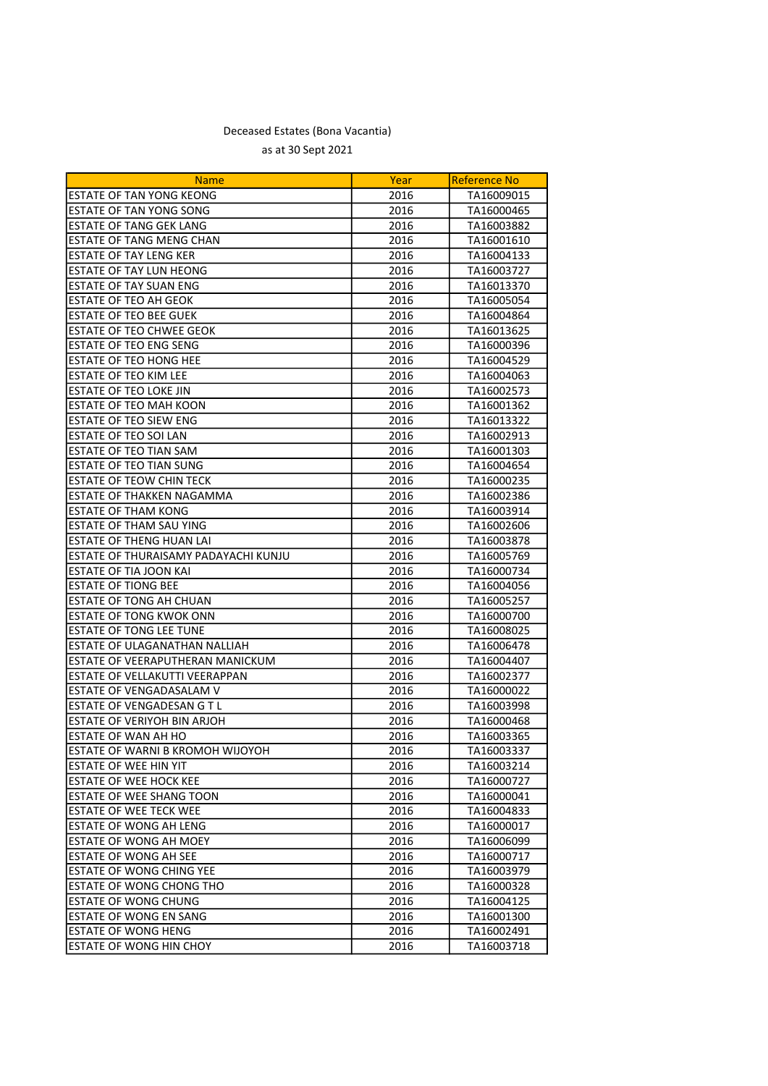| <b>Name</b>                          | Year | Reference No |
|--------------------------------------|------|--------------|
| <b>ESTATE OF TAN YONG KEONG</b>      | 2016 | TA16009015   |
| ESTATE OF TAN YONG SONG              | 2016 | TA16000465   |
| ESTATE OF TANG GEK LANG              | 2016 | TA16003882   |
| <b>ESTATE OF TANG MENG CHAN</b>      | 2016 | TA16001610   |
| <b>ESTATE OF TAY LENG KER</b>        | 2016 | TA16004133   |
| ESTATE OF TAY LUN HEONG              | 2016 | TA16003727   |
| <b>ESTATE OF TAY SUAN ENG</b>        | 2016 | TA16013370   |
| ESTATE OF TEO AH GEOK                | 2016 | TA16005054   |
| <b>ESTATE OF TEO BEE GUEK</b>        | 2016 | TA16004864   |
| <b>ESTATE OF TEO CHWEE GEOK</b>      | 2016 | TA16013625   |
| <b>ESTATE OF TEO ENG SENG</b>        | 2016 | TA16000396   |
| ESTATE OF TEO HONG HEE               | 2016 | TA16004529   |
| ESTATE OF TEO KIM LEE                | 2016 | TA16004063   |
| ESTATE OF TEO LOKE JIN               | 2016 | TA16002573   |
| <b>ESTATE OF TEO MAH KOON</b>        | 2016 | TA16001362   |
| ESTATE OF TEO SIEW ENG               | 2016 | TA16013322   |
| ESTATE OF TEO SOI LAN                | 2016 | TA16002913   |
| ESTATE OF TEO TIAN SAM               | 2016 | TA16001303   |
| ESTATE OF TEO TIAN SUNG              | 2016 | TA16004654   |
| ESTATE OF TEOW CHIN TECK             | 2016 | TA16000235   |
| ESTATE OF THAKKEN NAGAMMA            | 2016 | TA16002386   |
| ESTATE OF THAM KONG                  | 2016 | TA16003914   |
| ESTATE OF THAM SAU YING              | 2016 | TA16002606   |
| <b>ESTATE OF THENG HUAN LAI</b>      | 2016 | TA16003878   |
| ESTATE OF THURAISAMY PADAYACHI KUNJU | 2016 | TA16005769   |
| ESTATE OF TIA JOON KAI               | 2016 | TA16000734   |
| <b>ESTATE OF TIONG BEE</b>           | 2016 | TA16004056   |
| <b>ESTATE OF TONG AH CHUAN</b>       | 2016 | TA16005257   |
| ESTATE OF TONG KWOK ONN              | 2016 | TA16000700   |
| <b>ESTATE OF TONG LEE TUNE</b>       | 2016 | TA16008025   |
| ESTATE OF ULAGANATHAN NALLIAH        | 2016 | TA16006478   |
| ESTATE OF VEERAPUTHERAN MANICKUM     | 2016 | TA16004407   |
| ESTATE OF VELLAKUTTI VEERAPPAN       | 2016 | TA16002377   |
| ESTATE OF VENGADASALAM V             | 2016 | TA16000022   |
| ESTATE OF VENGADESAN G T L           | 2016 | TA16003998   |
| ESTATE OF VERIYOH BIN ARJOH          | 2016 | TA16000468   |
| ESTATE OF WAN AH HO                  | 2016 | TA16003365   |
| ESTATE OF WARNI B KROMOH WIJOYOH     | 2016 | TA16003337   |
| <b>ESTATE OF WEE HIN YIT</b>         | 2016 | TA16003214   |
| ESTATE OF WEE HOCK KEE               | 2016 | TA16000727   |
| <b>ESTATE OF WEE SHANG TOON</b>      | 2016 | TA16000041   |
| <b>ESTATE OF WEE TECK WEE</b>        | 2016 | TA16004833   |
| <b>ESTATE OF WONG AH LENG</b>        | 2016 | TA16000017   |
| ESTATE OF WONG AH MOEY               | 2016 | TA16006099   |
| <b>ESTATE OF WONG AH SEE</b>         | 2016 | TA16000717   |
| ESTATE OF WONG CHING YEE             | 2016 | TA16003979   |
| ESTATE OF WONG CHONG THO             | 2016 | TA16000328   |
| <b>ESTATE OF WONG CHUNG</b>          | 2016 | TA16004125   |
| <b>ESTATE OF WONG EN SANG</b>        | 2016 | TA16001300   |
| ESTATE OF WONG HENG                  | 2016 | TA16002491   |
| <b>ESTATE OF WONG HIN CHOY</b>       | 2016 | TA16003718   |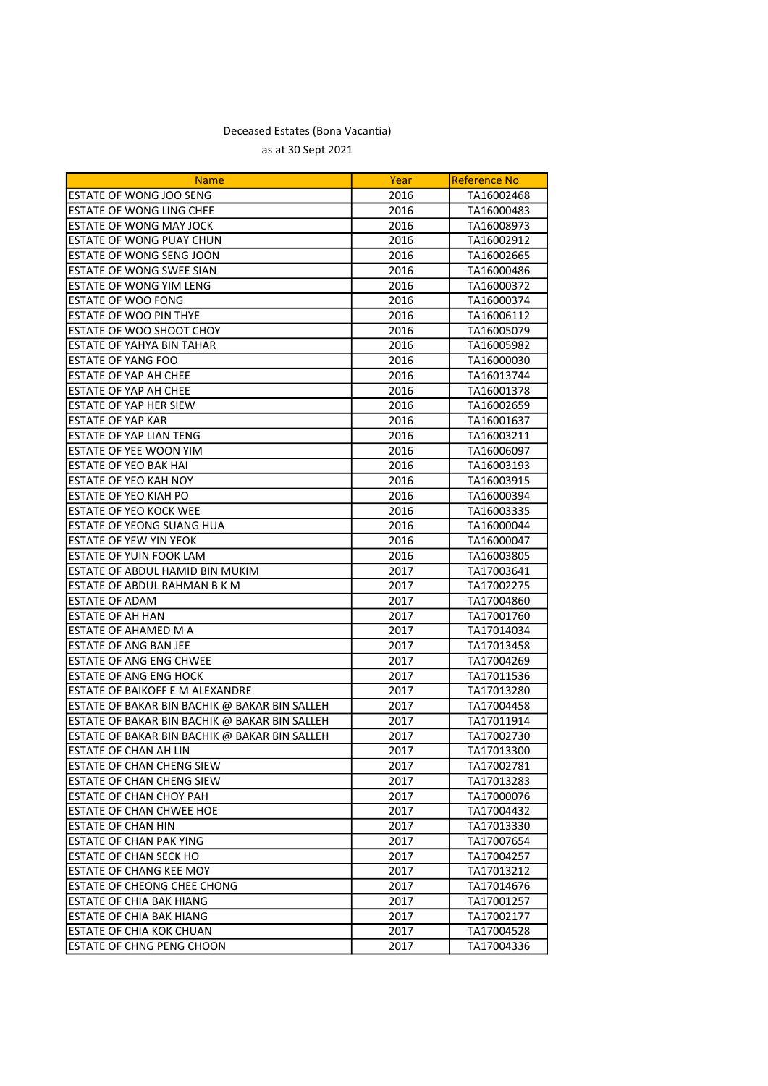| Year<br><b>Name</b><br>ESTATE OF WONG JOO SENG<br>2016<br>TA16002468<br>ESTATE OF WONG LING CHEE<br>2016<br>TA16000483<br>ESTATE OF WONG MAY JOCK<br>2016<br>TA16008973<br>ESTATE OF WONG PUAY CHUN<br>2016<br>TA16002912 |
|---------------------------------------------------------------------------------------------------------------------------------------------------------------------------------------------------------------------------|
|                                                                                                                                                                                                                           |
|                                                                                                                                                                                                                           |
|                                                                                                                                                                                                                           |
|                                                                                                                                                                                                                           |
| ESTATE OF WONG SENG JOON<br>2016<br>TA16002665                                                                                                                                                                            |
| ESTATE OF WONG SWEE SIAN<br>2016<br>TA16000486                                                                                                                                                                            |
| <b>ESTATE OF WONG YIM LENG</b><br>2016<br>TA16000372                                                                                                                                                                      |
| ESTATE OF WOO FONG<br>2016<br>TA16000374                                                                                                                                                                                  |
| <b>ESTATE OF WOO PIN THYE</b><br>2016<br>TA16006112                                                                                                                                                                       |
| ESTATE OF WOO SHOOT CHOY<br>2016<br>TA16005079                                                                                                                                                                            |
| <b>ESTATE OF YAHYA BIN TAHAR</b><br>2016<br>TA16005982                                                                                                                                                                    |
| ESTATE OF YANG FOO<br>2016<br>TA16000030                                                                                                                                                                                  |
| <b>ESTATE OF YAP AH CHEE</b><br>2016<br>TA16013744                                                                                                                                                                        |
| <b>ESTATE OF YAP AH CHEE</b><br>2016<br>TA16001378                                                                                                                                                                        |
| <b>ESTATE OF YAP HER SIEW</b><br>2016<br>TA16002659                                                                                                                                                                       |
| <b>ESTATE OF YAP KAR</b><br>2016<br>TA16001637                                                                                                                                                                            |
| ESTATE OF YAP LIAN TENG<br>2016<br>TA16003211                                                                                                                                                                             |
| ESTATE OF YEE WOON YIM<br>2016<br>TA16006097                                                                                                                                                                              |
| ESTATE OF YEO BAK HAI<br>2016<br>TA16003193                                                                                                                                                                               |
| ESTATE OF YEO KAH NOY<br>2016<br>TA16003915                                                                                                                                                                               |
| ESTATE OF YEO KIAH PO<br>2016<br>TA16000394                                                                                                                                                                               |
| ESTATE OF YEO KOCK WEE<br>2016<br>TA16003335                                                                                                                                                                              |
| ESTATE OF YEONG SUANG HUA<br>2016<br>TA16000044                                                                                                                                                                           |
| ESTATE OF YEW YIN YEOK<br>2016<br>TA16000047                                                                                                                                                                              |
| ESTATE OF YUIN FOOK LAM<br>2016<br>TA16003805                                                                                                                                                                             |
| ESTATE OF ABDUL HAMID BIN MUKIM<br>2017<br>TA17003641                                                                                                                                                                     |
| ESTATE OF ABDUL RAHMAN B K M<br>2017<br>TA17002275                                                                                                                                                                        |
| <b>ESTATE OF ADAM</b><br>2017<br>TA17004860                                                                                                                                                                               |
| ESTATE OF AH HAN<br>2017<br>TA17001760                                                                                                                                                                                    |
| ESTATE OF AHAMED M A<br>2017<br>TA17014034                                                                                                                                                                                |
| ESTATE OF ANG BAN JEE<br>TA17013458<br>2017                                                                                                                                                                               |
| ESTATE OF ANG ENG CHWEE<br>2017<br>TA17004269                                                                                                                                                                             |
| <b>ESTATE OF ANG ENG HOCK</b><br>2017<br>TA17011536                                                                                                                                                                       |
| ESTATE OF BAIKOFF E M ALEXANDRE<br>2017<br>TA17013280                                                                                                                                                                     |
| ESTATE OF BAKAR BIN BACHIK @ BAKAR BIN SALLEH<br>2017<br>TA17004458                                                                                                                                                       |
| ESTATE OF BAKAR BIN BACHIK @ BAKAR BIN SALLEH<br>2017<br>TA17011914                                                                                                                                                       |
| ESTATE OF BAKAR BIN BACHIK @ BAKAR BIN SALLEH<br>2017<br>TA17002730                                                                                                                                                       |
| 2017<br>TA17013300<br><b>ESTATE OF CHAN AH LIN</b>                                                                                                                                                                        |
| <b>ESTATE OF CHAN CHENG SIEW</b><br>2017<br>TA17002781                                                                                                                                                                    |
| <b>ESTATE OF CHAN CHENG SIEW</b><br>2017<br>TA17013283                                                                                                                                                                    |
| <b>ESTATE OF CHAN CHOY PAH</b><br>2017<br>TA17000076                                                                                                                                                                      |
| <b>ESTATE OF CHAN CHWEE HOE</b><br>2017<br>TA17004432                                                                                                                                                                     |
| <b>ESTATE OF CHAN HIN</b><br>2017<br>TA17013330                                                                                                                                                                           |
| ESTATE OF CHAN PAK YING<br>2017<br>TA17007654                                                                                                                                                                             |
| ESTATE OF CHAN SECK HO<br>2017<br>TA17004257                                                                                                                                                                              |
| ESTATE OF CHANG KEE MOY<br>2017<br>TA17013212                                                                                                                                                                             |
| ESTATE OF CHEONG CHEE CHONG<br>2017<br>TA17014676                                                                                                                                                                         |
| ESTATE OF CHIA BAK HIANG<br>2017<br>TA17001257                                                                                                                                                                            |
| <b>ESTATE OF CHIA BAK HIANG</b><br>2017<br>TA17002177                                                                                                                                                                     |
| ESTATE OF CHIA KOK CHUAN<br>2017<br>TA17004528                                                                                                                                                                            |
| <b>ESTATE OF CHNG PENG CHOON</b><br>2017<br>TA17004336                                                                                                                                                                    |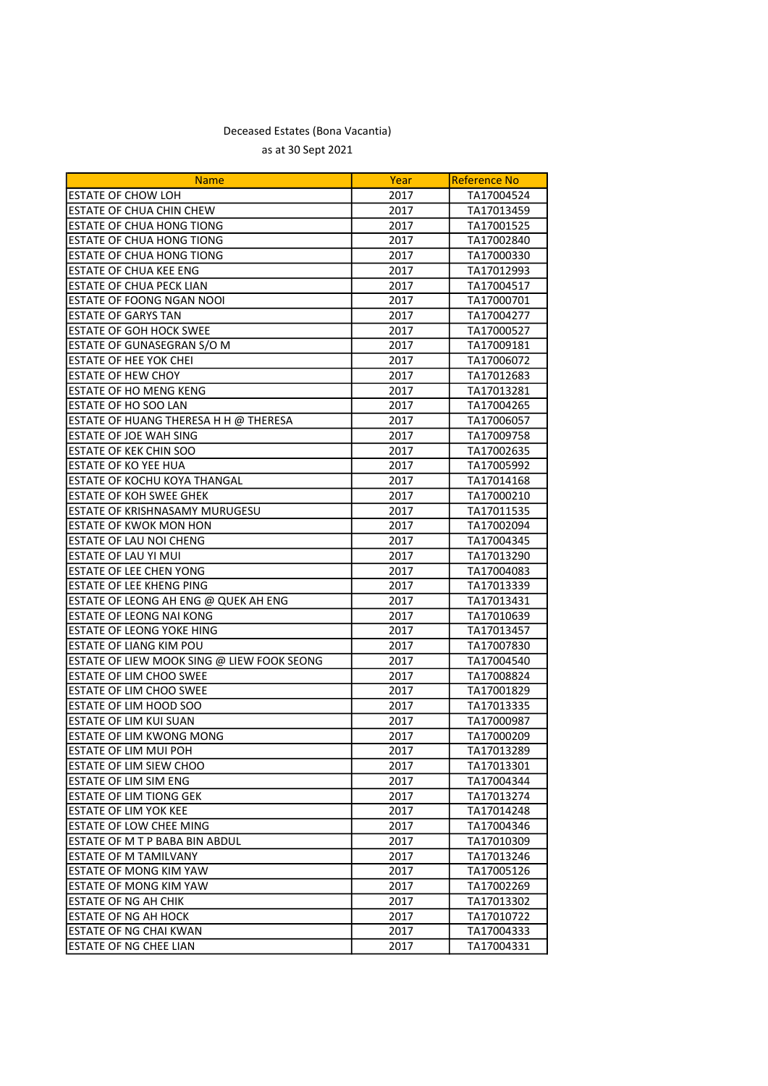| <b>Name</b>                                | Year | <b>Reference No</b> |
|--------------------------------------------|------|---------------------|
| <b>ESTATE OF CHOW LOH</b>                  | 2017 | TA17004524          |
| <b>ESTATE OF CHUA CHIN CHEW</b>            | 2017 | TA17013459          |
| <b>ESTATE OF CHUA HONG TIONG</b>           | 2017 | TA17001525          |
| <b>ESTATE OF CHUA HONG TIONG</b>           | 2017 | TA17002840          |
| ESTATE OF CHUA HONG TIONG                  | 2017 | TA17000330          |
| <b>ESTATE OF CHUA KEE ENG</b>              | 2017 | TA17012993          |
| ESTATE OF CHUA PECK LIAN                   | 2017 | TA17004517          |
| ESTATE OF FOONG NGAN NOOI                  | 2017 | TA17000701          |
| <b>ESTATE OF GARYS TAN</b>                 | 2017 | TA17004277          |
| <b>ESTATE OF GOH HOCK SWEE</b>             | 2017 | TA17000527          |
| ESTATE OF GUNASEGRAN S/O M                 | 2017 | TA17009181          |
| <b>ESTATE OF HEE YOK CHEI</b>              | 2017 | TA17006072          |
| <b>ESTATE OF HEW CHOY</b>                  | 2017 | TA17012683          |
| <b>ESTATE OF HO MENG KENG</b>              | 2017 | TA17013281          |
| ESTATE OF HO SOO LAN                       | 2017 | TA17004265          |
| ESTATE OF HUANG THERESA H H @ THERESA      | 2017 | TA17006057          |
| ESTATE OF JOE WAH SING                     | 2017 | TA17009758          |
| <b>ESTATE OF KEK CHIN SOO</b>              | 2017 | TA17002635          |
| <b>ESTATE OF KO YEE HUA</b>                | 2017 | TA17005992          |
| ESTATE OF KOCHU KOYA THANGAL               | 2017 | TA17014168          |
| <b>ESTATE OF KOH SWEE GHEK</b>             | 2017 | TA17000210          |
| ESTATE OF KRISHNASAMY MURUGESU             | 2017 | TA17011535          |
| <b>ESTATE OF KWOK MON HON</b>              | 2017 | TA17002094          |
| ESTATE OF LAU NOI CHENG                    | 2017 | TA17004345          |
| ESTATE OF LAU YI MUI                       | 2017 | TA17013290          |
| <b>ESTATE OF LEE CHEN YONG</b>             | 2017 | TA17004083          |
| <b>ESTATE OF LEE KHENG PING</b>            | 2017 | TA17013339          |
| ESTATE OF LEONG AH ENG @ QUEK AH ENG       | 2017 | TA17013431          |
| ESTATE OF LEONG NAI KONG                   | 2017 | TA17010639          |
| ESTATE OF LEONG YOKE HING                  | 2017 | TA17013457          |
| ESTATE OF LIANG KIM POU                    | 2017 | TA17007830          |
| ESTATE OF LIEW MOOK SING @ LIEW FOOK SEONG | 2017 | TA17004540          |
| ESTATE OF LIM CHOO SWEE                    | 2017 | TA17008824          |
| ESTATE OF LIM CHOO SWEE                    | 2017 | TA17001829          |
| ESTATE OF LIM HOOD SOO                     | 2017 | TA17013335          |
| ESTATE OF LIM KUI SUAN                     | 2017 | TA17000987          |
| ESTATE OF LIM KWONG MONG                   | 2017 | TA17000209          |
| ESTATE OF LIM MUI POH                      | 2017 | TA17013289          |
| ESTATE OF LIM SIEW CHOO                    | 2017 | TA17013301          |
| <b>ESTATE OF LIM SIM ENG</b>               | 2017 | TA17004344          |
| <b>ESTATE OF LIM TIONG GEK</b>             | 2017 | TA17013274          |
| <b>ESTATE OF LIM YOK KEE</b>               | 2017 | TA17014248          |
| <b>ESTATE OF LOW CHEE MING</b>             | 2017 | TA17004346          |
| ESTATE OF M T P BABA BIN ABDUL             | 2017 | TA17010309          |
| ESTATE OF M TAMILVANY                      | 2017 | TA17013246          |
| ESTATE OF MONG KIM YAW                     | 2017 | TA17005126          |
| ESTATE OF MONG KIM YAW                     | 2017 | TA17002269          |
| <b>ESTATE OF NG AH CHIK</b>                | 2017 | TA17013302          |
| <b>ESTATE OF NG AH HOCK</b>                | 2017 | TA17010722          |
| <b>ESTATE OF NG CHAI KWAN</b>              | 2017 | TA17004333          |
| ESTATE OF NG CHEE LIAN                     | 2017 | TA17004331          |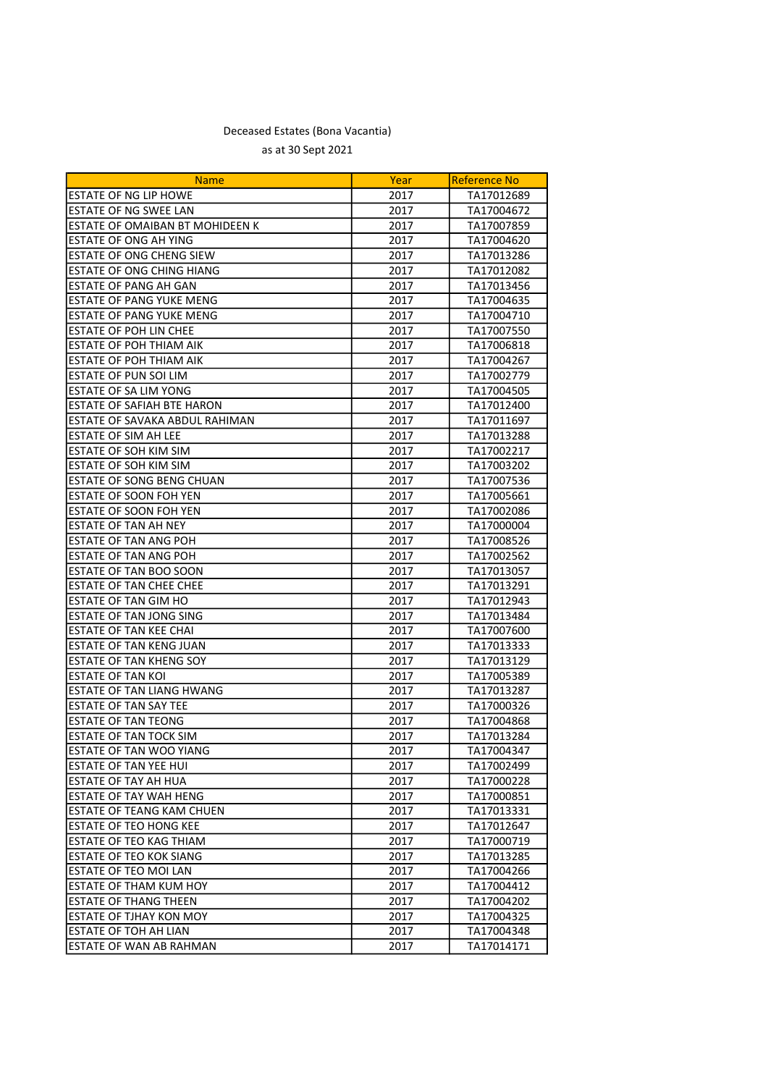| <b>ESTATE OF NG LIP HOWE</b><br>2017<br>TA17012689<br>ESTATE OF NG SWEE LAN<br>2017<br>TA17004672<br>ESTATE OF OMAIBAN BT MOHIDEEN K<br>TA17007859<br>2017<br>ESTATE OF ONG AH YING<br>TA17004620<br>2017<br><b>ESTATE OF ONG CHENG SIEW</b><br>2017<br>TA17013286<br><b>ESTATE OF ONG CHING HIANG</b><br>2017<br>TA17012082<br>ESTATE OF PANG AH GAN<br>2017<br>TA17013456<br><b>ESTATE OF PANG YUKE MENG</b><br>2017<br>TA17004635<br>ESTATE OF PANG YUKE MENG<br>2017<br>TA17004710<br><b>ESTATE OF POH LIN CHEE</b><br>2017<br>TA17007550<br><b>ESTATE OF POH THIAM AIK</b><br>2017<br>TA17006818<br><b>ESTATE OF POH THIAM AIK</b><br>2017<br>TA17004267<br>ESTATE OF PUN SOI LIM<br>TA17002779<br>2017<br>ESTATE OF SA LIM YONG<br>TA17004505<br>2017<br>ESTATE OF SAFIAH BTE HARON<br>2017<br>TA17012400<br>ESTATE OF SAVAKA ABDUL RAHIMAN<br>2017<br>TA17011697<br><b>ESTATE OF SIM AH LEE</b><br>2017<br>TA17013288<br>ESTATE OF SOH KIM SIM<br>2017<br>TA17002217<br>ESTATE OF SOH KIM SIM<br>2017<br>TA17003202<br>ESTATE OF SONG BENG CHUAN<br>2017<br>TA17007536<br>ESTATE OF SOON FOH YEN<br>2017<br>TA17005661<br>ESTATE OF SOON FOH YEN<br>2017<br>TA17002086<br>ESTATE OF TAN AH NEY<br>2017<br>TA17000004<br>ESTATE OF TAN ANG POH<br>2017<br>TA17008526<br><b>ESTATE OF TAN ANG POH</b><br>2017<br>TA17002562<br>ESTATE OF TAN BOO SOON<br>2017<br>TA17013057<br><b>ESTATE OF TAN CHEE CHEE</b><br>2017<br>TA17013291<br>ESTATE OF TAN GIM HO<br>2017<br>TA17012943<br><b>ESTATE OF TAN JONG SING</b><br>2017<br>TA17013484<br><b>ESTATE OF TAN KEE CHAI</b><br>TA17007600<br>2017<br><b>ESTATE OF TAN KENG JUAN</b><br>2017<br>TA17013333<br>ESTATE OF TAN KHENG SOY<br>2017<br>TA17013129<br>ESTATE OF TAN KOI<br>2017<br>TA17005389<br>ESTATE OF TAN LIANG HWANG<br>2017<br>TA17013287<br>ESTATE OF TAN SAY TEE<br>TA17000326<br>2017<br><b>ESTATE OF TAN TEONG</b><br>2017<br>TA17004868<br>ESTATE OF TAN TOCK SIM<br>2017<br>TA17013284<br>ESTATE OF TAN WOO YIANG<br>2017<br>TA17004347<br><b>ESTATE OF TAN YEE HUI</b><br>2017<br>TA17002499<br>ESTATE OF TAY AH HUA<br>2017<br>TA17000228<br><b>ESTATE OF TAY WAH HENG</b><br>2017<br>TA17000851<br><b>ESTATE OF TEANG KAM CHUEN</b><br>TA17013331<br>2017<br>ESTATE OF TEO HONG KEE<br>2017<br>TA17012647<br>ESTATE OF TEO KAG THIAM<br>2017<br>TA17000719<br>ESTATE OF TEO KOK SIANG<br>2017<br>TA17013285<br><b>ESTATE OF TEO MOI LAN</b><br>2017<br>TA17004266<br><b>ESTATE OF THAM KUM HOY</b><br>2017<br>TA17004412<br><b>ESTATE OF THANG THEEN</b><br>2017<br>TA17004202<br>ESTATE OF TJHAY KON MOY<br>2017<br>TA17004325<br>ESTATE OF TOH AH LIAN<br>2017<br>TA17004348<br>ESTATE OF WAN AB RAHMAN<br>2017<br>TA17014171 | <b>Name</b> | Year | <b>Reference No</b> |
|-------------------------------------------------------------------------------------------------------------------------------------------------------------------------------------------------------------------------------------------------------------------------------------------------------------------------------------------------------------------------------------------------------------------------------------------------------------------------------------------------------------------------------------------------------------------------------------------------------------------------------------------------------------------------------------------------------------------------------------------------------------------------------------------------------------------------------------------------------------------------------------------------------------------------------------------------------------------------------------------------------------------------------------------------------------------------------------------------------------------------------------------------------------------------------------------------------------------------------------------------------------------------------------------------------------------------------------------------------------------------------------------------------------------------------------------------------------------------------------------------------------------------------------------------------------------------------------------------------------------------------------------------------------------------------------------------------------------------------------------------------------------------------------------------------------------------------------------------------------------------------------------------------------------------------------------------------------------------------------------------------------------------------------------------------------------------------------------------------------------------------------------------------------------------------------------------------------------------------------------------------------------------------------------------------------------------------------------------------------------------------------------------------------------------------------------------------------------------------------------------------------------------------------------------------------------------------------------------------------------------------------------------------------------------------------------------------------|-------------|------|---------------------|
|                                                                                                                                                                                                                                                                                                                                                                                                                                                                                                                                                                                                                                                                                                                                                                                                                                                                                                                                                                                                                                                                                                                                                                                                                                                                                                                                                                                                                                                                                                                                                                                                                                                                                                                                                                                                                                                                                                                                                                                                                                                                                                                                                                                                                                                                                                                                                                                                                                                                                                                                                                                                                                                                                                             |             |      |                     |
|                                                                                                                                                                                                                                                                                                                                                                                                                                                                                                                                                                                                                                                                                                                                                                                                                                                                                                                                                                                                                                                                                                                                                                                                                                                                                                                                                                                                                                                                                                                                                                                                                                                                                                                                                                                                                                                                                                                                                                                                                                                                                                                                                                                                                                                                                                                                                                                                                                                                                                                                                                                                                                                                                                             |             |      |                     |
|                                                                                                                                                                                                                                                                                                                                                                                                                                                                                                                                                                                                                                                                                                                                                                                                                                                                                                                                                                                                                                                                                                                                                                                                                                                                                                                                                                                                                                                                                                                                                                                                                                                                                                                                                                                                                                                                                                                                                                                                                                                                                                                                                                                                                                                                                                                                                                                                                                                                                                                                                                                                                                                                                                             |             |      |                     |
|                                                                                                                                                                                                                                                                                                                                                                                                                                                                                                                                                                                                                                                                                                                                                                                                                                                                                                                                                                                                                                                                                                                                                                                                                                                                                                                                                                                                                                                                                                                                                                                                                                                                                                                                                                                                                                                                                                                                                                                                                                                                                                                                                                                                                                                                                                                                                                                                                                                                                                                                                                                                                                                                                                             |             |      |                     |
|                                                                                                                                                                                                                                                                                                                                                                                                                                                                                                                                                                                                                                                                                                                                                                                                                                                                                                                                                                                                                                                                                                                                                                                                                                                                                                                                                                                                                                                                                                                                                                                                                                                                                                                                                                                                                                                                                                                                                                                                                                                                                                                                                                                                                                                                                                                                                                                                                                                                                                                                                                                                                                                                                                             |             |      |                     |
|                                                                                                                                                                                                                                                                                                                                                                                                                                                                                                                                                                                                                                                                                                                                                                                                                                                                                                                                                                                                                                                                                                                                                                                                                                                                                                                                                                                                                                                                                                                                                                                                                                                                                                                                                                                                                                                                                                                                                                                                                                                                                                                                                                                                                                                                                                                                                                                                                                                                                                                                                                                                                                                                                                             |             |      |                     |
|                                                                                                                                                                                                                                                                                                                                                                                                                                                                                                                                                                                                                                                                                                                                                                                                                                                                                                                                                                                                                                                                                                                                                                                                                                                                                                                                                                                                                                                                                                                                                                                                                                                                                                                                                                                                                                                                                                                                                                                                                                                                                                                                                                                                                                                                                                                                                                                                                                                                                                                                                                                                                                                                                                             |             |      |                     |
|                                                                                                                                                                                                                                                                                                                                                                                                                                                                                                                                                                                                                                                                                                                                                                                                                                                                                                                                                                                                                                                                                                                                                                                                                                                                                                                                                                                                                                                                                                                                                                                                                                                                                                                                                                                                                                                                                                                                                                                                                                                                                                                                                                                                                                                                                                                                                                                                                                                                                                                                                                                                                                                                                                             |             |      |                     |
|                                                                                                                                                                                                                                                                                                                                                                                                                                                                                                                                                                                                                                                                                                                                                                                                                                                                                                                                                                                                                                                                                                                                                                                                                                                                                                                                                                                                                                                                                                                                                                                                                                                                                                                                                                                                                                                                                                                                                                                                                                                                                                                                                                                                                                                                                                                                                                                                                                                                                                                                                                                                                                                                                                             |             |      |                     |
|                                                                                                                                                                                                                                                                                                                                                                                                                                                                                                                                                                                                                                                                                                                                                                                                                                                                                                                                                                                                                                                                                                                                                                                                                                                                                                                                                                                                                                                                                                                                                                                                                                                                                                                                                                                                                                                                                                                                                                                                                                                                                                                                                                                                                                                                                                                                                                                                                                                                                                                                                                                                                                                                                                             |             |      |                     |
|                                                                                                                                                                                                                                                                                                                                                                                                                                                                                                                                                                                                                                                                                                                                                                                                                                                                                                                                                                                                                                                                                                                                                                                                                                                                                                                                                                                                                                                                                                                                                                                                                                                                                                                                                                                                                                                                                                                                                                                                                                                                                                                                                                                                                                                                                                                                                                                                                                                                                                                                                                                                                                                                                                             |             |      |                     |
|                                                                                                                                                                                                                                                                                                                                                                                                                                                                                                                                                                                                                                                                                                                                                                                                                                                                                                                                                                                                                                                                                                                                                                                                                                                                                                                                                                                                                                                                                                                                                                                                                                                                                                                                                                                                                                                                                                                                                                                                                                                                                                                                                                                                                                                                                                                                                                                                                                                                                                                                                                                                                                                                                                             |             |      |                     |
|                                                                                                                                                                                                                                                                                                                                                                                                                                                                                                                                                                                                                                                                                                                                                                                                                                                                                                                                                                                                                                                                                                                                                                                                                                                                                                                                                                                                                                                                                                                                                                                                                                                                                                                                                                                                                                                                                                                                                                                                                                                                                                                                                                                                                                                                                                                                                                                                                                                                                                                                                                                                                                                                                                             |             |      |                     |
|                                                                                                                                                                                                                                                                                                                                                                                                                                                                                                                                                                                                                                                                                                                                                                                                                                                                                                                                                                                                                                                                                                                                                                                                                                                                                                                                                                                                                                                                                                                                                                                                                                                                                                                                                                                                                                                                                                                                                                                                                                                                                                                                                                                                                                                                                                                                                                                                                                                                                                                                                                                                                                                                                                             |             |      |                     |
|                                                                                                                                                                                                                                                                                                                                                                                                                                                                                                                                                                                                                                                                                                                                                                                                                                                                                                                                                                                                                                                                                                                                                                                                                                                                                                                                                                                                                                                                                                                                                                                                                                                                                                                                                                                                                                                                                                                                                                                                                                                                                                                                                                                                                                                                                                                                                                                                                                                                                                                                                                                                                                                                                                             |             |      |                     |
|                                                                                                                                                                                                                                                                                                                                                                                                                                                                                                                                                                                                                                                                                                                                                                                                                                                                                                                                                                                                                                                                                                                                                                                                                                                                                                                                                                                                                                                                                                                                                                                                                                                                                                                                                                                                                                                                                                                                                                                                                                                                                                                                                                                                                                                                                                                                                                                                                                                                                                                                                                                                                                                                                                             |             |      |                     |
|                                                                                                                                                                                                                                                                                                                                                                                                                                                                                                                                                                                                                                                                                                                                                                                                                                                                                                                                                                                                                                                                                                                                                                                                                                                                                                                                                                                                                                                                                                                                                                                                                                                                                                                                                                                                                                                                                                                                                                                                                                                                                                                                                                                                                                                                                                                                                                                                                                                                                                                                                                                                                                                                                                             |             |      |                     |
|                                                                                                                                                                                                                                                                                                                                                                                                                                                                                                                                                                                                                                                                                                                                                                                                                                                                                                                                                                                                                                                                                                                                                                                                                                                                                                                                                                                                                                                                                                                                                                                                                                                                                                                                                                                                                                                                                                                                                                                                                                                                                                                                                                                                                                                                                                                                                                                                                                                                                                                                                                                                                                                                                                             |             |      |                     |
|                                                                                                                                                                                                                                                                                                                                                                                                                                                                                                                                                                                                                                                                                                                                                                                                                                                                                                                                                                                                                                                                                                                                                                                                                                                                                                                                                                                                                                                                                                                                                                                                                                                                                                                                                                                                                                                                                                                                                                                                                                                                                                                                                                                                                                                                                                                                                                                                                                                                                                                                                                                                                                                                                                             |             |      |                     |
|                                                                                                                                                                                                                                                                                                                                                                                                                                                                                                                                                                                                                                                                                                                                                                                                                                                                                                                                                                                                                                                                                                                                                                                                                                                                                                                                                                                                                                                                                                                                                                                                                                                                                                                                                                                                                                                                                                                                                                                                                                                                                                                                                                                                                                                                                                                                                                                                                                                                                                                                                                                                                                                                                                             |             |      |                     |
|                                                                                                                                                                                                                                                                                                                                                                                                                                                                                                                                                                                                                                                                                                                                                                                                                                                                                                                                                                                                                                                                                                                                                                                                                                                                                                                                                                                                                                                                                                                                                                                                                                                                                                                                                                                                                                                                                                                                                                                                                                                                                                                                                                                                                                                                                                                                                                                                                                                                                                                                                                                                                                                                                                             |             |      |                     |
|                                                                                                                                                                                                                                                                                                                                                                                                                                                                                                                                                                                                                                                                                                                                                                                                                                                                                                                                                                                                                                                                                                                                                                                                                                                                                                                                                                                                                                                                                                                                                                                                                                                                                                                                                                                                                                                                                                                                                                                                                                                                                                                                                                                                                                                                                                                                                                                                                                                                                                                                                                                                                                                                                                             |             |      |                     |
|                                                                                                                                                                                                                                                                                                                                                                                                                                                                                                                                                                                                                                                                                                                                                                                                                                                                                                                                                                                                                                                                                                                                                                                                                                                                                                                                                                                                                                                                                                                                                                                                                                                                                                                                                                                                                                                                                                                                                                                                                                                                                                                                                                                                                                                                                                                                                                                                                                                                                                                                                                                                                                                                                                             |             |      |                     |
|                                                                                                                                                                                                                                                                                                                                                                                                                                                                                                                                                                                                                                                                                                                                                                                                                                                                                                                                                                                                                                                                                                                                                                                                                                                                                                                                                                                                                                                                                                                                                                                                                                                                                                                                                                                                                                                                                                                                                                                                                                                                                                                                                                                                                                                                                                                                                                                                                                                                                                                                                                                                                                                                                                             |             |      |                     |
|                                                                                                                                                                                                                                                                                                                                                                                                                                                                                                                                                                                                                                                                                                                                                                                                                                                                                                                                                                                                                                                                                                                                                                                                                                                                                                                                                                                                                                                                                                                                                                                                                                                                                                                                                                                                                                                                                                                                                                                                                                                                                                                                                                                                                                                                                                                                                                                                                                                                                                                                                                                                                                                                                                             |             |      |                     |
|                                                                                                                                                                                                                                                                                                                                                                                                                                                                                                                                                                                                                                                                                                                                                                                                                                                                                                                                                                                                                                                                                                                                                                                                                                                                                                                                                                                                                                                                                                                                                                                                                                                                                                                                                                                                                                                                                                                                                                                                                                                                                                                                                                                                                                                                                                                                                                                                                                                                                                                                                                                                                                                                                                             |             |      |                     |
|                                                                                                                                                                                                                                                                                                                                                                                                                                                                                                                                                                                                                                                                                                                                                                                                                                                                                                                                                                                                                                                                                                                                                                                                                                                                                                                                                                                                                                                                                                                                                                                                                                                                                                                                                                                                                                                                                                                                                                                                                                                                                                                                                                                                                                                                                                                                                                                                                                                                                                                                                                                                                                                                                                             |             |      |                     |
|                                                                                                                                                                                                                                                                                                                                                                                                                                                                                                                                                                                                                                                                                                                                                                                                                                                                                                                                                                                                                                                                                                                                                                                                                                                                                                                                                                                                                                                                                                                                                                                                                                                                                                                                                                                                                                                                                                                                                                                                                                                                                                                                                                                                                                                                                                                                                                                                                                                                                                                                                                                                                                                                                                             |             |      |                     |
|                                                                                                                                                                                                                                                                                                                                                                                                                                                                                                                                                                                                                                                                                                                                                                                                                                                                                                                                                                                                                                                                                                                                                                                                                                                                                                                                                                                                                                                                                                                                                                                                                                                                                                                                                                                                                                                                                                                                                                                                                                                                                                                                                                                                                                                                                                                                                                                                                                                                                                                                                                                                                                                                                                             |             |      |                     |
|                                                                                                                                                                                                                                                                                                                                                                                                                                                                                                                                                                                                                                                                                                                                                                                                                                                                                                                                                                                                                                                                                                                                                                                                                                                                                                                                                                                                                                                                                                                                                                                                                                                                                                                                                                                                                                                                                                                                                                                                                                                                                                                                                                                                                                                                                                                                                                                                                                                                                                                                                                                                                                                                                                             |             |      |                     |
|                                                                                                                                                                                                                                                                                                                                                                                                                                                                                                                                                                                                                                                                                                                                                                                                                                                                                                                                                                                                                                                                                                                                                                                                                                                                                                                                                                                                                                                                                                                                                                                                                                                                                                                                                                                                                                                                                                                                                                                                                                                                                                                                                                                                                                                                                                                                                                                                                                                                                                                                                                                                                                                                                                             |             |      |                     |
|                                                                                                                                                                                                                                                                                                                                                                                                                                                                                                                                                                                                                                                                                                                                                                                                                                                                                                                                                                                                                                                                                                                                                                                                                                                                                                                                                                                                                                                                                                                                                                                                                                                                                                                                                                                                                                                                                                                                                                                                                                                                                                                                                                                                                                                                                                                                                                                                                                                                                                                                                                                                                                                                                                             |             |      |                     |
|                                                                                                                                                                                                                                                                                                                                                                                                                                                                                                                                                                                                                                                                                                                                                                                                                                                                                                                                                                                                                                                                                                                                                                                                                                                                                                                                                                                                                                                                                                                                                                                                                                                                                                                                                                                                                                                                                                                                                                                                                                                                                                                                                                                                                                                                                                                                                                                                                                                                                                                                                                                                                                                                                                             |             |      |                     |
|                                                                                                                                                                                                                                                                                                                                                                                                                                                                                                                                                                                                                                                                                                                                                                                                                                                                                                                                                                                                                                                                                                                                                                                                                                                                                                                                                                                                                                                                                                                                                                                                                                                                                                                                                                                                                                                                                                                                                                                                                                                                                                                                                                                                                                                                                                                                                                                                                                                                                                                                                                                                                                                                                                             |             |      |                     |
|                                                                                                                                                                                                                                                                                                                                                                                                                                                                                                                                                                                                                                                                                                                                                                                                                                                                                                                                                                                                                                                                                                                                                                                                                                                                                                                                                                                                                                                                                                                                                                                                                                                                                                                                                                                                                                                                                                                                                                                                                                                                                                                                                                                                                                                                                                                                                                                                                                                                                                                                                                                                                                                                                                             |             |      |                     |
|                                                                                                                                                                                                                                                                                                                                                                                                                                                                                                                                                                                                                                                                                                                                                                                                                                                                                                                                                                                                                                                                                                                                                                                                                                                                                                                                                                                                                                                                                                                                                                                                                                                                                                                                                                                                                                                                                                                                                                                                                                                                                                                                                                                                                                                                                                                                                                                                                                                                                                                                                                                                                                                                                                             |             |      |                     |
|                                                                                                                                                                                                                                                                                                                                                                                                                                                                                                                                                                                                                                                                                                                                                                                                                                                                                                                                                                                                                                                                                                                                                                                                                                                                                                                                                                                                                                                                                                                                                                                                                                                                                                                                                                                                                                                                                                                                                                                                                                                                                                                                                                                                                                                                                                                                                                                                                                                                                                                                                                                                                                                                                                             |             |      |                     |
|                                                                                                                                                                                                                                                                                                                                                                                                                                                                                                                                                                                                                                                                                                                                                                                                                                                                                                                                                                                                                                                                                                                                                                                                                                                                                                                                                                                                                                                                                                                                                                                                                                                                                                                                                                                                                                                                                                                                                                                                                                                                                                                                                                                                                                                                                                                                                                                                                                                                                                                                                                                                                                                                                                             |             |      |                     |
|                                                                                                                                                                                                                                                                                                                                                                                                                                                                                                                                                                                                                                                                                                                                                                                                                                                                                                                                                                                                                                                                                                                                                                                                                                                                                                                                                                                                                                                                                                                                                                                                                                                                                                                                                                                                                                                                                                                                                                                                                                                                                                                                                                                                                                                                                                                                                                                                                                                                                                                                                                                                                                                                                                             |             |      |                     |
|                                                                                                                                                                                                                                                                                                                                                                                                                                                                                                                                                                                                                                                                                                                                                                                                                                                                                                                                                                                                                                                                                                                                                                                                                                                                                                                                                                                                                                                                                                                                                                                                                                                                                                                                                                                                                                                                                                                                                                                                                                                                                                                                                                                                                                                                                                                                                                                                                                                                                                                                                                                                                                                                                                             |             |      |                     |
|                                                                                                                                                                                                                                                                                                                                                                                                                                                                                                                                                                                                                                                                                                                                                                                                                                                                                                                                                                                                                                                                                                                                                                                                                                                                                                                                                                                                                                                                                                                                                                                                                                                                                                                                                                                                                                                                                                                                                                                                                                                                                                                                                                                                                                                                                                                                                                                                                                                                                                                                                                                                                                                                                                             |             |      |                     |
|                                                                                                                                                                                                                                                                                                                                                                                                                                                                                                                                                                                                                                                                                                                                                                                                                                                                                                                                                                                                                                                                                                                                                                                                                                                                                                                                                                                                                                                                                                                                                                                                                                                                                                                                                                                                                                                                                                                                                                                                                                                                                                                                                                                                                                                                                                                                                                                                                                                                                                                                                                                                                                                                                                             |             |      |                     |
|                                                                                                                                                                                                                                                                                                                                                                                                                                                                                                                                                                                                                                                                                                                                                                                                                                                                                                                                                                                                                                                                                                                                                                                                                                                                                                                                                                                                                                                                                                                                                                                                                                                                                                                                                                                                                                                                                                                                                                                                                                                                                                                                                                                                                                                                                                                                                                                                                                                                                                                                                                                                                                                                                                             |             |      |                     |
|                                                                                                                                                                                                                                                                                                                                                                                                                                                                                                                                                                                                                                                                                                                                                                                                                                                                                                                                                                                                                                                                                                                                                                                                                                                                                                                                                                                                                                                                                                                                                                                                                                                                                                                                                                                                                                                                                                                                                                                                                                                                                                                                                                                                                                                                                                                                                                                                                                                                                                                                                                                                                                                                                                             |             |      |                     |
|                                                                                                                                                                                                                                                                                                                                                                                                                                                                                                                                                                                                                                                                                                                                                                                                                                                                                                                                                                                                                                                                                                                                                                                                                                                                                                                                                                                                                                                                                                                                                                                                                                                                                                                                                                                                                                                                                                                                                                                                                                                                                                                                                                                                                                                                                                                                                                                                                                                                                                                                                                                                                                                                                                             |             |      |                     |
|                                                                                                                                                                                                                                                                                                                                                                                                                                                                                                                                                                                                                                                                                                                                                                                                                                                                                                                                                                                                                                                                                                                                                                                                                                                                                                                                                                                                                                                                                                                                                                                                                                                                                                                                                                                                                                                                                                                                                                                                                                                                                                                                                                                                                                                                                                                                                                                                                                                                                                                                                                                                                                                                                                             |             |      |                     |
|                                                                                                                                                                                                                                                                                                                                                                                                                                                                                                                                                                                                                                                                                                                                                                                                                                                                                                                                                                                                                                                                                                                                                                                                                                                                                                                                                                                                                                                                                                                                                                                                                                                                                                                                                                                                                                                                                                                                                                                                                                                                                                                                                                                                                                                                                                                                                                                                                                                                                                                                                                                                                                                                                                             |             |      |                     |
|                                                                                                                                                                                                                                                                                                                                                                                                                                                                                                                                                                                                                                                                                                                                                                                                                                                                                                                                                                                                                                                                                                                                                                                                                                                                                                                                                                                                                                                                                                                                                                                                                                                                                                                                                                                                                                                                                                                                                                                                                                                                                                                                                                                                                                                                                                                                                                                                                                                                                                                                                                                                                                                                                                             |             |      |                     |
|                                                                                                                                                                                                                                                                                                                                                                                                                                                                                                                                                                                                                                                                                                                                                                                                                                                                                                                                                                                                                                                                                                                                                                                                                                                                                                                                                                                                                                                                                                                                                                                                                                                                                                                                                                                                                                                                                                                                                                                                                                                                                                                                                                                                                                                                                                                                                                                                                                                                                                                                                                                                                                                                                                             |             |      |                     |
|                                                                                                                                                                                                                                                                                                                                                                                                                                                                                                                                                                                                                                                                                                                                                                                                                                                                                                                                                                                                                                                                                                                                                                                                                                                                                                                                                                                                                                                                                                                                                                                                                                                                                                                                                                                                                                                                                                                                                                                                                                                                                                                                                                                                                                                                                                                                                                                                                                                                                                                                                                                                                                                                                                             |             |      |                     |
|                                                                                                                                                                                                                                                                                                                                                                                                                                                                                                                                                                                                                                                                                                                                                                                                                                                                                                                                                                                                                                                                                                                                                                                                                                                                                                                                                                                                                                                                                                                                                                                                                                                                                                                                                                                                                                                                                                                                                                                                                                                                                                                                                                                                                                                                                                                                                                                                                                                                                                                                                                                                                                                                                                             |             |      |                     |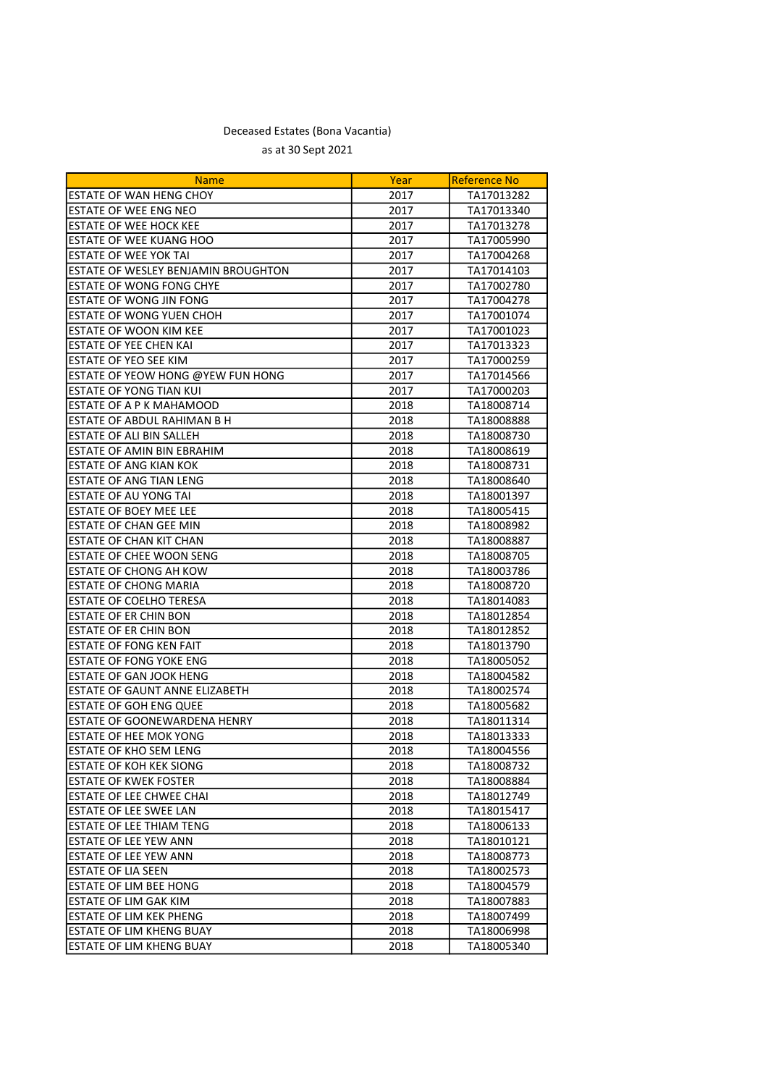| <b>Name</b>                              | Year | Reference No |
|------------------------------------------|------|--------------|
| ESTATE OF WAN HENG CHOY                  | 2017 | TA17013282   |
| <b>ESTATE OF WEE ENG NEO</b>             | 2017 | TA17013340   |
| <b>ESTATE OF WEE HOCK KEE</b>            | 2017 | TA17013278   |
| <b>ESTATE OF WEE KUANG HOO</b>           | 2017 | TA17005990   |
| <b>ESTATE OF WEE YOK TAI</b>             | 2017 | TA17004268   |
| ESTATE OF WESLEY BENJAMIN BROUGHTON      | 2017 | TA17014103   |
| <b>ESTATE OF WONG FONG CHYE</b>          | 2017 | TA17002780   |
| <b>ESTATE OF WONG JIN FONG</b>           | 2017 | TA17004278   |
| ESTATE OF WONG YUEN CHOH                 | 2017 | TA17001074   |
| <b>ESTATE OF WOON KIM KEE</b>            | 2017 | TA17001023   |
| <b>ESTATE OF YEE CHEN KAI</b>            | 2017 | TA17013323   |
| <b>ESTATE OF YEO SEE KIM</b>             | 2017 | TA17000259   |
| <b>ESTATE OF YEOW HONG @YEW FUN HONG</b> | 2017 | TA17014566   |
| ESTATE OF YONG TIAN KUI                  | 2017 | TA17000203   |
| ESTATE OF A P K MAHAMOOD                 | 2018 | TA18008714   |
| ESTATE OF ABDUL RAHIMAN B H              | 2018 | TA18008888   |
| ESTATE OF ALI BIN SALLEH                 | 2018 | TA18008730   |
| <b>ESTATE OF AMIN BIN EBRAHIM</b>        | 2018 | TA18008619   |
| <b>ESTATE OF ANG KIAN KOK</b>            | 2018 | TA18008731   |
| <b>ESTATE OF ANG TIAN LENG</b>           | 2018 | TA18008640   |
| <b>ESTATE OF AU YONG TAI</b>             | 2018 | TA18001397   |
| <b>ESTATE OF BOEY MEE LEE</b>            | 2018 | TA18005415   |
| <b>ESTATE OF CHAN GEE MIN</b>            | 2018 | TA18008982   |
| ESTATE OF CHAN KIT CHAN                  | 2018 | TA18008887   |
| ESTATE OF CHEE WOON SENG                 | 2018 | TA18008705   |
| <b>ESTATE OF CHONG AH KOW</b>            | 2018 | TA18003786   |
| <b>ESTATE OF CHONG MARIA</b>             | 2018 | TA18008720   |
| ESTATE OF COELHO TERESA                  | 2018 | TA18014083   |
| ESTATE OF ER CHIN BON                    | 2018 | TA18012854   |
| ESTATE OF ER CHIN BON                    | 2018 | TA18012852   |
| ESTATE OF FONG KEN FAIT                  | 2018 | TA18013790   |
| ESTATE OF FONG YOKE ENG                  | 2018 | TA18005052   |
| ESTATE OF GAN JOOK HENG                  | 2018 | TA18004582   |
| <b>ESTATE OF GAUNT ANNE ELIZABETH</b>    | 2018 | TA18002574   |
| <b>ESTATE OF GOH ENG QUEE</b>            | 2018 | TA18005682   |
| <b>IESTATE OF GOONEWARDENA HENRY</b>     | 2018 | TA18011314   |
| <b>ESTATE OF HEE MOK YONG</b>            | 2018 | TA18013333   |
| <b>ESTATE OF KHO SEM LENG</b>            | 2018 | TA18004556   |
| JESTATE OF KOH KEK SIONG                 | 2018 | TA18008732   |
| <b>ESTATE OF KWEK FOSTER</b>             | 2018 | TA18008884   |
| ESTATE OF LEE CHWEE CHAI                 | 2018 | TA18012749   |
| <b>ESTATE OF LEE SWEE LAN</b>            | 2018 | TA18015417   |
| <b>ESTATE OF LEE THIAM TENG</b>          | 2018 | TA18006133   |
| <b>ESTATE OF LEE YEW ANN</b>             | 2018 | TA18010121   |
| <b>ESTATE OF LEE YEW ANN</b>             | 2018 | TA18008773   |
| <b>ESTATE OF LIA SEEN</b>                | 2018 | TA18002573   |
| ESTATE OF LIM BEE HONG                   | 2018 | TA18004579   |
| ESTATE OF LIM GAK KIM                    | 2018 | TA18007883   |
| ESTATE OF LIM KEK PHENG                  | 2018 | TA18007499   |
| <b>ESTATE OF LIM KHENG BUAY</b>          | 2018 | TA18006998   |
| <b>ESTATE OF LIM KHENG BUAY</b>          | 2018 | TA18005340   |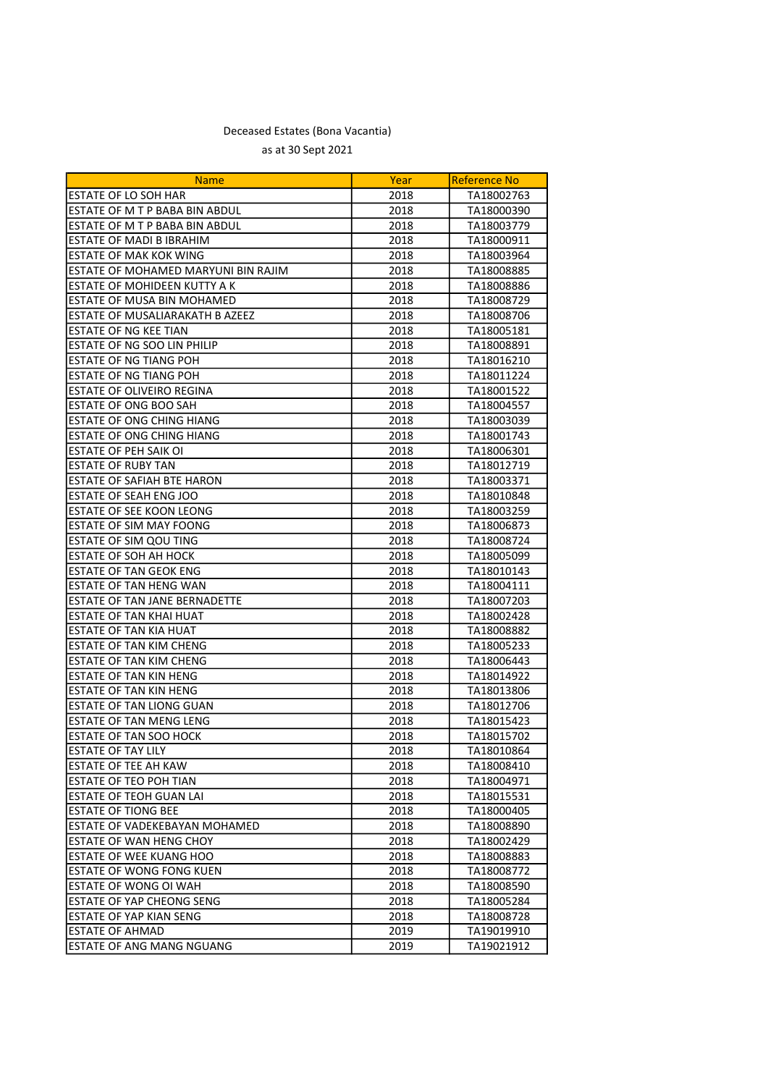| <b>Name</b>                         | Year | Reference No |
|-------------------------------------|------|--------------|
| <b>ESTATE OF LO SOH HAR</b>         | 2018 | TA18002763   |
| ESTATE OF M T P BABA BIN ABDUL      | 2018 | TA18000390   |
| ESTATE OF M T P BABA BIN ABDUL      | 2018 | TA18003779   |
| ESTATE OF MADI B IBRAHIM            | 2018 | TA18000911   |
| <b>ESTATE OF MAK KOK WING</b>       | 2018 | TA18003964   |
| ESTATE OF MOHAMED MARYUNI BIN RAJIM | 2018 | TA18008885   |
| IESTATE OF MOHIDEEN KUTTY A K       | 2018 | TA18008886   |
| ESTATE OF MUSA BIN MOHAMED          | 2018 | TA18008729   |
| ESTATE OF MUSALIARAKATH B AZEEZ     | 2018 | TA18008706   |
| ESTATE OF NG KEE TIAN               | 2018 | TA18005181   |
| ESTATE OF NG SOO LIN PHILIP         | 2018 | TA18008891   |
| ESTATE OF NG TIANG POH              | 2018 | TA18016210   |
| <b>ESTATE OF NG TIANG POH</b>       | 2018 | TA18011224   |
| <b>ESTATE OF OLIVEIRO REGINA</b>    | 2018 | TA18001522   |
| <b>ESTATE OF ONG BOO SAH</b>        | 2018 | TA18004557   |
| <b>ESTATE OF ONG CHING HIANG</b>    | 2018 | TA18003039   |
| ESTATE OF ONG CHING HIANG           | 2018 | TA18001743   |
| ESTATE OF PEH SAIK OI               | 2018 | TA18006301   |
| <b>ESTATE OF RUBY TAN</b>           | 2018 | TA18012719   |
| ESTATE OF SAFIAH BTE HARON          | 2018 | TA18003371   |
| ESTATE OF SEAH ENG JOO              | 2018 | TA18010848   |
| <b>ESTATE OF SEE KOON LEONG</b>     | 2018 | TA18003259   |
| IESTATE OF SIM MAY FOONG            | 2018 | TA18006873   |
| <b>ESTATE OF SIM QOU TING</b>       | 2018 | TA18008724   |
| ESTATE OF SOH AH HOCK               | 2018 | TA18005099   |
| <b>ESTATE OF TAN GEOK ENG</b>       | 2018 | TA18010143   |
| ESTATE OF TAN HENG WAN              | 2018 | TA18004111   |
| ESTATE OF TAN JANE BERNADETTE       | 2018 | TA18007203   |
| ESTATE OF TAN KHAI HUAT             | 2018 | TA18002428   |
| <b>ESTATE OF TAN KIA HUAT</b>       | 2018 | TA18008882   |
| <b>ESTATE OF TAN KIM CHENG</b>      | 2018 | TA18005233   |
| <b>ESTATE OF TAN KIM CHENG</b>      | 2018 | TA18006443   |
| <b>ESTATE OF TAN KIN HENG</b>       | 2018 | TA18014922   |
| <b>ESTATE OF TAN KIN HENG</b>       | 2018 | TA18013806   |
| ESTATE OF TAN LIONG GUAN            | 2018 | TA18012706   |
| <b>ESTATE OF TAN MENG LENG</b>      | 2018 | TA18015423   |
| ESTATE OF TAN SOO HOCK              | 2018 | TA18015702   |
| <b>ESTATE OF TAY LILY</b>           | 2018 | TA18010864   |
| <b>ESTATE OF TEE AH KAW</b>         | 2018 | TA18008410   |
| ESTATE OF TEO POH TIAN              | 2018 | TA18004971   |
| IESTATE OF TEOH GUAN LAI            | 2018 | TA18015531   |
| IESTATE OF TIONG BEE                | 2018 | TA18000405   |
| ESTATE OF VADEKEBAYAN MOHAMED       | 2018 | TA18008890   |
| ESTATE OF WAN HENG CHOY             | 2018 | TA18002429   |
| <b>ESTATE OF WEE KUANG HOO</b>      | 2018 | TA18008883   |
| <b>ESTATE OF WONG FONG KUEN</b>     | 2018 | TA18008772   |
| ESTATE OF WONG OI WAH               | 2018 | TA18008590   |
| IESTATE OF YAP CHEONG SENG          | 2018 | TA18005284   |
| ESTATE OF YAP KIAN SENG             | 2018 | TA18008728   |
| ESTATE OF AHMAD                     | 2019 | TA19019910   |
| IESTATE OF ANG MANG NGUANG          | 2019 | TA19021912   |
|                                     |      |              |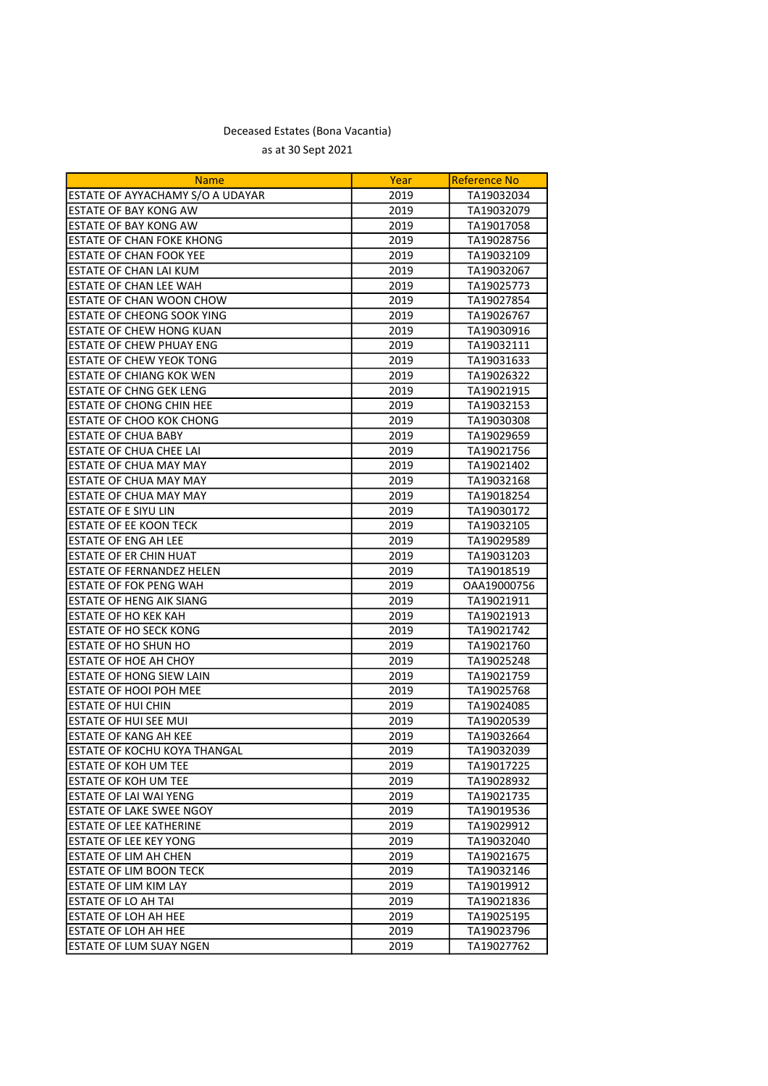| <b>Name</b>                         | Year | <b>Reference No</b> |
|-------------------------------------|------|---------------------|
| ESTATE OF AYYACHAMY S/O A UDAYAR    | 2019 | TA19032034          |
| ESTATE OF BAY KONG AW               | 2019 | TA19032079          |
| ESTATE OF BAY KONG AW               | 2019 | TA19017058          |
| <b>ESTATE OF CHAN FOKE KHONG</b>    | 2019 | TA19028756          |
| ESTATE OF CHAN FOOK YEE             | 2019 | TA19032109          |
| ESTATE OF CHAN LAI KUM              | 2019 | TA19032067          |
| ESTATE OF CHAN LEE WAH              | 2019 | TA19025773          |
| <b>ESTATE OF CHAN WOON CHOW</b>     | 2019 | TA19027854          |
| <b>ESTATE OF CHEONG SOOK YING</b>   | 2019 | TA19026767          |
| <b>ESTATE OF CHEW HONG KUAN</b>     | 2019 | TA19030916          |
| ESTATE OF CHEW PHUAY ENG            | 2019 | TA19032111          |
| ESTATE OF CHEW YEOK TONG            | 2019 | TA19031633          |
| <b>ESTATE OF CHIANG KOK WEN</b>     | 2019 | TA19026322          |
| <b>ESTATE OF CHNG GEK LENG</b>      | 2019 | TA19021915          |
| ESTATE OF CHONG CHIN HEE            | 2019 | TA19032153          |
| ESTATE OF CHOO KOK CHONG            | 2019 | TA19030308          |
| ESTATE OF CHUA BABY                 | 2019 | TA19029659          |
| ESTATE OF CHUA CHEE LAI             | 2019 | TA19021756          |
| ESTATE OF CHUA MAY MAY              | 2019 | TA19021402          |
| ESTATE OF CHUA MAY MAY              | 2019 | TA19032168          |
| ESTATE OF CHUA MAY MAY              | 2019 | TA19018254          |
| ESTATE OF E SIYU LIN                | 2019 | TA19030172          |
| ESTATE OF EE KOON TECK              | 2019 | TA19032105          |
| <b>ESTATE OF ENG AH LEE</b>         | 2019 | TA19029589          |
| ESTATE OF ER CHIN HUAT              | 2019 | TA19031203          |
| ESTATE OF FERNANDEZ HELEN           | 2019 | TA19018519          |
| <b>ESTATE OF FOK PENG WAH</b>       | 2019 | OAA19000756         |
| ESTATE OF HENG AIK SIANG            | 2019 | TA19021911          |
| <b>ESTATE OF HO KEK KAH</b>         | 2019 | TA19021913          |
| ESTATE OF HO SECK KONG              | 2019 | TA19021742          |
| <b>ESTATE OF HO SHUN HO</b>         | 2019 | TA19021760          |
| ESTATE OF HOE AH CHOY               | 2019 | TA19025248          |
| ESTATE OF HONG SIEW LAIN            | 2019 | TA19021759          |
| ESTATE OF HOOI POH MEE              | 2019 | TA19025768          |
| <b>ESTATE OF HUI CHIN</b>           | 2019 | TA19024085          |
| ESTATE OF HUI SEE MUI               | 2019 | TA19020539          |
| ESTATE OF KANG AH KEE               | 2019 | TA19032664          |
| <b>ESTATE OF KOCHU KOYA THANGAL</b> | 2019 | TA19032039          |
| <b>ESTATE OF KOH UM TEE</b>         | 2019 | TA19017225          |
| <b>ESTATE OF KOH UM TEE</b>         | 2019 | TA19028932          |
| ESTATE OF LAI WAI YENG              | 2019 | TA19021735          |
| <b>ESTATE OF LAKE SWEE NGOY</b>     | 2019 | TA19019536          |
| ESTATE OF LEE KATHERINE             | 2019 | TA19029912          |
| ESTATE OF LEE KEY YONG              | 2019 | TA19032040          |
| ESTATE OF LIM AH CHEN               | 2019 | TA19021675          |
| <b>ESTATE OF LIM BOON TECK</b>      | 2019 | TA19032146          |
| <b>ESTATE OF LIM KIM LAY</b>        | 2019 | TA19019912          |
| <b>ESTATE OF LO AH TAI</b>          | 2019 | TA19021836          |
| ESTATE OF LOH AH HEE                | 2019 | TA19025195          |
| ESTATE OF LOH AH HEE                | 2019 | TA19023796          |
| ESTATE OF LUM SUAY NGEN             | 2019 | TA19027762          |
|                                     |      |                     |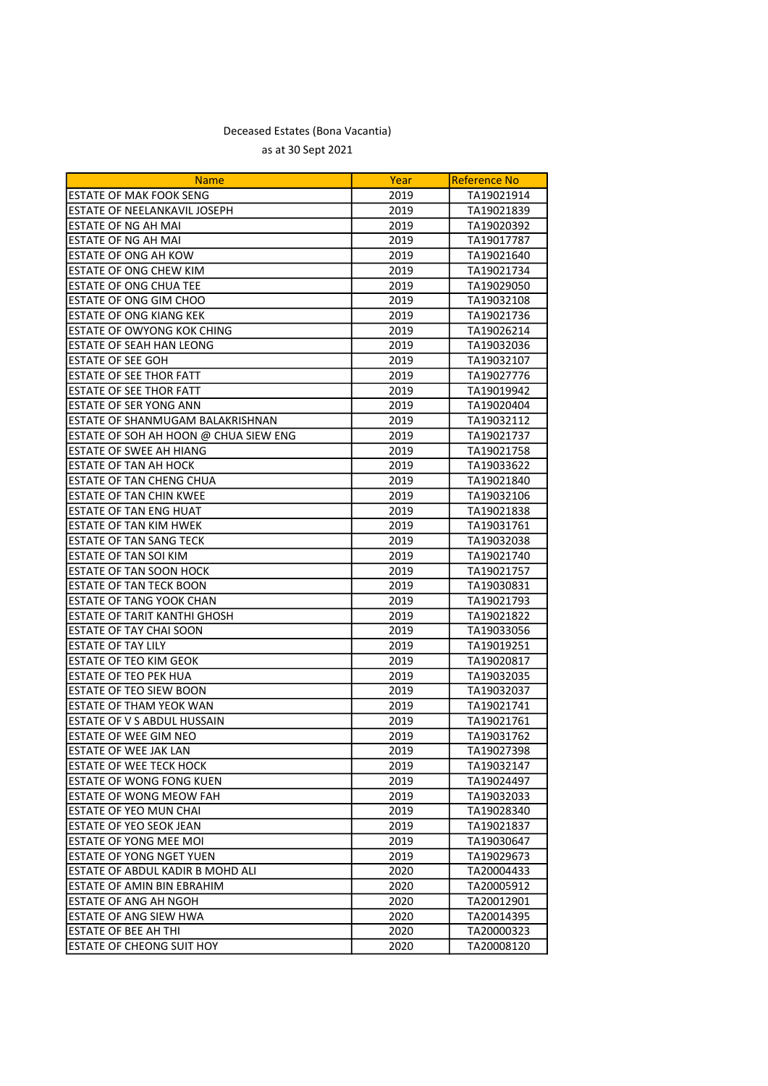| <b>Name</b>                             | Year | <b>Reference No</b> |
|-----------------------------------------|------|---------------------|
| <b>ESTATE OF MAK FOOK SENG</b>          | 2019 | TA19021914          |
| ESTATE OF NEELANKAVIL JOSEPH            | 2019 | TA19021839          |
| ESTATE OF NG AH MAI                     | 2019 | TA19020392          |
| <b>ESTATE OF NG AH MAI</b>              | 2019 | TA19017787          |
| ESTATE OF ONG AH KOW                    | 2019 | TA19021640          |
| <b>ESTATE OF ONG CHEW KIM</b>           | 2019 | TA19021734          |
| <b>ESTATE OF ONG CHUA TEE</b>           | 2019 | TA19029050          |
| ESTATE OF ONG GIM CHOO                  | 2019 | TA19032108          |
| <b>ESTATE OF ONG KIANG KEK</b>          | 2019 | TA19021736          |
| <b>ESTATE OF OWYONG KOK CHING</b>       | 2019 | TA19026214          |
| <b>ESTATE OF SEAH HAN LEONG</b>         | 2019 | TA19032036          |
| <b>ESTATE OF SEE GOH</b>                | 2019 | TA19032107          |
| <b>ESTATE OF SEE THOR FATT</b>          | 2019 | TA19027776          |
| <b>ESTATE OF SEE THOR FATT</b>          | 2019 | TA19019942          |
| ESTATE OF SER YONG ANN                  | 2019 | TA19020404          |
| ESTATE OF SHANMUGAM BALAKRISHNAN        | 2019 | TA19032112          |
| ESTATE OF SOH AH HOON @ CHUA SIEW ENG   | 2019 | TA19021737          |
| <b>ESTATE OF SWEE AH HIANG</b>          | 2019 | TA19021758          |
| <b>ESTATE OF TAN AH HOCK</b>            | 2019 | TA19033622          |
| <b>ESTATE OF TAN CHENG CHUA</b>         | 2019 | TA19021840          |
| <b>ESTATE OF TAN CHIN KWEE</b>          | 2019 | TA19032106          |
| ESTATE OF TAN ENG HUAT                  | 2019 | TA19021838          |
| <b>ESTATE OF TAN KIM HWEK</b>           | 2019 | TA19031761          |
| <b>ESTATE OF TAN SANG TECK</b>          | 2019 | TA19032038          |
| ESTATE OF TAN SOI KIM                   | 2019 | TA19021740          |
| ESTATE OF TAN SOON HOCK                 | 2019 | TA19021757          |
| <b>ESTATE OF TAN TECK BOON</b>          | 2019 | TA19030831          |
| <b>ESTATE OF TANG YOOK CHAN</b>         | 2019 | TA19021793          |
| <b>ESTATE OF TARIT KANTHI GHOSH</b>     | 2019 | TA19021822          |
| ESTATE OF TAY CHAI SOON                 | 2019 | TA19033056          |
| <b>ESTATE OF TAY LILY</b>               | 2019 | TA19019251          |
| ESTATE OF TEO KIM GEOK                  | 2019 | TA19020817          |
| ESTATE OF TEO PEK HUA                   | 2019 | TA19032035          |
| ESTATE OF TEO SIEW BOON                 | 2019 | TA19032037          |
| ESTATE OF THAM YEOK WAN                 | 2019 | TA19021741          |
| ESTATE OF V S ABDUL HUSSAIN             | 2019 | TA19021761          |
| ESTATE OF WEE GIM NEO                   | 2019 | TA19031762          |
| <b>ESTATE OF WEE JAK LAN</b>            | 2019 | TA19027398          |
| IESTATE OF WEE TECK HOCK                | 2019 | TA19032147          |
| ESTATE OF WONG FONG KUEN                | 2019 | TA19024497          |
| ESTATE OF WONG MEOW FAH                 | 2019 | TA19032033          |
| ESTATE OF YEO MUN CHAI                  | 2019 | TA19028340          |
| ESTATE OF YEO SEOK JEAN                 | 2019 | TA19021837          |
| <b>ESTATE OF YONG MEE MOI</b>           | 2019 | TA19030647          |
| <b>ESTATE OF YONG NGET YUEN</b>         | 2019 | TA19029673          |
| <b>ESTATE OF ABDUL KADIR B MOHD ALI</b> | 2020 | TA20004433          |
| ESTATE OF AMIN BIN EBRAHIM              | 2020 | TA20005912          |
| ESTATE OF ANG AH NGOH                   | 2020 | TA20012901          |
| ESTATE OF ANG SIEW HWA                  | 2020 | TA20014395          |
| ESTATE OF BEE AH THI                    | 2020 | TA20000323          |
| ESTATE OF CHEONG SUIT HOY               | 2020 | TA20008120          |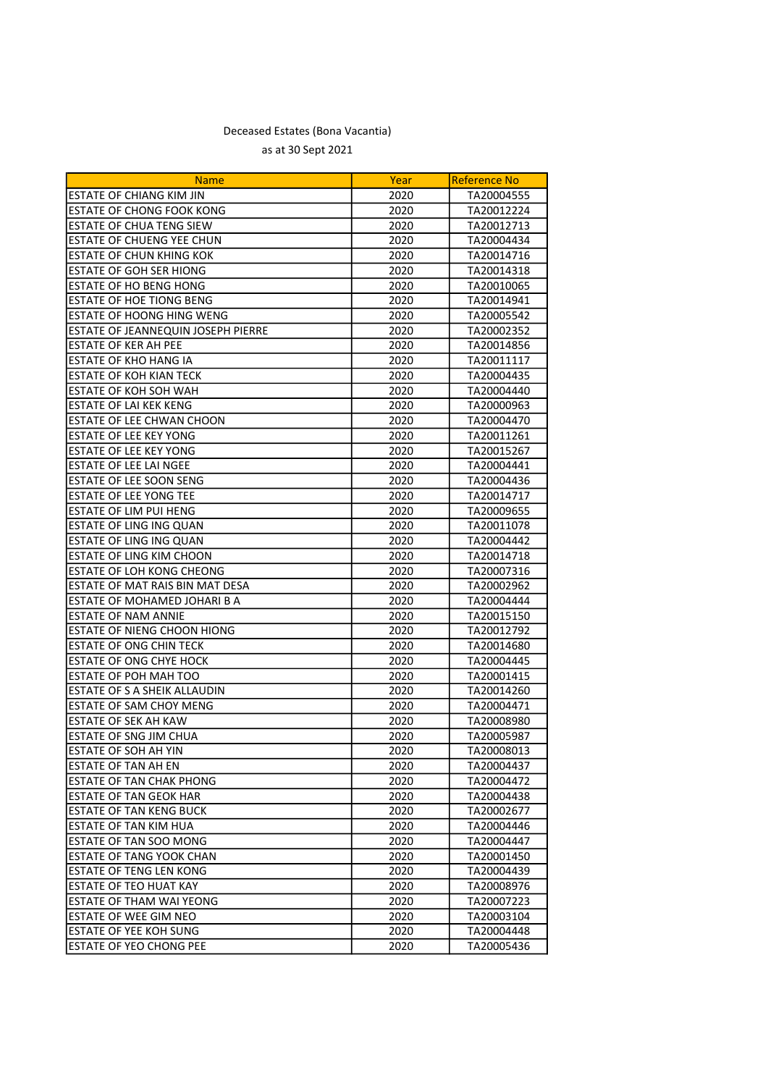| <b>Name</b>                        | Year | <b>Reference No</b> |
|------------------------------------|------|---------------------|
| <b>ESTATE OF CHIANG KIM JIN</b>    | 2020 | TA20004555          |
| ESTATE OF CHONG FOOK KONG          | 2020 | TA20012224          |
| <b>ESTATE OF CHUA TENG SIEW</b>    | 2020 | TA20012713          |
| <b>ESTATE OF CHUENG YEE CHUN</b>   | 2020 | TA20004434          |
| ESTATE OF CHUN KHING KOK           | 2020 | TA20014716          |
| <b>ESTATE OF GOH SER HIONG</b>     | 2020 | TA20014318          |
| ESTATE OF HO BENG HONG             | 2020 | TA20010065          |
| <b>ESTATE OF HOE TIONG BENG</b>    | 2020 | TA20014941          |
| <b>ESTATE OF HOONG HING WENG</b>   | 2020 | TA20005542          |
| ESTATE OF JEANNEQUIN JOSEPH PIERRE | 2020 | TA20002352          |
| <b>ESTATE OF KER AH PEE</b>        | 2020 | TA20014856          |
| <b>ESTATE OF KHO HANG IA</b>       | 2020 | TA20011117          |
| <b>ESTATE OF KOH KIAN TECK</b>     | 2020 | TA20004435          |
| <b>ESTATE OF KOH SOH WAH</b>       | 2020 | TA20004440          |
| <b>ESTATE OF LAI KEK KENG</b>      | 2020 | TA20000963          |
| ESTATE OF LEE CHWAN CHOON          | 2020 | TA20004470          |
| ESTATE OF LEE KEY YONG             | 2020 | TA20011261          |
| ESTATE OF LEE KEY YONG             | 2020 | TA20015267          |
| ESTATE OF LEE LAI NGEE             | 2020 | TA20004441          |
| ESTATE OF LEE SOON SENG            | 2020 | TA20004436          |
| <b>ESTATE OF LEE YONG TEE</b>      | 2020 | TA20014717          |
| IESTATE OF LIM PUI HENG            | 2020 | TA20009655          |
| ESTATE OF LING ING QUAN            | 2020 | TA20011078          |
| <b>ESTATE OF LING ING QUAN</b>     | 2020 | TA20004442          |
| <b>ESTATE OF LING KIM CHOON</b>    | 2020 | TA20014718          |
| ESTATE OF LOH KONG CHEONG          | 2020 | TA20007316          |
| ESTATE OF MAT RAIS BIN MAT DESA    | 2020 | TA20002962          |
| ESTATE OF MOHAMED JOHARI B A       | 2020 | TA20004444          |
| <b>ESTATE OF NAM ANNIE</b>         | 2020 | TA20015150          |
| <b>ESTATE OF NIENG CHOON HIONG</b> | 2020 | TA20012792          |
| <b>ESTATE OF ONG CHIN TECK</b>     | 2020 | TA20014680          |
| <b>ESTATE OF ONG CHYE HOCK</b>     | 2020 | TA20004445          |
| ESTATE OF POH MAH TOO              | 2020 | TA20001415          |
| ESTATE OF S A SHEIK ALLAUDIN       | 2020 | TA20014260          |
| <b>ESTATE OF SAM CHOY MENG</b>     | 2020 | TA20004471          |
| ESTATE OF SEK AH KAW               | 2020 | TA20008980          |
| ESTATE OF SNG JIM CHUA             | 2020 | TA20005987          |
| <b>ESTATE OF SOH AH YIN</b>        | 2020 | TA20008013          |
| <b>ESTATE OF TAN AH EN</b>         | 2020 | TA20004437          |
| <b>ESTATE OF TAN CHAK PHONG</b>    | 2020 | TA20004472          |
| ESTATE OF TAN GEOK HAR             | 2020 | TA20004438          |
| ESTATE OF TAN KENG BUCK            | 2020 | TA20002677          |
| IESTATE OF TAN KIM HUA             | 2020 | TA20004446          |
| <b>ESTATE OF TAN SOO MONG</b>      | 2020 | TA20004447          |
| <b>ESTATE OF TANG YOOK CHAN</b>    | 2020 | TA20001450          |
| ESTATE OF TENG LEN KONG            | 2020 | TA20004439          |
| IESTATE OF TEO HUAT KAY            | 2020 | TA20008976          |
| IESTATE OF THAM WAI YEONG          | 2020 | TA20007223          |
| ESTATE OF WEE GIM NEO              | 2020 | TA20003104          |
| IESTATE OF YEE KOH SUNG            | 2020 | TA20004448          |
| IESTATE OF YEO CHONG PEE           | 2020 | TA20005436          |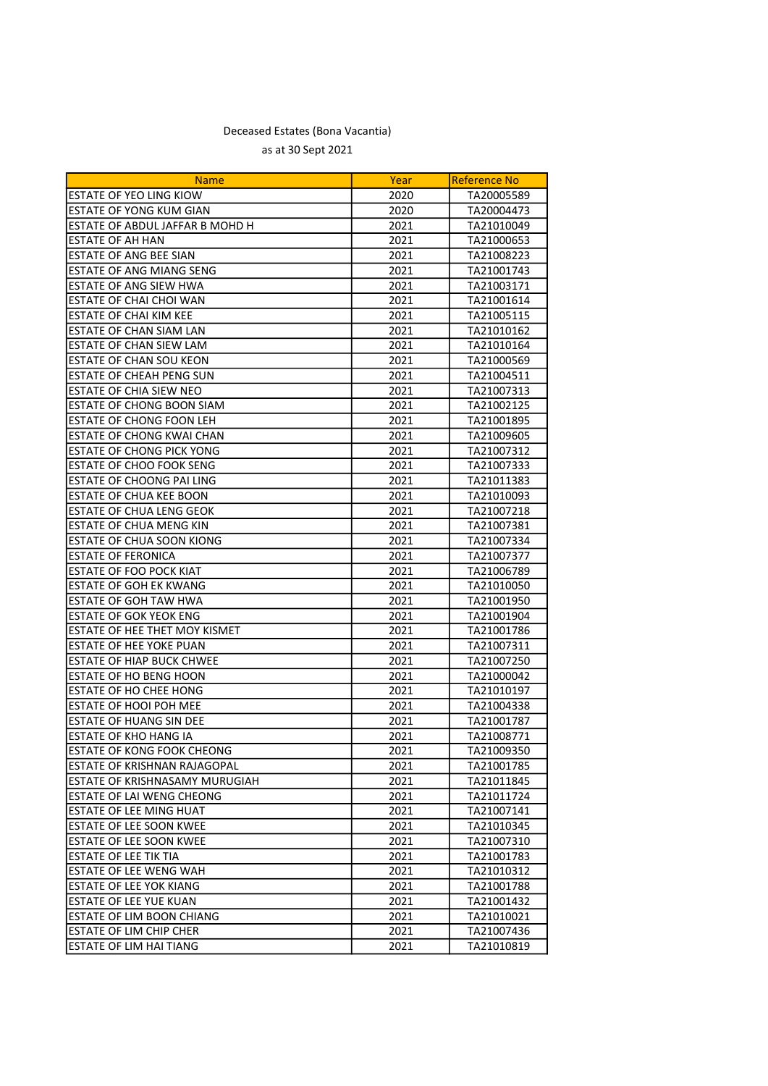| <b>Name</b>                            | Year | <b>Reference No</b> |
|----------------------------------------|------|---------------------|
| ESTATE OF YEO LING KIOW                | 2020 | TA20005589          |
| <b>ESTATE OF YONG KUM GIAN</b>         | 2020 | TA20004473          |
| <b>ESTATE OF ABDUL JAFFAR B MOHD H</b> | 2021 | TA21010049          |
| <b>ESTATE OF AH HAN</b>                | 2021 | TA21000653          |
| <b>ESTATE OF ANG BEE SIAN</b>          | 2021 | TA21008223          |
| <b>ESTATE OF ANG MIANG SENG</b>        | 2021 | TA21001743          |
| ESTATE OF ANG SIEW HWA                 | 2021 | TA21003171          |
| ESTATE OF CHAI CHOI WAN                | 2021 | TA21001614          |
| ESTATE OF CHAI KIM KEE                 | 2021 | TA21005115          |
| <b>ESTATE OF CHAN SIAM LAN</b>         | 2021 | TA21010162          |
| <b>ESTATE OF CHAN SIEW LAM</b>         | 2021 | TA21010164          |
| <b>ESTATE OF CHAN SOU KEON</b>         | 2021 | TA21000569          |
| <b>ESTATE OF CHEAH PENG SUN</b>        | 2021 | TA21004511          |
| ESTATE OF CHIA SIEW NEO                | 2021 | TA21007313          |
| ESTATE OF CHONG BOON SIAM              | 2021 | TA21002125          |
| ESTATE OF CHONG FOON LEH               | 2021 | TA21001895          |
| ESTATE OF CHONG KWAI CHAN              | 2021 | TA21009605          |
| <b>ESTATE OF CHONG PICK YONG</b>       | 2021 | TA21007312          |
| <b>ESTATE OF CHOO FOOK SENG</b>        | 2021 | TA21007333          |
| <b>ESTATE OF CHOONG PAI LING</b>       | 2021 | TA21011383          |
| <b>ESTATE OF CHUA KEE BOON</b>         | 2021 | TA21010093          |
| ESTATE OF CHUA LENG GEOK               | 2021 | TA21007218          |
| <b>ESTATE OF CHUA MENG KIN</b>         | 2021 | TA21007381          |
| <b>ESTATE OF CHUA SOON KIONG</b>       | 2021 | TA21007334          |
| <b>ESTATE OF FERONICA</b>              | 2021 | TA21007377          |
| ESTATE OF FOO POCK KIAT                | 2021 | TA21006789          |
| <b>ESTATE OF GOH EK KWANG</b>          | 2021 | TA21010050          |
| <b>ESTATE OF GOH TAW HWA</b>           | 2021 | TA21001950          |
| <b>ESTATE OF GOK YEOK ENG</b>          | 2021 | TA21001904          |
| <b>ESTATE OF HEE THET MOY KISMET</b>   | 2021 | TA21001786          |
| ESTATE OF HEE YOKE PUAN                | 2021 | TA21007311          |
| ESTATE OF HIAP BUCK CHWEE              | 2021 | TA21007250          |
| ESTATE OF HO BENG HOON                 | 2021 | TA21000042          |
| <b>ESTATE OF HO CHEE HONG</b>          | 2021 | TA21010197          |
| <b>ESTATE OF HOOI POH MEE</b>          | 2021 | TA21004338          |
| <b>ESTATE OF HUANG SIN DEE</b>         | 2021 | TA21001787          |
| <b>ESTATE OF KHO HANG IA</b>           | 2021 | TA21008771          |
| <b>ESTATE OF KONG FOOK CHEONG</b>      | 2021 | TA21009350          |
| JESTATE OF KRISHNAN RAJAGOPAL          | 2021 | TA21001785          |
| ESTATE OF KRISHNASAMY MURUGIAH         | 2021 | TA21011845          |
| ESTATE OF LAI WENG CHEONG              | 2021 | TA21011724          |
| <b>ESTATE OF LEE MING HUAT</b>         | 2021 | TA21007141          |
| <b>ESTATE OF LEE SOON KWEE</b>         | 2021 | TA21010345          |
| <b>ESTATE OF LEE SOON KWEE</b>         | 2021 | TA21007310          |
| <b>ESTATE OF LEE TIK TIA</b>           | 2021 | TA21001783          |
| <b>ESTATE OF LEE WENG WAH</b>          | 2021 | TA21010312          |
| <b>ESTATE OF LEE YOK KIANG</b>         | 2021 | TA21001788          |
| IESTATE OF LEE YUE KUAN                | 2021 | TA21001432          |
| ESTATE OF LIM BOON CHIANG              | 2021 | TA21010021          |
| <b>ESTATE OF LIM CHIP CHER</b>         | 2021 | TA21007436          |
| <b>ESTATE OF LIM HAI TIANG</b>         | 2021 | TA21010819          |
|                                        |      |                     |